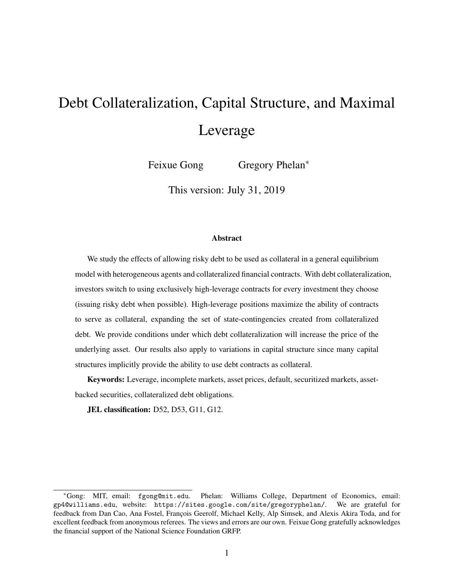# Debt Collateralization, Capital Structure, and Maximal Leverage

Feixue Gong Gregory Phelan<sup>∗</sup>

This version: July 31, 2019

#### Abstract

We study the effects of allowing risky debt to be used as collateral in a general equilibrium model with heterogeneous agents and collateralized financial contracts. With debt collateralization, investors switch to using exclusively high-leverage contracts for every investment they choose (issuing risky debt when possible). High-leverage positions maximize the ability of contracts to serve as collateral, expanding the set of state-contingencies created from collateralized debt. We provide conditions under which debt collateralization will increase the price of the underlying asset. Our results also apply to variations in capital structure since many capital structures implicitly provide the ability to use debt contracts as collateral.

Keywords: Leverage, incomplete markets, asset prices, default, securitized markets, assetbacked securities, collateralized debt obligations.

JEL classification: D52, D53, G11, G12.

<sup>∗</sup>Gong: MIT, email: fgong@mit.edu. Phelan: Williams College, Department of Economics, email: gp4@williams.edu, website: https://sites.google.com/site/gregoryphelan/. We are grateful for feedback from Dan Cao, Ana Fostel, François Geerolf, Michael Kelly, Alp Simsek, and Alexis Akira Toda, and for excellent feedback from anonymous referees. The views and errors are our own. Feixue Gong gratefully acknowledges the financial support of the National Science Foundation GRFP.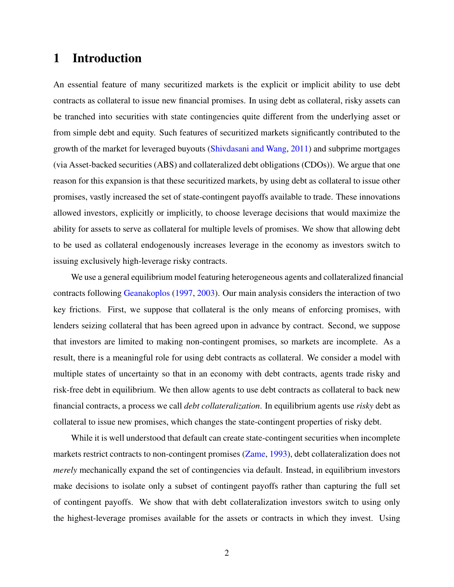### 1 Introduction

An essential feature of many securitized markets is the explicit or implicit ability to use debt contracts as collateral to issue new financial promises. In using debt as collateral, risky assets can be tranched into securities with state contingencies quite different from the underlying asset or from simple debt and equity. Such features of securitized markets significantly contributed to the growth of the market for leveraged buyouts [\(Shivdasani and Wang,](#page-34-0) [2011\)](#page-34-0) and subprime mortgages (via Asset-backed securities (ABS) and collateralized debt obligations (CDOs)). We argue that one reason for this expansion is that these securitized markets, by using debt as collateral to issue other promises, vastly increased the set of state-contingent payoffs available to trade. These innovations allowed investors, explicitly or implicitly, to choose leverage decisions that would maximize the ability for assets to serve as collateral for multiple levels of promises. We show that allowing debt to be used as collateral endogenously increases leverage in the economy as investors switch to issuing exclusively high-leverage risky contracts.

We use a general equilibrium model featuring heterogeneous agents and collateralized financial contracts following [Geanakoplos](#page-32-0) [\(1997,](#page-32-0) [2003\)](#page-32-1). Our main analysis considers the interaction of two key frictions. First, we suppose that collateral is the only means of enforcing promises, with lenders seizing collateral that has been agreed upon in advance by contract. Second, we suppose that investors are limited to making non-contingent promises, so markets are incomplete. As a result, there is a meaningful role for using debt contracts as collateral. We consider a model with multiple states of uncertainty so that in an economy with debt contracts, agents trade risky and risk-free debt in equilibrium. We then allow agents to use debt contracts as collateral to back new financial contracts, a process we call *debt collateralization*. In equilibrium agents use *risky* debt as collateral to issue new promises, which changes the state-contingent properties of risky debt.

While it is well understood that default can create state-contingent securities when incomplete markets restrict contracts to non-contingent promises [\(Zame,](#page-34-1) [1993\)](#page-34-1), debt collateralization does not *merely* mechanically expand the set of contingencies via default. Instead, in equilibrium investors make decisions to isolate only a subset of contingent payoffs rather than capturing the full set of contingent payoffs. We show that with debt collateralization investors switch to using only the highest-leverage promises available for the assets or contracts in which they invest. Using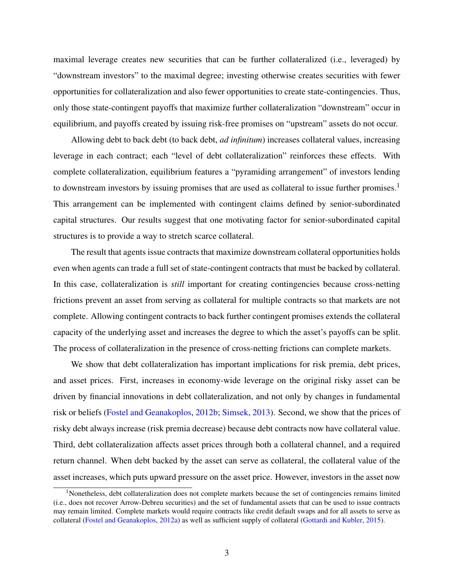maximal leverage creates new securities that can be further collateralized (i.e., leveraged) by "downstream investors" to the maximal degree; investing otherwise creates securities with fewer opportunities for collateralization and also fewer opportunities to create state-contingencies. Thus, only those state-contingent payoffs that maximize further collateralization "downstream" occur in equilibrium, and payoffs created by issuing risk-free promises on "upstream" assets do not occur.

Allowing debt to back debt (to back debt, *ad infinitum*) increases collateral values, increasing leverage in each contract; each "level of debt collateralization" reinforces these effects. With complete collateralization, equilibrium features a "pyramiding arrangement" of investors lending to downstream investors by issuing promises that are used as collateral to issue further promises.<sup>[1](#page-2-0)</sup> This arrangement can be implemented with contingent claims defined by senior-subordinated capital structures. Our results suggest that one motivating factor for senior-subordinated capital structures is to provide a way to stretch scarce collateral.

The result that agents issue contracts that maximize downstream collateral opportunities holds even when agents can trade a full set of state-contingent contracts that must be backed by collateral. In this case, collateralization is *still* important for creating contingencies because cross-netting frictions prevent an asset from serving as collateral for multiple contracts so that markets are not complete. Allowing contingent contracts to back further contingent promises extends the collateral capacity of the underlying asset and increases the degree to which the asset's payoffs can be split. The process of collateralization in the presence of cross-netting frictions can complete markets.

We show that debt collateralization has important implications for risk premia, debt prices, and asset prices. First, increases in economy-wide leverage on the original risky asset can be driven by financial innovations in debt collateralization, and not only by changes in fundamental risk or beliefs [\(Fostel and Geanakoplos,](#page-32-2) [2012b;](#page-32-2) [Simsek,](#page-34-2) [2013\)](#page-34-2). Second, we show that the prices of risky debt always increase (risk premia decrease) because debt contracts now have collateral value. Third, debt collateralization affects asset prices through both a collateral channel, and a required return channel. When debt backed by the asset can serve as collateral, the collateral value of the asset increases, which puts upward pressure on the asset price. However, investors in the asset now

<span id="page-2-0"></span><sup>&</sup>lt;sup>1</sup>Nonetheless, debt collateralization does not complete markets because the set of contingencies remains limited (i.e., does not recover Arrow-Debreu securities) and the set of fundamental assets that can be used to issue contracts may remain limited. Complete markets would require contracts like credit default swaps and for all assets to serve as collateral [\(Fostel and Geanakoplos,](#page-32-3) [2012a\)](#page-32-3) as well as sufficient supply of collateral [\(Gottardi and Kubler,](#page-33-0) [2015\)](#page-33-0).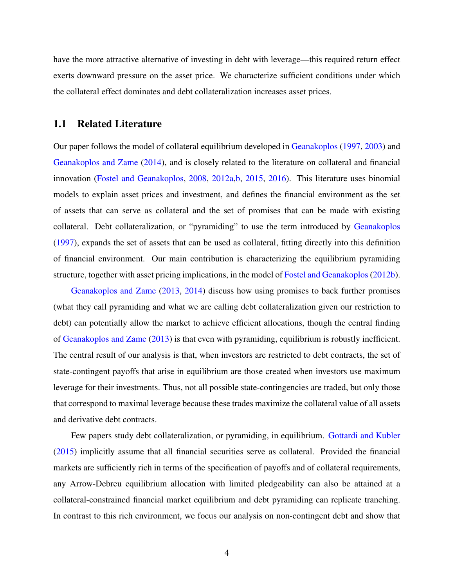have the more attractive alternative of investing in debt with leverage—this required return effect exerts downward pressure on the asset price. We characterize sufficient conditions under which the collateral effect dominates and debt collateralization increases asset prices.

#### 1.1 Related Literature

Our paper follows the model of collateral equilibrium developed in [Geanakoplos](#page-32-0) [\(1997,](#page-32-0) [2003\)](#page-32-1) and [Geanakoplos and Zame](#page-32-4) [\(2014\)](#page-32-4), and is closely related to the literature on collateral and financial innovation [\(Fostel and Geanakoplos,](#page-32-5) [2008,](#page-32-5) [2012a,](#page-32-3)[b,](#page-32-2) [2015,](#page-32-6) [2016\)](#page-32-7). This literature uses binomial models to explain asset prices and investment, and defines the financial environment as the set of assets that can serve as collateral and the set of promises that can be made with existing collateral. Debt collateralization, or "pyramiding" to use the term introduced by [Geanakoplos](#page-32-0) [\(1997\)](#page-32-0), expands the set of assets that can be used as collateral, fitting directly into this definition of financial environment. Our main contribution is characterizing the equilibrium pyramiding structure, together with asset pricing implications, in the model of [Fostel and Geanakoplos\(2012b\)](#page-32-2).

[Geanakoplos and Zame](#page-32-8) [\(2013,](#page-32-8) [2014\)](#page-32-4) discuss how using promises to back further promises (what they call pyramiding and what we are calling debt collateralization given our restriction to debt) can potentially allow the market to achieve efficient allocations, though the central finding of [Geanakoplos and Zame](#page-32-8) [\(2013\)](#page-32-8) is that even with pyramiding, equilibrium is robustly inefficient. The central result of our analysis is that, when investors are restricted to debt contracts, the set of state-contingent payoffs that arise in equilibrium are those created when investors use maximum leverage for their investments. Thus, not all possible state-contingencies are traded, but only those that correspond to maximal leverage because these trades maximize the collateral value of all assets and derivative debt contracts.

Few papers study debt collateralization, or pyramiding, in equilibrium. [Gottardi and Kubler](#page-33-0) [\(2015\)](#page-33-0) implicitly assume that all financial securities serve as collateral. Provided the financial markets are sufficiently rich in terms of the specification of payoffs and of collateral requirements, any Arrow-Debreu equilibrium allocation with limited pledgeability can also be attained at a collateral-constrained financial market equilibrium and debt pyramiding can replicate tranching. In contrast to this rich environment, we focus our analysis on non-contingent debt and show that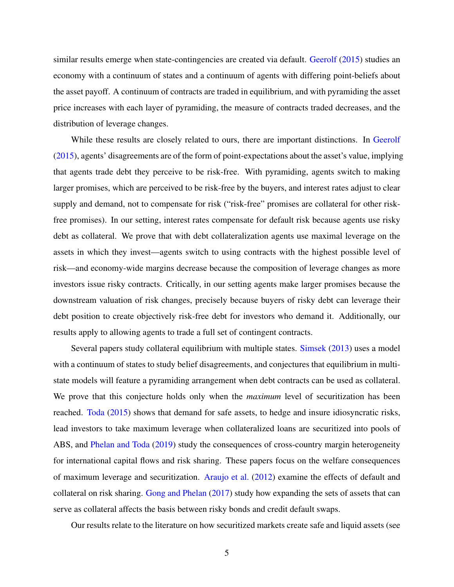similar results emerge when state-contingencies are created via default. [Geerolf](#page-32-9) [\(2015\)](#page-32-9) studies an economy with a continuum of states and a continuum of agents with differing point-beliefs about the asset payoff. A continuum of contracts are traded in equilibrium, and with pyramiding the asset price increases with each layer of pyramiding, the measure of contracts traded decreases, and the distribution of leverage changes.

While these results are closely related to ours, there are important distinctions. In [Geerolf](#page-32-9) [\(2015\)](#page-32-9), agents' disagreements are of the form of point-expectations about the asset's value, implying that agents trade debt they perceive to be risk-free. With pyramiding, agents switch to making larger promises, which are perceived to be risk-free by the buyers, and interest rates adjust to clear supply and demand, not to compensate for risk ("risk-free" promises are collateral for other riskfree promises). In our setting, interest rates compensate for default risk because agents use risky debt as collateral. We prove that with debt collateralization agents use maximal leverage on the assets in which they invest—agents switch to using contracts with the highest possible level of risk—and economy-wide margins decrease because the composition of leverage changes as more investors issue risky contracts. Critically, in our setting agents make larger promises because the downstream valuation of risk changes, precisely because buyers of risky debt can leverage their debt position to create objectively risk-free debt for investors who demand it. Additionally, our results apply to allowing agents to trade a full set of contingent contracts.

Several papers study collateral equilibrium with multiple states. [Simsek](#page-34-2) [\(2013\)](#page-34-2) uses a model with a continuum of states to study belief disagreements, and conjectures that equilibrium in multistate models will feature a pyramiding arrangement when debt contracts can be used as collateral. We prove that this conjecture holds only when the *maximum* level of securitization has been reached. [Toda](#page-34-3) [\(2015\)](#page-34-3) shows that demand for safe assets, to hedge and insure idiosyncratic risks, lead investors to take maximum leverage when collateralized loans are securitized into pools of ABS, and [Phelan and Toda](#page-33-1) [\(2019\)](#page-33-1) study the consequences of cross-country margin heterogeneity for international capital flows and risk sharing. These papers focus on the welfare consequences of maximum leverage and securitization. [Araujo et al.](#page-31-0) [\(2012\)](#page-31-0) examine the effects of default and collateral on risk sharing. [Gong and Phelan](#page-33-2) [\(2017\)](#page-33-2) study how expanding the sets of assets that can serve as collateral affects the basis between risky bonds and credit default swaps.

Our results relate to the literature on how securitized markets create safe and liquid assets (see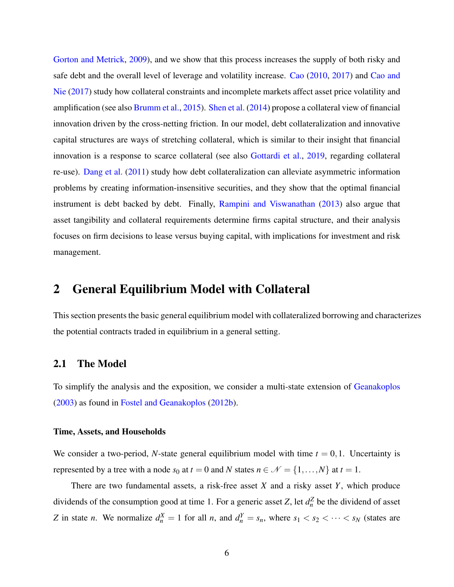[Gorton and Metrick,](#page-33-3) [2009\)](#page-33-3), and we show that this process increases the supply of both risky and safe debt and the overall level of leverage and volatility increase. [Cao](#page-31-1) [\(2010,](#page-31-1) [2017\)](#page-31-2) and [Cao and](#page-31-3) [Nie](#page-31-3) [\(2017\)](#page-31-3) study how collateral constraints and incomplete markets affect asset price volatility and amplification (see also [Brumm et al.,](#page-31-4) [2015\)](#page-31-4). [Shen et al.](#page-34-4) [\(2014\)](#page-34-4) propose a collateral view of financial innovation driven by the cross-netting friction. In our model, debt collateralization and innovative capital structures are ways of stretching collateral, which is similar to their insight that financial innovation is a response to scarce collateral (see also [Gottardi et al.,](#page-33-4) [2019,](#page-33-4) regarding collateral re-use). [Dang et al.](#page-32-10) [\(2011\)](#page-32-10) study how debt collateralization can alleviate asymmetric information problems by creating information-insensitive securities, and they show that the optimal financial instrument is debt backed by debt. Finally, [Rampini and Viswanathan](#page-33-5) [\(2013\)](#page-33-5) also argue that asset tangibility and collateral requirements determine firms capital structure, and their analysis focuses on firm decisions to lease versus buying capital, with implications for investment and risk management.

### 2 General Equilibrium Model with Collateral

This section presents the basic general equilibrium model with collateralized borrowing and characterizes the potential contracts traded in equilibrium in a general setting.

#### 2.1 The Model

To simplify the analysis and the exposition, we consider a multi-state extension of [Geanakoplos](#page-32-1) [\(2003\)](#page-32-1) as found in [Fostel and Geanakoplos](#page-32-2) [\(2012b\)](#page-32-2).

#### Time, Assets, and Households

We consider a two-period, *N*-state general equilibrium model with time  $t = 0, 1$ . Uncertainty is represented by a tree with a node  $s_0$  at  $t = 0$  and *N* states  $n \in \mathcal{N} = \{1, ..., N\}$  at  $t = 1$ .

There are two fundamental assets, a risk-free asset *X* and a risky asset *Y*, which produce dividends of the consumption good at time 1. For a generic asset *Z*, let  $d_n^Z$  be the dividend of asset *Z* in state *n*. We normalize  $d_n^X = 1$  for all *n*, and  $d_n^Y = s_n$ , where  $s_1 < s_2 < \cdots < s_N$  (states are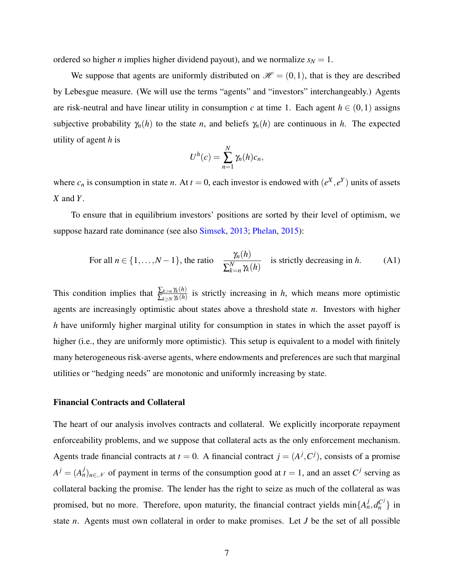ordered so higher *n* implies higher dividend payout), and we normalize  $s_N = 1$ .

We suppose that agents are uniformly distributed on  $\mathcal{H} = (0,1)$ , that is they are described by Lebesgue measure. (We will use the terms "agents" and "investors" interchangeably.) Agents are risk-neutral and have linear utility in consumption *c* at time 1. Each agent  $h \in (0,1)$  assigns subjective probability  $\gamma_n(h)$  to the state *n*, and beliefs  $\gamma_n(h)$  are continuous in *h*. The expected utility of agent *h* is

$$
U^h(c) = \sum_{n=1}^N \gamma_n(h)c_n,
$$

where  $c_n$  is consumption in state *n*. At  $t = 0$ , each investor is endowed with  $(e^X, e^Y)$  units of assets *X* and *Y*.

To ensure that in equilibrium investors' positions are sorted by their level of optimism, we suppose hazard rate dominance (see also [Simsek,](#page-34-2) [2013;](#page-34-2) [Phelan,](#page-33-6) [2015\)](#page-33-6):

For all 
$$
n \in \{1, ..., N-1\}
$$
, the ratio  $\frac{\gamma_n(h)}{\sum_{k=n}^N \gamma_k(h)}$  is strictly decreasing in h. (A1)

This condition implies that  $\frac{\sum_{k>n} \gamma_k(h)}{\sum_{k,n} \gamma_k(h)}$  $\frac{\sum_{k>n} \gamma_k(n)}{\sum_{k\geq N} \gamma_k(n)}$  is strictly increasing in *h*, which means more optimistic agents are increasingly optimistic about states above a threshold state *n*. Investors with higher *h* have uniformly higher marginal utility for consumption in states in which the asset payoff is higher (i.e., they are uniformly more optimistic). This setup is equivalent to a model with finitely many heterogeneous risk-averse agents, where endowments and preferences are such that marginal utilities or "hedging needs" are monotonic and uniformly increasing by state.

#### Financial Contracts and Collateral

The heart of our analysis involves contracts and collateral. We explicitly incorporate repayment enforceability problems, and we suppose that collateral acts as the only enforcement mechanism. Agents trade financial contracts at  $t = 0$ . A financial contract  $j = (A<sup>j</sup>, C<sup>j</sup>)$ , consists of a promise  $A^{j} = (A^{j}_{n})_{n \in \mathcal{N}}$  of payment in terms of the consumption good at  $t = 1$ , and an asset *C*<sup>*j*</sup> serving as collateral backing the promise. The lender has the right to seize as much of the collateral as was promised, but no more. Therefore, upon maturity, the financial contract yields  $\min\{A_n^j, d_n^{C^j}\}\$ in state *n*. Agents must own collateral in order to make promises. Let *J* be the set of all possible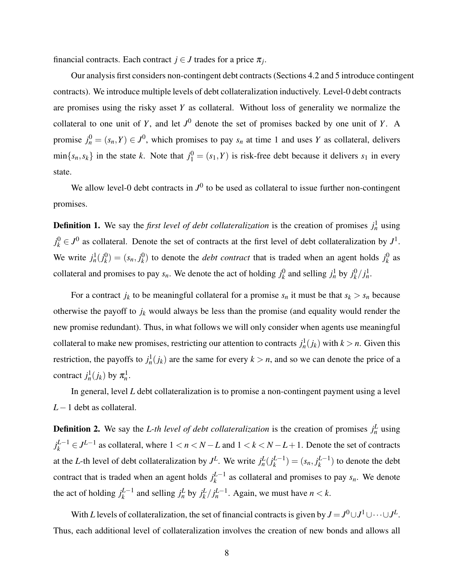financial contracts. Each contract  $j \in J$  trades for a price  $\pi_j$ .

Our analysis first considers non-contingent debt contracts (Sections [4.2](#page-25-0) and [5](#page-28-0) introduce contingent contracts). We introduce multiple levels of debt collateralization inductively. Level-0 debt contracts are promises using the risky asset *Y* as collateral. Without loss of generality we normalize the collateral to one unit of *Y*, and let  $J^0$  denote the set of promises backed by one unit of *Y*. A promise  $j_n^0 = (s_n, Y) \in J^0$ , which promises to pay  $s_n$  at time 1 and uses *Y* as collateral, delivers  $\min\{s_n, s_k\}$  in the state *k*. Note that  $j_1^0 = (s_1, Y)$  is risk-free debt because it delivers  $s_1$  in every state.

We allow level-0 debt contracts in  $J^0$  to be used as collateral to issue further non-contingent promises.

**Definition 1.** We say the *first level of debt collateralization* is the creation of promises  $j_n^1$  using  $j_k^0 \in J^0$  as collateral. Denote the set of contracts at the first level of debt collateralization by  $J^1$ . We write  $j_n^1(j_k^0)$  $\binom{0}{k} = (s_n, j_k^0)$  $h_k^0$ ) to denote the *debt contract* that is traded when an agent holds  $j_k^0$ *k* as collateral and promises to pay  $s_n$ . We denote the act of holding  $j_k^0$  $\frac{0}{k}$  and selling  $j_n^1$  by  $j_k^0$  $\frac{0}{k}/j_n^1$ .

For a contract  $j_k$  to be meaningful collateral for a promise  $s_n$  it must be that  $s_k > s_n$  because otherwise the payoff to  $j_k$  would always be less than the promise (and equality would render the new promise redundant). Thus, in what follows we will only consider when agents use meaningful collateral to make new promises, restricting our attention to contracts  $j_n^1(j_k)$  with  $k > n$ . Given this restriction, the payoffs to  $j_n^1(j_k)$  are the same for every  $k > n$ , and so we can denote the price of a contract  $j_n^1(j_k)$  by  $\pi_n^1$ .

In general, level *L* debt collateralization is to promise a non-contingent payment using a level *L*−1 debt as collateral.

**Definition 2.** We say the *L*-th level of debt collateralization is the creation of promises  $j_n^L$  using *j*<sup>*L*−1</sup>  $\in$  *J*<sup>*L*−1</sup> as collateral, where 1 < *n* < *N* − *L* and 1 < *k* < *N* − *L* + 1. Denote the set of contracts at the *L*-th level of debt collateralization by  $J^L$ . We write  $j_n^L(j_k^{L-1})$  $\binom{L-1}{k} = (s_n, j_k^{L-1})$  $\binom{L-1}{k}$  to denote the debt contract that is traded when an agent holds  $j_k^{L-1}$  $k<sup>L-1</sup>$  as collateral and promises to pay  $s<sub>n</sub>$ . We denote the act of holding  $j_k^{L-1}$  $k^{L-1}$  and selling  $j_n^L$  by  $j_k^L$  $\frac{L}{k}/j_n^{L-1}$ . Again, we must have  $n < k$ .

With *L* levels of collateralization, the set of financial contracts is given by  $J = J^0 \cup J^1 \cup \cdots \cup J^L$ . Thus, each additional level of collateralization involves the creation of new bonds and allows all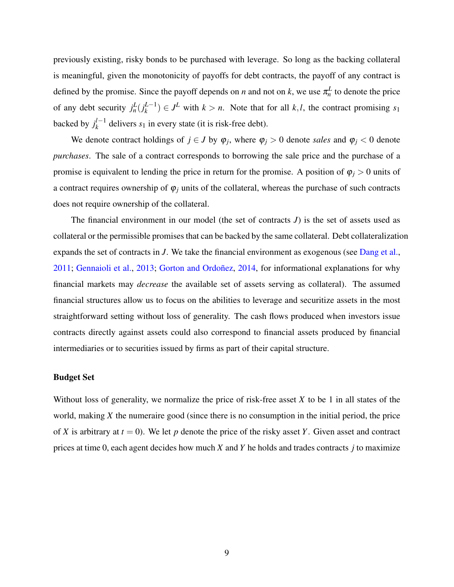previously existing, risky bonds to be purchased with leverage. So long as the backing collateral is meaningful, given the monotonicity of payoffs for debt contracts, the payoff of any contract is defined by the promise. Since the payoff depends on *n* and not on *k*, we use  $\pi_h^L$  to denote the price of any debt security  $j_n^L(j_k^{L-1})$  $\binom{L-1}{k} \in J^L$  with  $k > n$ . Note that for all  $k, l$ , the contract promising  $s_1$ backed by  $j_k^{l-1}$  $k<sup>l-1</sup>$  delivers  $s<sub>1</sub>$  in every state (it is risk-free debt).

We denote contract holdings of  $j \in J$  by  $\varphi_j$ , where  $\varphi_j > 0$  denote *sales* and  $\varphi_j < 0$  denote *purchases*. The sale of a contract corresponds to borrowing the sale price and the purchase of a promise is equivalent to lending the price in return for the promise. A position of  $\varphi_j > 0$  units of a contract requires ownership of  $\varphi_j$  units of the collateral, whereas the purchase of such contracts does not require ownership of the collateral.

The financial environment in our model (the set of contracts *J*) is the set of assets used as collateral or the permissible promises that can be backed by the same collateral. Debt collateralization expands the set of contracts in *J*. We take the financial environment as exogenous (see [Dang et al.,](#page-32-10) [2011;](#page-32-10) [Gennaioli et al.,](#page-32-11) [2013;](#page-32-11) Gorton and Ordoñez, [2014,](#page-33-7) for informational explanations for why financial markets may *decrease* the available set of assets serving as collateral). The assumed financial structures allow us to focus on the abilities to leverage and securitize assets in the most straightforward setting without loss of generality. The cash flows produced when investors issue contracts directly against assets could also correspond to financial assets produced by financial intermediaries or to securities issued by firms as part of their capital structure.

#### Budget Set

Without loss of generality, we normalize the price of risk-free asset *X* to be 1 in all states of the world, making *X* the numeraire good (since there is no consumption in the initial period, the price of *X* is arbitrary at  $t = 0$ ). We let *p* denote the price of the risky asset *Y*. Given asset and contract prices at time 0, each agent decides how much *X* and *Y* he holds and trades contracts *j* to maximize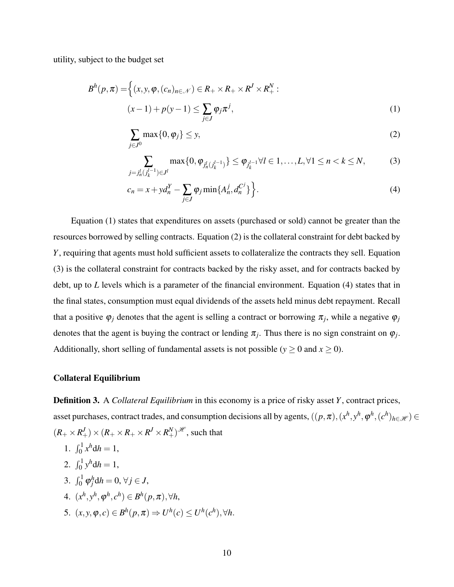utility, subject to the budget set

$$
B^{h}(p,\pi) = \left\{ (x, y, \varphi, (c_{n})_{n \in \mathcal{N}}) \in R_{+} \times R_{+} \times R^{J} \times R_{+}^{N} : (x-1) + p(y-1) \le \sum_{j \in J} \varphi_{j} \pi^{j}, \right\}
$$
\n(1)

<span id="page-9-0"></span>
$$
\sum_{j\in J^0} \max\{0, \varphi_j\} \le y,\tag{2}
$$

<span id="page-9-3"></span><span id="page-9-2"></span><span id="page-9-1"></span>
$$
\sum_{j=j_n^l(j_k^{l-1})\in J^l} \max\{0, \varphi_{j_n^l(j_k^{l-1})}\} \le \varphi_{j_k^{l-1}} \forall l \in 1, ..., L, \forall 1 \le n < k \le N,
$$
 (3)

$$
c_n = x + y d_n^Y - \sum_{j \in J} \varphi_j \min\{A_n^j, d_n^{C^j}\}\bigg\}.
$$
 (4)

Equation [\(1\)](#page-9-0) states that expenditures on assets (purchased or sold) cannot be greater than the resources borrowed by selling contracts. Equation [\(2\)](#page-9-1) is the collateral constraint for debt backed by *Y*, requiring that agents must hold sufficient assets to collateralize the contracts they sell. Equation [\(3\)](#page-9-2) is the collateral constraint for contracts backed by the risky asset, and for contracts backed by debt, up to *L* levels which is a parameter of the financial environment. Equation [\(4\)](#page-9-3) states that in the final states, consumption must equal dividends of the assets held minus debt repayment. Recall that a positive  $\varphi_j$  denotes that the agent is selling a contract or borrowing  $\pi_j$ , while a negative  $\varphi_j$ denotes that the agent is buying the contract or lending  $\pi_j$ . Thus there is no sign constraint on  $\varphi_j$ . Additionally, short selling of fundamental assets is not possible ( $y \ge 0$  and  $x \ge 0$ ).

#### Collateral Equilibrium

Definition 3. A *Collateral Equilibrium* in this economy is a price of risky asset *Y*, contract prices,

asset purchases, contract trades, and consumption decisions all by agents,  $((p, \pi), (x^h, y^h, \varphi^h, (c^h)_{h \in \mathscr{H}}) \in$  $(R_+ \times R_+^J) \times (R_+ \times R_+ \times R^J \times R_+^N)^{\mathscr{H}}$ , such that

- 1.  $\int_0^1 x^h dh = 1$ ,
- 2.  $\int_0^1 y^h dh = 1$ ,
- 3.  $\int_0^1 \varphi_j^h dh = 0, \forall j \in J$ ,
- 4.  $(x^h, y^h, \varphi^h, c^h) \in B^h(p, \pi), \forall h$ ,
- 5.  $(x, y, \varphi, c) \in B^h(p, \pi) \Rightarrow U^h(c) \leq U^h(c^h), \forall h.$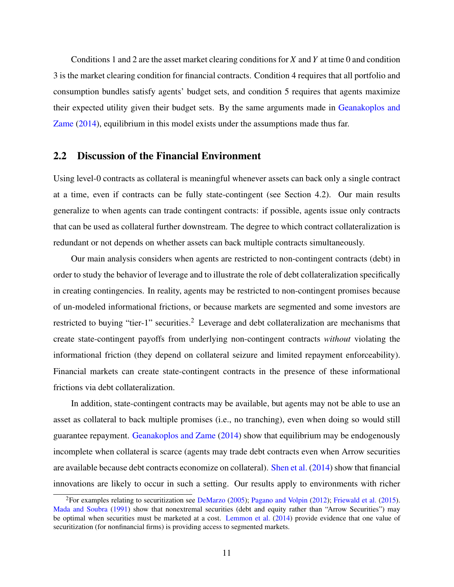Conditions 1 and 2 are the asset market clearing conditions for *X* and *Y* at time 0 and condition 3 is the market clearing condition for financial contracts. Condition 4 requires that all portfolio and consumption bundles satisfy agents' budget sets, and condition 5 requires that agents maximize their expected utility given their budget sets. By the same arguments made in [Geanakoplos and](#page-32-4) [Zame](#page-32-4) [\(2014\)](#page-32-4), equilibrium in this model exists under the assumptions made thus far.

#### 2.2 Discussion of the Financial Environment

Using level-0 contracts as collateral is meaningful whenever assets can back only a single contract at a time, even if contracts can be fully state-contingent (see Section [4.2\)](#page-25-0). Our main results generalize to when agents can trade contingent contracts: if possible, agents issue only contracts that can be used as collateral further downstream. The degree to which contract collateralization is redundant or not depends on whether assets can back multiple contracts simultaneously.

Our main analysis considers when agents are restricted to non-contingent contracts (debt) in order to study the behavior of leverage and to illustrate the role of debt collateralization specifically in creating contingencies. In reality, agents may be restricted to non-contingent promises because of un-modeled informational frictions, or because markets are segmented and some investors are restricted to buying "tier-1" securities.<sup>[2](#page-10-0)</sup> Leverage and debt collateralization are mechanisms that create state-contingent payoffs from underlying non-contingent contracts *without* violating the informational friction (they depend on collateral seizure and limited repayment enforceability). Financial markets can create state-contingent contracts in the presence of these informational frictions via debt collateralization.

In addition, state-contingent contracts may be available, but agents may not be able to use an asset as collateral to back multiple promises (i.e., no tranching), even when doing so would still guarantee repayment. [Geanakoplos and Zame](#page-32-4) [\(2014\)](#page-32-4) show that equilibrium may be endogenously incomplete when collateral is scarce (agents may trade debt contracts even when Arrow securities are available because debt contracts economize on collateral). [Shen et al.](#page-34-4) [\(2014\)](#page-34-4) show that financial innovations are likely to occur in such a setting. Our results apply to environments with richer

<span id="page-10-0"></span><sup>2</sup>For examples relating to securitization see [DeMarzo](#page-32-12) [\(2005\)](#page-32-12); [Pagano and Volpin](#page-33-8) [\(2012\)](#page-33-8); [Friewald et al.](#page-32-13) [\(2015\)](#page-32-13). [Mada and Soubra](#page-33-9) [\(1991\)](#page-33-9) show that nonextremal securities (debt and equity rather than "Arrow Securities") may be optimal when securities must be marketed at a cost. [Lemmon et al.](#page-33-10) [\(2014\)](#page-33-10) provide evidence that one value of securitization (for nonfinancial firms) is providing access to segmented markets.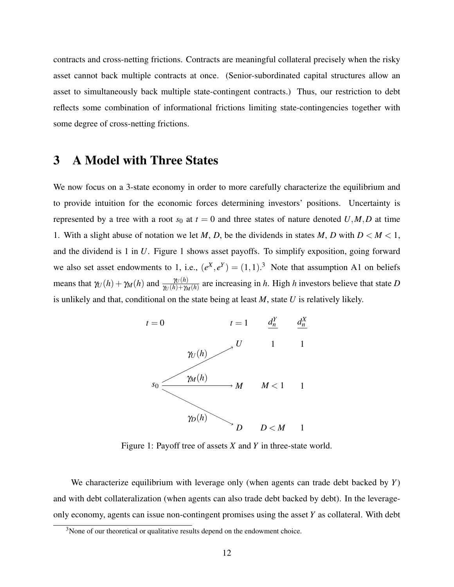contracts and cross-netting frictions. Contracts are meaningful collateral precisely when the risky asset cannot back multiple contracts at once. (Senior-subordinated capital structures allow an asset to simultaneously back multiple state-contingent contracts.) Thus, our restriction to debt reflects some combination of informational frictions limiting state-contingencies together with some degree of cross-netting frictions.

### <span id="page-11-2"></span>3 A Model with Three States

We now focus on a 3-state economy in order to more carefully characterize the equilibrium and to provide intuition for the economic forces determining investors' positions. Uncertainty is represented by a tree with a root  $s_0$  at  $t = 0$  and three states of nature denoted  $U, M, D$  at time 1. With a slight abuse of notation we let *M*, *D*, be the dividends in states *M*, *D* with  $D < M < 1$ , and the dividend is 1 in *U*. Figure [1](#page-11-0) shows asset payoffs. To simplify exposition, going forward we also set asset endowments to 1, i.e.,  $(e^X, e^Y) = (1,1).$ <sup>[3](#page-11-1)</sup> Note that assumption A1 on beliefs means that  $\gamma_U(h) + \gamma_M(h)$  and  $\frac{\gamma_U(h)}{\gamma_U(h) + \gamma_M(h)}$  are increasing in *h*. High *h* investors believe that state *D* is unlikely and that, conditional on the state being at least *M*, state *U* is relatively likely.

<span id="page-11-0"></span>

Figure 1: Payoff tree of assets *X* and *Y* in three-state world.

We characterize equilibrium with leverage only (when agents can trade debt backed by *Y*) and with debt collateralization (when agents can also trade debt backed by debt). In the leverageonly economy, agents can issue non-contingent promises using the asset *Y* as collateral. With debt

<span id="page-11-1"></span><sup>&</sup>lt;sup>3</sup>None of our theoretical or qualitative results depend on the endowment choice.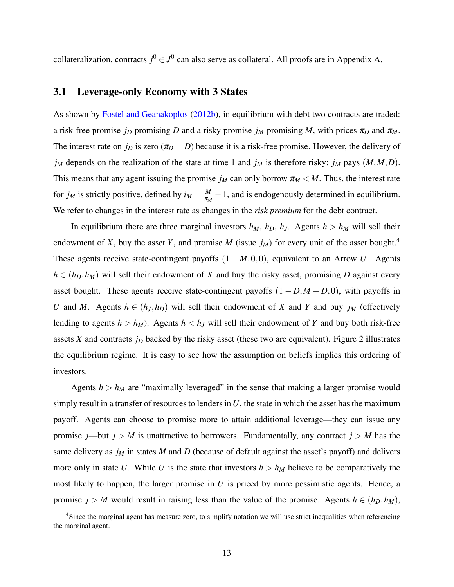collateralization, contracts  $j^0 \in J^0$  can also serve as collateral. All proofs are in Appendix [A.](#page-34-5)

#### 3.1 Leverage-only Economy with 3 States

As shown by [Fostel and Geanakoplos](#page-32-2) [\(2012b\)](#page-32-2), in equilibrium with debt two contracts are traded: a risk-free promise  $j_D$  promising *D* and a risky promise  $j_M$  promising *M*, with prices  $\pi_D$  and  $\pi_M$ . The interest rate on *j<sub>D</sub>* is zero ( $\pi$ *D* = *D*) because it is a risk-free promise. However, the delivery of *j*<sup>*M*</sup> depends on the realization of the state at time 1 and *j<sub>M</sub>* is therefore risky; *j<sub>M</sub>* pays  $(M, M, D)$ . This means that any agent issuing the promise  $j_M$  can only borrow  $\pi_M < M$ . Thus, the interest rate for  $j_M$  is strictly positive, defined by  $i_M = \frac{M}{\pi M}$  $\frac{M}{\pi_M}$  – 1, and is endogenously determined in equilibrium. We refer to changes in the interest rate as changes in the *risk premium* for the debt contract.

In equilibrium there are three marginal investors  $h_M$ ,  $h_D$ ,  $h_J$ . Agents  $h > h_M$  will sell their endowment of *X*, buy the asset *Y*, and promise *M* (issue  $j_M$ ) for every unit of the asset bought.<sup>[4](#page-12-0)</sup> These agents receive state-contingent payoffs  $(1 - M, 0, 0)$ , equivalent to an Arrow *U*. Agents  $h \in (h_D, h_M)$  will sell their endowment of *X* and buy the risky asset, promising *D* against every asset bought. These agents receive state-contingent payoffs  $(1 - D, M - D, 0)$ , with payoffs in *U* and *M*. Agents  $h \in (h_J, h_D)$  will sell their endowment of *X* and *Y* and buy *j<sub>M</sub>* (effectively lending to agents  $h > h_M$ ). Agents  $h < h_J$  will sell their endowment of *Y* and buy both risk-free assets *X* and contracts *j<sup>D</sup>* backed by the risky asset (these two are equivalent). Figure [2](#page-13-0) illustrates the equilibrium regime. It is easy to see how the assumption on beliefs implies this ordering of investors.

Agents  $h > h_M$  are "maximally leveraged" in the sense that making a larger promise would simply result in a transfer of resources to lenders in  $U$ , the state in which the asset has the maximum payoff. Agents can choose to promise more to attain additional leverage—they can issue any promise *j*—but *j* > *M* is unattractive to borrowers. Fundamentally, any contract *j* > *M* has the same delivery as  $j_M$  in states  $M$  and  $D$  (because of default against the asset's payoff) and delivers more only in state *U*. While *U* is the state that investors  $h > h<sub>M</sub>$  believe to be comparatively the most likely to happen, the larger promise in *U* is priced by more pessimistic agents. Hence, a promise *j* > *M* would result in raising less than the value of the promise. Agents  $h \in (h_D, h_M)$ ,

<span id="page-12-0"></span><sup>&</sup>lt;sup>4</sup>Since the marginal agent has measure zero, to simplify notation we will use strict inequalities when referencing the marginal agent.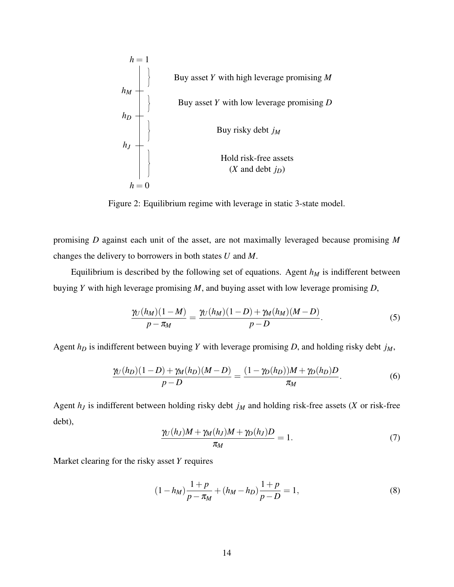<span id="page-13-0"></span>

Figure 2: Equilibrium regime with leverage in static 3-state model.

promising *D* against each unit of the asset, are not maximally leveraged because promising *M* changes the delivery to borrowers in both states *U* and *M*.

Equilibrium is described by the following set of equations. Agent *h<sup>M</sup>* is indifferent between buying *Y* with high leverage promising *M*, and buying asset with low leverage promising *D*,

<span id="page-13-2"></span>
$$
\frac{\gamma_U(h_M)(1-M)}{p-\pi_M} = \frac{\gamma_U(h_M)(1-D) + \gamma_M(h_M)(M-D)}{p-D}.
$$
\n(5)

Agent  $h_D$  is indifferent between buying *Y* with leverage promising *D*, and holding risky debt  $j_M$ ,

$$
\frac{\gamma_U(h_D)(1 - D) + \gamma_M(h_D)(M - D)}{p - D} = \frac{(1 - \gamma_D(h_D))M + \gamma_D(h_D)D}{\pi_M}.
$$
\n(6)

Agent *h<sup>J</sup>* is indifferent between holding risky debt *j<sup>M</sup>* and holding risk-free assets (*X* or risk-free debt),

<span id="page-13-3"></span>
$$
\frac{\gamma_U(h_J)M + \gamma_M(h_J)M + \gamma_D(h_J)D}{\pi_M} = 1.
$$
\n(7)

Market clearing for the risky asset *Y* requires

<span id="page-13-1"></span>
$$
(1 - h_M) \frac{1 + p}{p - \pi_M} + (h_M - h_D) \frac{1 + p}{p - D} = 1,
$$
\n(8)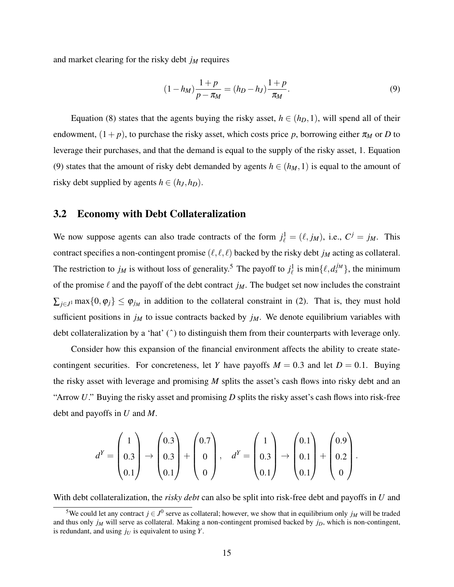and market clearing for the risky debt *j<sup>M</sup>* requires

<span id="page-14-0"></span>
$$
(1 - h_M) \frac{1 + p}{p - \pi_M} = (h_D - h_J) \frac{1 + p}{\pi_M}.
$$
\n(9)

Equation [\(8\)](#page-13-1) states that the agents buying the risky asset,  $h \in (h_D, 1)$ , will spend all of their endowment,  $(1 + p)$ , to purchase the risky asset, which costs price *p*, borrowing either  $\pi_M$  or *D* to leverage their purchases, and that the demand is equal to the supply of the risky asset, 1. Equation [\(9\)](#page-14-0) states that the amount of risky debt demanded by agents  $h \in (h_M, 1)$  is equal to the amount of risky debt supplied by agents  $h \in (h_J, h_D)$ .

#### 3.2 Economy with Debt Collateralization

We now suppose agents can also trade contracts of the form  $j_{\ell}^1 = (\ell, j_M)$ , i.e.,  $C^j = j_M$ . This contract specifies a non-contingent promise  $(\ell, \ell, \ell)$  backed by the risky debt *j<sub>M</sub>* acting as collateral. The restriction to *j<sub>M</sub>* is without loss of generality.<sup>[5](#page-14-1)</sup> The payoff to  $j^1_\ell$  is min{ $\ell$ ,  $d_s^{j_M}$ }, the minimum of the promise  $\ell$  and the payoff of the debt contract  $j_M$ . The budget set now includes the constraint  $\sum_{j\in J}$  max $\{0,\varphi_j\}\leq \varphi_{jM}$  in addition to the collateral constraint in [\(2\)](#page-9-1). That is, they must hold sufficient positions in  $j_M$  to issue contracts backed by  $j_M$ . We denote equilibrium variables with debt collateralization by a 'hat' (ˆ ) to distinguish them from their counterparts with leverage only.

Consider how this expansion of the financial environment affects the ability to create statecontingent securities. For concreteness, let *Y* have payoffs  $M = 0.3$  and let  $D = 0.1$ . Buying the risky asset with leverage and promising *M* splits the asset's cash flows into risky debt and an "Arrow *U*." Buying the risky asset and promising *D* splits the risky asset's cash flows into risk-free debt and payoffs in *U* and *M*.

$$
d^{Y} = \begin{pmatrix} 1 \\ 0.3 \\ 0.1 \end{pmatrix} \rightarrow \begin{pmatrix} 0.3 \\ 0.3 \\ 0.1 \end{pmatrix} + \begin{pmatrix} 0.7 \\ 0 \\ 0 \end{pmatrix}, \quad d^{Y} = \begin{pmatrix} 1 \\ 0.3 \\ 0.1 \end{pmatrix} \rightarrow \begin{pmatrix} 0.1 \\ 0.1 \\ 0.1 \end{pmatrix} + \begin{pmatrix} 0.9 \\ 0.2 \\ 0 \end{pmatrix}.
$$

With debt collateralization, the *risky debt* can also be split into risk-free debt and payoffs in *U* and

<span id="page-14-1"></span><sup>&</sup>lt;sup>5</sup>We could let any contract  $j \in J^0$  serve as collateral; however, we show that in equilibrium only  $j_M$  will be traded and thus only  $j<sub>M</sub>$  will serve as collateral. Making a non-contingent promised backed by  $j<sub>D</sub>$ , which is non-contingent, is redundant, and using  $j_U$  is equivalent to using  $Y$ .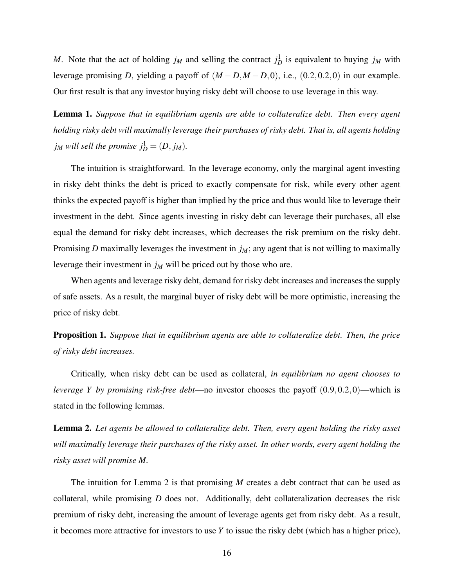*M*. Note that the act of holding  $j_M$  and selling the contract  $j_D^1$  is equivalent to buying  $j_M$  with leverage promising *D*, yielding a payoff of  $(M - D, M - D, 0)$ , i.e.,  $(0.2, 0.2, 0)$  in our example. Our first result is that any investor buying risky debt will choose to use leverage in this way.

<span id="page-15-1"></span>Lemma 1. *Suppose that in equilibrium agents are able to collateralize debt. Then every agent holding risky debt will maximally leverage their purchases of risky debt. That is, all agents holding j*<sup>*M*</sup> will sell the promise  $j_D^1 = (D, j_M)$ .

The intuition is straightforward. In the leverage economy, only the marginal agent investing in risky debt thinks the debt is priced to exactly compensate for risk, while every other agent thinks the expected payoff is higher than implied by the price and thus would like to leverage their investment in the debt. Since agents investing in risky debt can leverage their purchases, all else equal the demand for risky debt increases, which decreases the risk premium on the risky debt. Promising *D* maximally leverages the investment in  $j_M$ ; any agent that is not willing to maximally leverage their investment in *j<sup>M</sup>* will be priced out by those who are.

When agents and leverage risky debt, demand for risky debt increases and increases the supply of safe assets. As a result, the marginal buyer of risky debt will be more optimistic, increasing the price of risky debt.

<span id="page-15-2"></span>Proposition 1. *Suppose that in equilibrium agents are able to collateralize debt. Then, the price of risky debt increases.*

Critically, when risky debt can be used as collateral, *in equilibrium no agent chooses to leverage Y by promising risk-free debt*—no investor chooses the payoff (0.9,0.2,0)—which is stated in the following lemmas.

<span id="page-15-0"></span>Lemma 2. *Let agents be allowed to collateralize debt. Then, every agent holding the risky asset will maximally leverage their purchases of the risky asset. In other words, every agent holding the risky asset will promise M.*

The intuition for Lemma [2](#page-15-0) is that promising *M* creates a debt contract that can be used as collateral, while promising *D* does not. Additionally, debt collateralization decreases the risk premium of risky debt, increasing the amount of leverage agents get from risky debt. As a result, it becomes more attractive for investors to use *Y* to issue the risky debt (which has a higher price),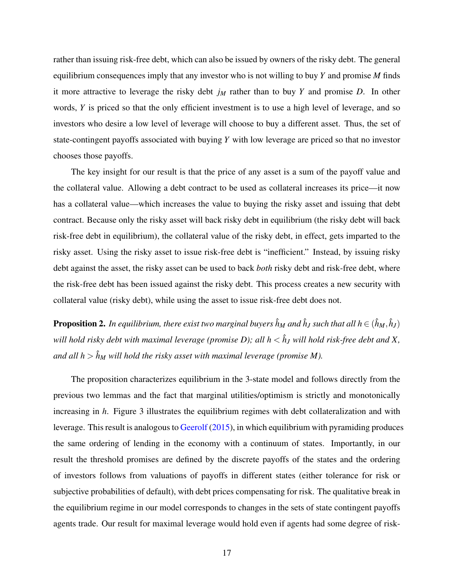rather than issuing risk-free debt, which can also be issued by owners of the risky debt. The general equilibrium consequences imply that any investor who is not willing to buy *Y* and promise *M* finds it more attractive to leverage the risky debt  $j_M$  rather than to buy  $Y$  and promise  $D$ . In other words, *Y* is priced so that the only efficient investment is to use a high level of leverage, and so investors who desire a low level of leverage will choose to buy a different asset. Thus, the set of state-contingent payoffs associated with buying *Y* with low leverage are priced so that no investor chooses those payoffs.

The key insight for our result is that the price of any asset is a sum of the payoff value and the collateral value. Allowing a debt contract to be used as collateral increases its price—it now has a collateral value—which increases the value to buying the risky asset and issuing that debt contract. Because only the risky asset will back risky debt in equilibrium (the risky debt will back risk-free debt in equilibrium), the collateral value of the risky debt, in effect, gets imparted to the risky asset. Using the risky asset to issue risk-free debt is "inefficient." Instead, by issuing risky debt against the asset, the risky asset can be used to back *both* risky debt and risk-free debt, where the risk-free debt has been issued against the risky debt. This process creates a new security with collateral value (risky debt), while using the asset to issue risk-free debt does not.

 ${\bf Proposition 2.}$  *In equilibrium, there exist two marginal buyers*  $\hat{h}_M$  *and*  $\hat{h}_J$  *such that all*  $h\in (\hat{h}_M,\hat{h}_J)$ will hold risky debt with maximal leverage (promise D); all  $h < \hat{h}_J$  will hold risk-free debt and X, *and all*  $h > \hat{h}_M$  *will hold the risky asset with maximal leverage (promise M).* 

The proposition characterizes equilibrium in the 3-state model and follows directly from the previous two lemmas and the fact that marginal utilities/optimism is strictly and monotonically increasing in *h*. Figure [3](#page-17-0) illustrates the equilibrium regimes with debt collateralization and with leverage. This result is analogous to [Geerolf](#page-32-9) [\(2015\)](#page-32-9), in which equilibrium with pyramiding produces the same ordering of lending in the economy with a continuum of states. Importantly, in our result the threshold promises are defined by the discrete payoffs of the states and the ordering of investors follows from valuations of payoffs in different states (either tolerance for risk or subjective probabilities of default), with debt prices compensating for risk. The qualitative break in the equilibrium regime in our model corresponds to changes in the sets of state contingent payoffs agents trade. Our result for maximal leverage would hold even if agents had some degree of risk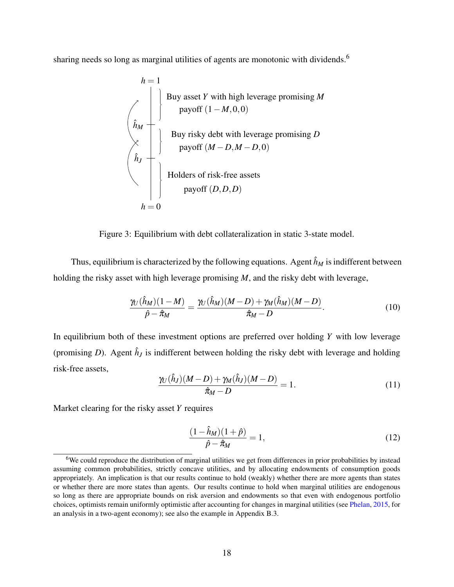<span id="page-17-0"></span>sharing needs so long as marginal utilities of agents are monotonic with dividends.[6](#page-17-1)

*h* = 1 *h* = 0 *h*ˆ*M* Buy asset *Y* with high leverage promising *M* payoff (1− *M*,0,0) Buy risky debt with leverage promising *D* payoff (*M* −*D*,*M* −*D*,0) Holders of risk-free assets payoff (*D*,*D*,*D*) *h*ˆ *J*

Figure 3: Equilibrium with debt collateralization in static 3-state model.

Thus, equilibrium is characterized by the following equations. Agent  $\hat{h}_M$  is indifferent between holding the risky asset with high leverage promising *M*, and the risky debt with leverage,

<span id="page-17-2"></span>
$$
\frac{\gamma_U(\hat{h}_M)(1-M)}{\hat{p}-\hat{\pi}_M} = \frac{\gamma_U(\hat{h}_M)(M-D) + \gamma_M(\hat{h}_M)(M-D)}{\hat{\pi}_M - D}.
$$
\n(10)

In equilibrium both of these investment options are preferred over holding *Y* with low leverage (promising *D*). Agent  $\hat{h}_J$  is indifferent between holding the risky debt with leverage and holding risk-free assets,

<span id="page-17-3"></span>
$$
\frac{\gamma_U(\hat{h}_J)(M-D) + \gamma_M(\hat{h}_J)(M-D)}{\hat{\pi}_M - D} = 1.
$$
\n(11)

Market clearing for the risky asset *Y* requires

$$
\frac{(1 - \hat{h}_M)(1 + \hat{p})}{\hat{p} - \hat{\pi}_M} = 1,
$$
\n(12)

<span id="page-17-1"></span><sup>&</sup>lt;sup>6</sup>We could reproduce the distribution of marginal utilities we get from differences in prior probabilities by instead assuming common probabilities, strictly concave utilities, and by allocating endowments of consumption goods appropriately. An implication is that our results continue to hold (weakly) whether there are more agents than states or whether there are more states than agents. Our results continue to hold when marginal utilities are endogenous so long as there are appropriate bounds on risk aversion and endowments so that even with endogenous portfolio choices, optimists remain uniformly optimistic after accounting for changes in marginal utilities (see [Phelan,](#page-33-6) [2015,](#page-33-6) for an analysis in a two-agent economy); see also the example in Appendix [B.3.](#page-54-0)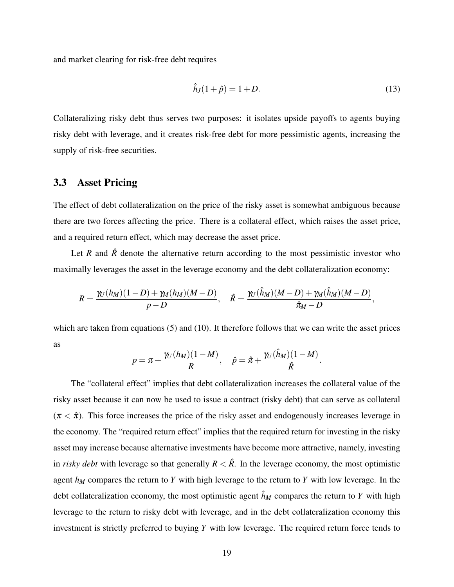and market clearing for risk-free debt requires

$$
\hat{h}_J(1+\hat{p}) = 1+D. \tag{13}
$$

Collateralizing risky debt thus serves two purposes: it isolates upside payoffs to agents buying risky debt with leverage, and it creates risk-free debt for more pessimistic agents, increasing the supply of risk-free securities.

#### 3.3 Asset Pricing

The effect of debt collateralization on the price of the risky asset is somewhat ambiguous because there are two forces affecting the price. There is a collateral effect, which raises the asset price, and a required return effect, which may decrease the asset price.

Let *R* and  $\hat{R}$  denote the alternative return according to the most pessimistic investor who maximally leverages the asset in the leverage economy and the debt collateralization economy:

$$
R=\frac{\gamma_U(h_M)(1-D)+\gamma_M(h_M)(M-D)}{p-D},\quad \hat{R}=\frac{\gamma_U(\hat{h}_M)(M-D)+\gamma_M(\hat{h}_M)(M-D)}{\hat{\pi}_M-D},
$$

which are taken from equations [\(5\)](#page-13-2) and [\(10\)](#page-17-2). It therefore follows that we can write the asset prices as

$$
p = \pi + \frac{\gamma_U(h_M)(1-M)}{R}, \quad \hat{p} = \hat{\pi} + \frac{\gamma_U(\hat{h}_M)(1-M)}{\hat{R}}.
$$

The "collateral effect" implies that debt collateralization increases the collateral value of the risky asset because it can now be used to issue a contract (risky debt) that can serve as collateral  $(\pi < \hat{\pi})$ . This force increases the price of the risky asset and endogenously increases leverage in the economy. The "required return effect" implies that the required return for investing in the risky asset may increase because alternative investments have become more attractive, namely, investing in *risky debt* with leverage so that generally  $R < \hat{R}$ . In the leverage economy, the most optimistic agent  $h_M$  compares the return to *Y* with high leverage to the return to *Y* with low leverage. In the debt collateralization economy, the most optimistic agent  $\hat{h}_M$  compares the return to *Y* with high leverage to the return to risky debt with leverage, and in the debt collateralization economy this investment is strictly preferred to buying *Y* with low leverage. The required return force tends to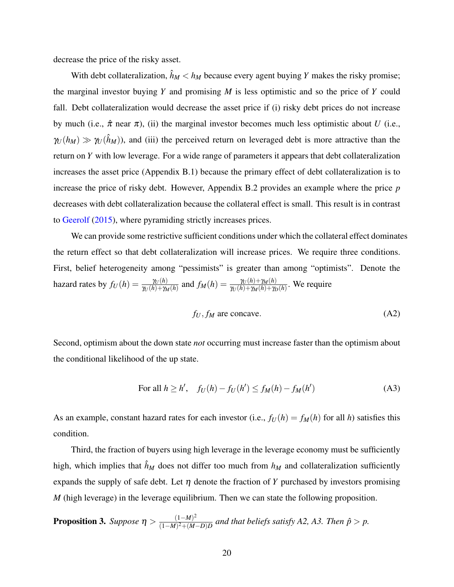decrease the price of the risky asset.

With debt collateralization,  $\hat{h}_M < h_M$  because every agent buying *Y* makes the risky promise; the marginal investor buying *Y* and promising *M* is less optimistic and so the price of *Y* could fall. Debt collateralization would decrease the asset price if (i) risky debt prices do not increase by much (i.e.,  $\hat{\pi}$  near  $\pi$ ), (ii) the marginal investor becomes much less optimistic about *U* (i.e.,  $\gamma_U(h_M) \gg \gamma_U(\hat{h}_M)$ , and (iii) the perceived return on leveraged debt is more attractive than the return on *Y* with low leverage. For a wide range of parameters it appears that debt collateralization increases the asset price (Appendix [B.1\)](#page-50-0) because the primary effect of debt collateralization is to increase the price of risky debt. However, Appendix [B.2](#page-53-0) provides an example where the price *p* decreases with debt collateralization because the collateral effect is small. This result is in contrast to [Geerolf](#page-32-9) [\(2015\)](#page-32-9), where pyramiding strictly increases prices.

We can provide some restrictive sufficient conditions under which the collateral effect dominates the return effect so that debt collateralization will increase prices. We require three conditions. First, belief heterogeneity among "pessimists" is greater than among "optimists". Denote the hazard rates by  $f_U(h) = \frac{\gamma_U(h)}{\gamma_U(h) + \gamma_M(h)}$  and  $f_M(h) = \frac{\gamma_U(h) + \gamma_M(h)}{\gamma_U(h) + \gamma_M(h) + \gamma_D(h)}$ . We require

$$
f_U, f_M \text{ are concave.} \tag{A2}
$$

Second, optimism about the down state *not* occurring must increase faster than the optimism about the conditional likelihood of the up state.

For all 
$$
h \ge h'
$$
,  $f_U(h) - f_U(h') \le f_M(h) - f_M(h')$  (A3)

As an example, constant hazard rates for each investor (i.e.,  $f_U(h) = f_M(h)$  for all *h*) satisfies this condition.

Third, the fraction of buyers using high leverage in the leverage economy must be sufficiently high, which implies that  $\hat{h}_M$  does not differ too much from  $h_M$  and collateralization sufficiently expands the supply of safe debt. Let  $\eta$  denote the fraction of *Y* purchased by investors promising *M* (high leverage) in the leverage equilibrium. Then we can state the following proposition.

<span id="page-19-0"></span>**Proposition 3.** *Suppose*  $η > \frac{(1-M)^2}{(1-M)^2+(M)}$  $\frac{(1-M)^2}{(1-M)^2+(M-D)D}$  and that beliefs satisfy A2, A3. Then  $\hat{p} > p$ .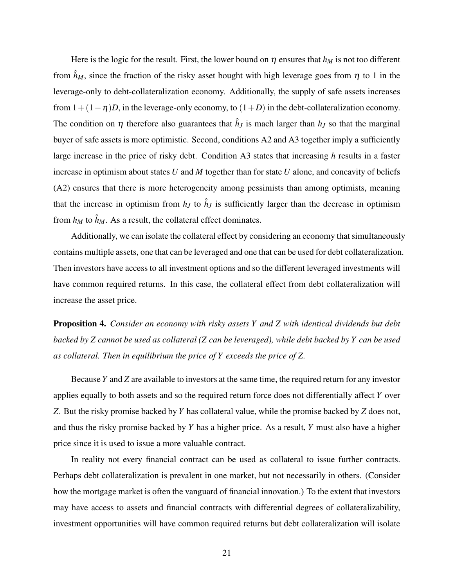Here is the logic for the result. First, the lower bound on  $\eta$  ensures that  $h_M$  is not too different from  $\hat{h}_M$ , since the fraction of the risky asset bought with high leverage goes from  $\eta$  to 1 in the leverage-only to debt-collateralization economy. Additionally, the supply of safe assets increases from  $1 + (1 - \eta)D$ , in the leverage-only economy, to  $(1 + D)$  in the debt-collateralization economy. The condition on  $\eta$  therefore also guarantees that  $\hat{h}_J$  is mach larger than  $h_J$  so that the marginal buyer of safe assets is more optimistic. Second, conditions A2 and A3 together imply a sufficiently large increase in the price of risky debt. Condition A3 states that increasing *h* results in a faster increase in optimism about states *U* and *M* together than for state *U* alone, and concavity of beliefs (A2) ensures that there is more heterogeneity among pessimists than among optimists, meaning that the increase in optimism from  $h_J$  to  $\hat{h}_J$  is sufficiently larger than the decrease in optimism from  $h_M$  to  $\hat{h}_M$ . As a result, the collateral effect dominates.

Additionally, we can isolate the collateral effect by considering an economy that simultaneously contains multiple assets, one that can be leveraged and one that can be used for debt collateralization. Then investors have access to all investment options and so the different leveraged investments will have common required returns. In this case, the collateral effect from debt collateralization will increase the asset price.

<span id="page-20-0"></span>Proposition 4. *Consider an economy with risky assets Y and Z with identical dividends but debt backed by Z cannot be used as collateral (Z can be leveraged), while debt backed by Y can be used as collateral. Then in equilibrium the price of Y exceeds the price of Z.*

Because *Y* and *Z* are available to investors at the same time, the required return for any investor applies equally to both assets and so the required return force does not differentially affect *Y* over *Z*. But the risky promise backed by *Y* has collateral value, while the promise backed by *Z* does not, and thus the risky promise backed by *Y* has a higher price. As a result, *Y* must also have a higher price since it is used to issue a more valuable contract.

In reality not every financial contract can be used as collateral to issue further contracts. Perhaps debt collateralization is prevalent in one market, but not necessarily in others. (Consider how the mortgage market is often the vanguard of financial innovation.) To the extent that investors may have access to assets and financial contracts with differential degrees of collateralizability, investment opportunities will have common required returns but debt collateralization will isolate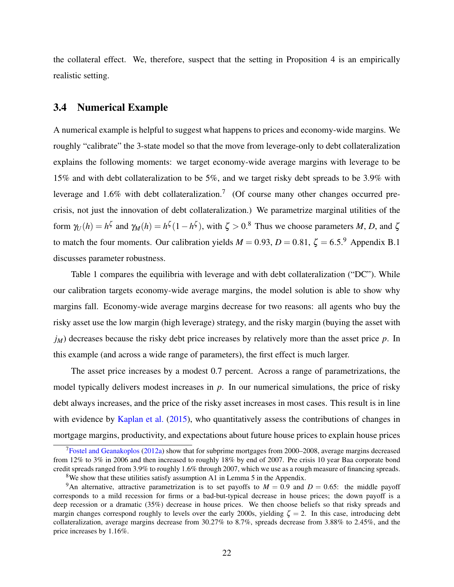the collateral effect. We, therefore, suspect that the setting in Proposition [4](#page-20-0) is an empirically realistic setting.

### 3.4 Numerical Example

A numerical example is helpful to suggest what happens to prices and economy-wide margins. We roughly "calibrate" the 3-state model so that the move from leverage-only to debt collateralization explains the following moments: we target economy-wide average margins with leverage to be 15% and with debt collateralization to be 5%, and we target risky debt spreads to be 3.9% with leverage and 1.6% with debt collateralization.<sup>[7](#page-21-0)</sup> (Of course many other changes occurred precrisis, not just the innovation of debt collateralization.) We parametrize marginal utilities of the form  $\gamma_U(h) = h^{\zeta}$  and  $\gamma_M(h) = h^{\zeta}(1-h^{\zeta})$ , with  $\zeta > 0.8$  $\zeta > 0.8$  Thus we choose parameters *M*, *D*, and  $\zeta$ to match the four moments. Our calibration yields  $M = 0.93$  $M = 0.93$  $M = 0.93$ ,  $D = 0.81$ ,  $\zeta = 6.5$ .<sup>9</sup> Appendix [B.1](#page-50-0) discusses parameter robustness.

Table [1](#page-22-0) compares the equilibria with leverage and with debt collateralization ("DC"). While our calibration targets economy-wide average margins, the model solution is able to show why margins fall. Economy-wide average margins decrease for two reasons: all agents who buy the risky asset use the low margin (high leverage) strategy, and the risky margin (buying the asset with *j<sub>M</sub>*) decreases because the risky debt price increases by relatively more than the asset price *p*. In this example (and across a wide range of parameters), the first effect is much larger.

The asset price increases by a modest 0.7 percent. Across a range of parametrizations, the model typically delivers modest increases in *p*. In our numerical simulations, the price of risky debt always increases, and the price of the risky asset increases in most cases. This result is in line with evidence by [Kaplan et al.](#page-33-11) [\(2015\)](#page-33-11), who quantitatively assess the contributions of changes in mortgage margins, productivity, and expectations about future house prices to explain house prices

<span id="page-21-0"></span> $^{7}$ [Fostel and Geanakoplos](#page-32-3) [\(2012a\)](#page-32-3) show that for subprime mortgages from 2000–2008, average margins decreased from 12% to 3% in 2006 and then increased to roughly 18% by end of 2007. Pre crisis 10 year Baa corporate bond credit spreads ranged from 3.9% to roughly 1.6% through 2007, which we use as a rough measure of financing spreads.

<span id="page-21-2"></span><span id="page-21-1"></span><sup>&</sup>lt;sup>8</sup>We show that these utilities satisfy assumption A1 in Lemma [5](#page-40-0) in the Appendix.

<sup>&</sup>lt;sup>9</sup>An alternative, attractive parametrization is to set payoffs to  $M = 0.9$  and  $D = 0.65$ : the middle payoff corresponds to a mild recession for firms or a bad-but-typical decrease in house prices; the down payoff is a deep recession or a dramatic (35%) decrease in house prices. We then choose beliefs so that risky spreads and margin changes correspond roughly to levels over the early 2000s, yielding  $\zeta = 2$ . In this case, introducing debt collateralization, average margins decrease from 30.27% to 8.7%, spreads decrease from 3.88% to 2.45%, and the price increases by 1.16%.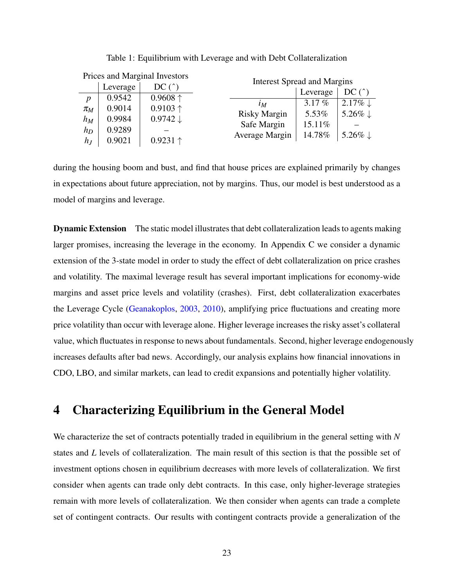<span id="page-22-0"></span>

|                  |          | Prices and Marginal Investors |                     | <b>Interest Spread and Margins</b> |                     |  |
|------------------|----------|-------------------------------|---------------------|------------------------------------|---------------------|--|
|                  | Leverage | $DC(^{\wedge})$               |                     | Leverage                           | $DC(^{\wedge})$     |  |
| $\boldsymbol{p}$ | 0.9542   | $0.9608 \uparrow$             |                     | 3.17%                              |                     |  |
| $\pi_M$          | 0.9014   | $0.9103$ ↑                    | $l_M$               |                                    | $2.17\% \downarrow$ |  |
| $h_M$            | 0.9984   | $0.9742 \downarrow$           | <b>Risky Margin</b> | 5.53%                              | 5.26% $\downarrow$  |  |
| $h_D$            | 0.9289   |                               | Safe Margin         | 15.11%                             |                     |  |
|                  | 0.9021   | $0.9231 \uparrow$             | Average Margin      | 14.78%                             | 5.26% $\downarrow$  |  |
| $h_J$            |          |                               |                     |                                    |                     |  |

Table 1: Equilibrium with Leverage and with Debt Collateralization

during the housing boom and bust, and find that house prices are explained primarily by changes in expectations about future appreciation, not by margins. Thus, our model is best understood as a model of margins and leverage.

**Dynamic Extension** The static model illustrates that debt collateralization leads to agents making larger promises, increasing the leverage in the economy. In Appendix [C](#page-54-1) we consider a dynamic extension of the 3-state model in order to study the effect of debt collateralization on price crashes and volatility. The maximal leverage result has several important implications for economy-wide margins and asset price levels and volatility (crashes). First, debt collateralization exacerbates the Leverage Cycle [\(Geanakoplos,](#page-32-1) [2003,](#page-32-1) [2010\)](#page-32-14), amplifying price fluctuations and creating more price volatility than occur with leverage alone. Higher leverage increases the risky asset's collateral value, which fluctuates in response to news about fundamentals. Second, higher leverage endogenously increases defaults after bad news. Accordingly, our analysis explains how financial innovations in CDO, LBO, and similar markets, can lead to credit expansions and potentially higher volatility.

### 4 Characterizing Equilibrium in the General Model

We characterize the set of contracts potentially traded in equilibrium in the general setting with *N* states and *L* levels of collateralization. The main result of this section is that the possible set of investment options chosen in equilibrium decreases with more levels of collateralization. We first consider when agents can trade only debt contracts. In this case, only higher-leverage strategies remain with more levels of collateralization. We then consider when agents can trade a complete set of contingent contracts. Our results with contingent contracts provide a generalization of the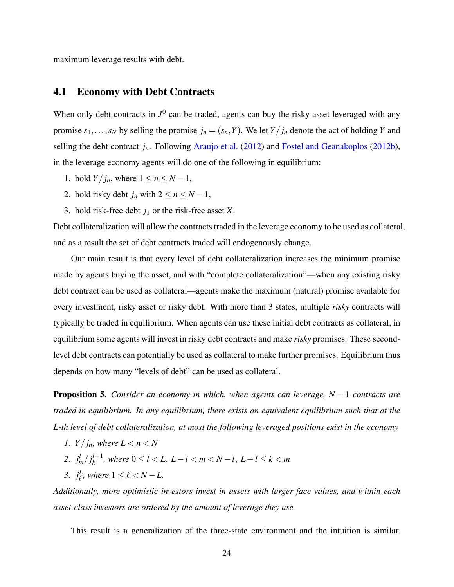maximum leverage results with debt.

#### 4.1 Economy with Debt Contracts

When only debt contracts in  $J^0$  can be traded, agents can buy the risky asset leveraged with any promise  $s_1, \ldots, s_N$  by selling the promise  $j_n = (s_n, Y)$ . We let  $Y/j_n$  denote the act of holding *Y* and selling the debt contract *jn*. Following [Araujo et al.](#page-31-0) [\(2012\)](#page-31-0) and [Fostel and Geanakoplos](#page-32-2) [\(2012b\)](#page-32-2), in the leverage economy agents will do one of the following in equilibrium:

- 1. hold  $Y/j_n$ , where  $1 \le n \le N-1$ ,
- 2. hold risky debt  $j_n$  with  $2 \le n \le N-1$ ,
- 3. hold risk-free debt  $j_1$  or the risk-free asset  $X$ .

Debt collateralization will allow the contracts traded in the leverage economy to be used as collateral, and as a result the set of debt contracts traded will endogenously change.

Our main result is that every level of debt collateralization increases the minimum promise made by agents buying the asset, and with "complete collateralization"—when any existing risky debt contract can be used as collateral—agents make the maximum (natural) promise available for every investment, risky asset or risky debt. With more than 3 states, multiple *risky* contracts will typically be traded in equilibrium. When agents can use these initial debt contracts as collateral, in equilibrium some agents will invest in risky debt contracts and make *risky* promises. These secondlevel debt contracts can potentially be used as collateral to make further promises. Equilibrium thus depends on how many "levels of debt" can be used as collateral.

<span id="page-23-1"></span>Proposition 5. *Consider an economy in which, when agents can leverage, N* − 1 *contracts are traded in equilibrium. In any equilibrium, there exists an equivalent equilibrium such that at the L-th level of debt collateralization, at most the following leveraged positions exist in the economy*

- *1.*  $Y/j_n$ *, where*  $L < n < N$
- 2.  $j_m^l / j_k^{l+1}$  $k^{l+1}$ , where  $0 \le l < L, L-l < m < N-l, L-l \le k < m$
- <span id="page-23-0"></span>*3. j L*  $^L_{\ell}$ , where  $1 \leq \ell < N - L$ .

*Additionally, more optimistic investors invest in assets with larger face values, and within each asset-class investors are ordered by the amount of leverage they use.*

This result is a generalization of the three-state environment and the intuition is similar.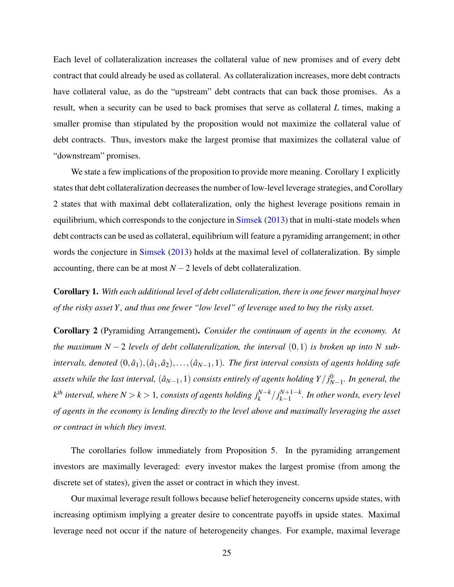Each level of collateralization increases the collateral value of new promises and of every debt contract that could already be used as collateral. As collateralization increases, more debt contracts have collateral value, as do the "upstream" debt contracts that can back those promises. As a result, when a security can be used to back promises that serve as collateral *L* times, making a smaller promise than stipulated by the proposition would not maximize the collateral value of debt contracts. Thus, investors make the largest promise that maximizes the collateral value of "downstream" promises.

We state a few implications of the proposition to provide more meaning. Corollary 1 explicitly states that debt collateralization decreases the number of low-level leverage strategies, and Corollary 2 states that with maximal debt collateralization, only the highest leverage positions remain in equilibrium, which corresponds to the conjecture in [Simsek](#page-34-2) [\(2013\)](#page-34-2) that in multi-state models when debt contracts can be used as collateral, equilibrium will feature a pyramiding arrangement; in other words the conjecture in [Simsek](#page-34-2) [\(2013\)](#page-34-2) holds at the maximal level of collateralization. By simple accounting, there can be at most  $N-2$  levels of debt collateralization.

Corollary 1. *With each additional level of debt collateralization, there is one fewer marginal buyer of the risky asset Y , and thus one fewer "low level" of leverage used to buy the risky asset.*

Corollary 2 (Pyramiding Arrangement). *Consider the continuum of agents in the economy. At the maximum N* − 2 *levels of debt collateralization, the interval* (0,1) *is broken up into N subintervals, denoted*  $(0,\hat{a}_1),(\hat{a}_1,\hat{a}_2),\ldots,(\hat{a}_{N-1},1)$ *. The first interval consists of agents holding safe* assets while the last interval,  $(\hat{a}_{N-1},1)$  consists entirely of agents holding  $Y/j_{N-1}^0$ . In general, the  $k^{th}$  *interval, where N* > *k* > 1*, consists of agents holding*  $j_{k}^{N-k}/j_{k-1}^{N+1-k}$ *k*−1 *. In other words, every level of agents in the economy is lending directly to the level above and maximally leveraging the asset or contract in which they invest.*

The corollaries follow immediately from Proposition [5.](#page-23-0) In the pyramiding arrangement investors are maximally leveraged: every investor makes the largest promise (from among the discrete set of states), given the asset or contract in which they invest.

Our maximal leverage result follows because belief heterogeneity concerns upside states, with increasing optimism implying a greater desire to concentrate payoffs in upside states. Maximal leverage need not occur if the nature of heterogeneity changes. For example, maximal leverage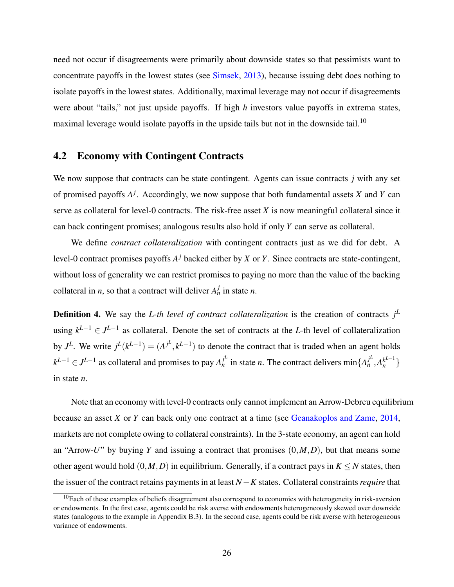need not occur if disagreements were primarily about downside states so that pessimists want to concentrate payoffs in the lowest states (see [Simsek,](#page-34-2) [2013\)](#page-34-2), because issuing debt does nothing to isolate payoffs in the lowest states. Additionally, maximal leverage may not occur if disagreements were about "tails," not just upside payoffs. If high *h* investors value payoffs in extrema states, maximal leverage would isolate payoffs in the upside tails but not in the downside tail.<sup>[10](#page-25-1)</sup>

### <span id="page-25-0"></span>4.2 Economy with Contingent Contracts

We now suppose that contracts can be state contingent. Agents can issue contracts *j* with any set of promised payoffs *A j* . Accordingly, we now suppose that both fundamental assets *X* and *Y* can serve as collateral for level-0 contracts. The risk-free asset *X* is now meaningful collateral since it can back contingent promises; analogous results also hold if only *Y* can serve as collateral.

We define *contract collateralization* with contingent contracts just as we did for debt. A level-0 contract promises payoffs *A <sup>j</sup>* backed either by *X* or *Y*. Since contracts are state-contingent, without loss of generality we can restrict promises to paying no more than the value of the backing collateral in *n*, so that a contract will deliver  $A_n^j$  in state *n*.

**Definition 4.** We say the *L-th level of contract collateralization* is the creation of contracts  $j<sup>L</sup>$ using *k <sup>L</sup>*−<sup>1</sup> ∈ *J L*−1 as collateral. Denote the set of contracts at the *L*-th level of collateralization by  $J^L$ . We write  $j^L(k^{L-1}) = (A^{j^L}, k^{L-1})$  to denote the contract that is traded when an agent holds  $k^{L-1} \in J^{L-1}$  as collateral and promises to pay  $A_n^{j^L}$  in state *n*. The contract delivers  $\min\{A_n^{j^L}, A_n^{k^{L-1}}\}$ in state *n*.

Note that an economy with level-0 contracts only cannot implement an Arrow-Debreu equilibrium because an asset *X* or *Y* can back only one contract at a time (see [Geanakoplos and Zame,](#page-32-4) [2014,](#page-32-4) markets are not complete owing to collateral constraints). In the 3-state economy, an agent can hold an "Arrow-*U*" by buying *Y* and issuing a contract that promises (0,*M*,*D*), but that means some other agent would hold  $(0, M, D)$  in equilibrium. Generally, if a contract pays in  $K \leq N$  states, then the issuer of the contract retains payments in at least *N*−*K* states. Collateral constraints*require* that

<span id="page-25-1"></span> $10$ Each of these examples of beliefs disagreement also correspond to economies with heterogeneity in risk-aversion or endowments. In the first case, agents could be risk averse with endowments heterogeneously skewed over downside states (analogous to the example in Appendix [B.3\)](#page-54-0). In the second case, agents could be risk averse with heterogeneous variance of endowments.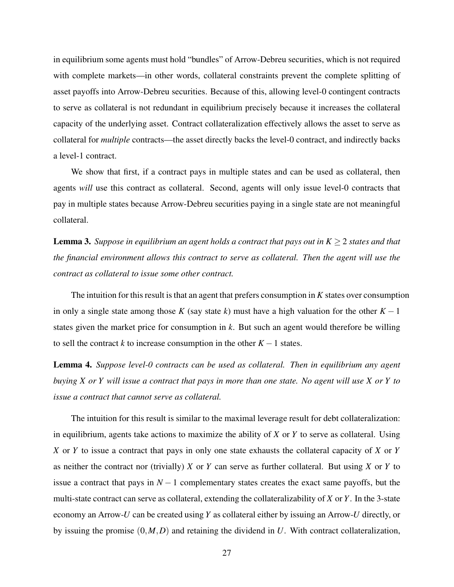in equilibrium some agents must hold "bundles" of Arrow-Debreu securities, which is not required with complete markets—in other words, collateral constraints prevent the complete splitting of asset payoffs into Arrow-Debreu securities. Because of this, allowing level-0 contingent contracts to serve as collateral is not redundant in equilibrium precisely because it increases the collateral capacity of the underlying asset. Contract collateralization effectively allows the asset to serve as collateral for *multiple* contracts—the asset directly backs the level-0 contract, and indirectly backs a level-1 contract.

We show that first, if a contract pays in multiple states and can be used as collateral, then agents *will* use this contract as collateral. Second, agents will only issue level-0 contracts that pay in multiple states because Arrow-Debreu securities paying in a single state are not meaningful collateral.

<span id="page-26-0"></span>**Lemma 3.** Suppose in equilibrium an agent holds a contract that pays out in  $K \geq 2$  states and that *the financial environment allows this contract to serve as collateral. Then the agent will use the contract as collateral to issue some other contract.*

The intuition for this result is that an agent that prefers consumption in *K* states over consumption in only a single state among those *K* (say state *k*) must have a high valuation for the other  $K - 1$ states given the market price for consumption in *k*. But such an agent would therefore be willing to sell the contract *k* to increase consumption in the other  $K - 1$  states.

<span id="page-26-1"></span>Lemma 4. *Suppose level-0 contracts can be used as collateral. Then in equilibrium any agent buying X or Y will issue a contract that pays in more than one state. No agent will use X or Y to issue a contract that cannot serve as collateral.*

The intuition for this result is similar to the maximal leverage result for debt collateralization: in equilibrium, agents take actions to maximize the ability of *X* or *Y* to serve as collateral. Using *X* or *Y* to issue a contract that pays in only one state exhausts the collateral capacity of *X* or *Y* as neither the contract nor (trivially) *X* or *Y* can serve as further collateral. But using *X* or *Y* to issue a contract that pays in  $N-1$  complementary states creates the exact same payoffs, but the multi-state contract can serve as collateral, extending the collateralizability of *X* or *Y*. In the 3-state economy an Arrow-*U* can be created using *Y* as collateral either by issuing an Arrow-*U* directly, or by issuing the promise (0,*M*,*D*) and retaining the dividend in *U*. With contract collateralization,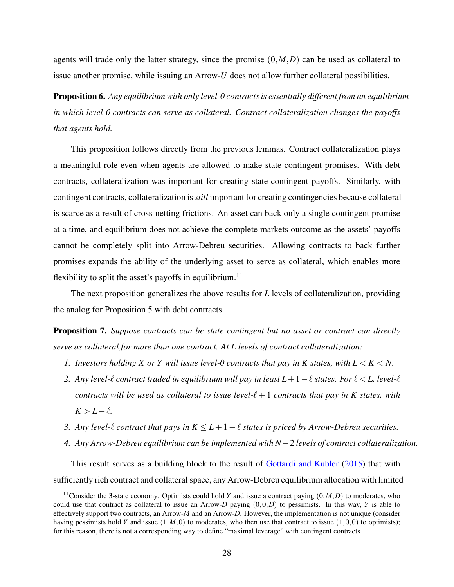agents will trade only the latter strategy, since the promise (0,*M*,*D*) can be used as collateral to issue another promise, while issuing an Arrow-*U* does not allow further collateral possibilities.

Proposition 6. *Any equilibrium with only level-0 contracts is essentially different from an equilibrium in which level-0 contracts can serve as collateral. Contract collateralization changes the payoffs that agents hold.*

This proposition follows directly from the previous lemmas. Contract collateralization plays a meaningful role even when agents are allowed to make state-contingent promises. With debt contracts, collateralization was important for creating state-contingent payoffs. Similarly, with contingent contracts, collateralization is*still* important for creating contingencies because collateral is scarce as a result of cross-netting frictions. An asset can back only a single contingent promise at a time, and equilibrium does not achieve the complete markets outcome as the assets' payoffs cannot be completely split into Arrow-Debreu securities. Allowing contracts to back further promises expands the ability of the underlying asset to serve as collateral, which enables more flexibility to split the asset's payoffs in equilibrium.<sup>[11](#page-27-0)</sup>

The next proposition generalizes the above results for *L* levels of collateralization, providing the analog for Proposition [5](#page-23-1) with debt contracts.

<span id="page-27-1"></span>Proposition 7. *Suppose contracts can be state contingent but no asset or contract can directly serve as collateral for more than one contract. At L levels of contract collateralization:*

- *1. Investors holding*  $X$  *or*  $Y$  *will issue level-0 contracts that pay in*  $K$  *states, with*  $L < K < N$ .
- *2. Any level-* $\ell$  *contract traded in equilibrium will pay in least*  $L+1-\ell$  *states. For*  $\ell < L$ *, level-* $\ell$ *contracts will be used as collateral to issue level-* $\ell + 1$  *contracts that pay in K states, with*  $K > L - \ell$ .
- *3. Any level-* $\ell$  *contract that pays in*  $K \leq L + 1 \ell$  *states is priced by Arrow-Debreu securities.*
- *4. Any Arrow-Debreu equilibrium can be implemented with N*−2 *levels of contract collateralization.*

This result serves as a building block to the result of [Gottardi and Kubler](#page-33-0) [\(2015\)](#page-33-0) that with sufficiently rich contract and collateral space, any Arrow-Debreu equilibrium allocation with limited

<span id="page-27-0"></span><sup>&</sup>lt;sup>11</sup>Consider the 3-state economy. Optimists could hold *Y* and issue a contract paying  $(0, M, D)$  to moderates, who could use that contract as collateral to issue an Arrow-*D* paying (0,0,*D*) to pessimists. In this way, *Y* is able to effectively support two contracts, an Arrow-*M* and an Arrow-*D*. However, the implementation is not unique (consider having pessimists hold *Y* and issue  $(1, M, 0)$  to moderates, who then use that contract to issue  $(1, 0, 0)$  to optimists); for this reason, there is not a corresponding way to define "maximal leverage" with contingent contracts.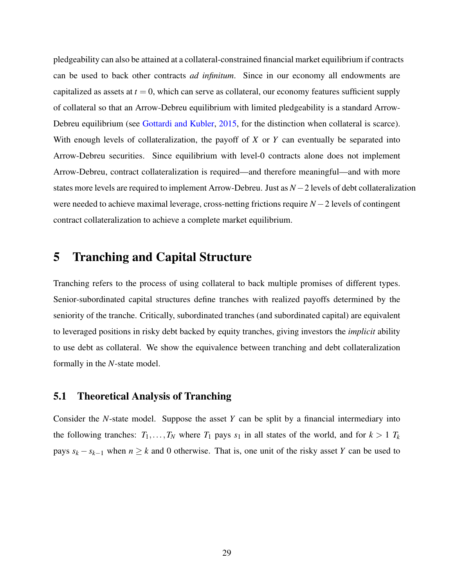pledgeability can also be attained at a collateral-constrained financial market equilibrium if contracts can be used to back other contracts *ad infinitum*. Since in our economy all endowments are capitalized as assets at  $t = 0$ , which can serve as collateral, our economy features sufficient supply of collateral so that an Arrow-Debreu equilibrium with limited pledgeability is a standard Arrow-Debreu equilibrium (see [Gottardi and Kubler,](#page-33-0) [2015,](#page-33-0) for the distinction when collateral is scarce). With enough levels of collateralization, the payoff of *X* or *Y* can eventually be separated into Arrow-Debreu securities. Since equilibrium with level-0 contracts alone does not implement Arrow-Debreu, contract collateralization is required—and therefore meaningful—and with more states more levels are required to implement Arrow-Debreu. Just as *N*−2 levels of debt collateralization were needed to achieve maximal leverage, cross-netting frictions require *N* −2 levels of contingent contract collateralization to achieve a complete market equilibrium.

### <span id="page-28-0"></span>5 Tranching and Capital Structure

Tranching refers to the process of using collateral to back multiple promises of different types. Senior-subordinated capital structures define tranches with realized payoffs determined by the seniority of the tranche. Critically, subordinated tranches (and subordinated capital) are equivalent to leveraged positions in risky debt backed by equity tranches, giving investors the *implicit* ability to use debt as collateral. We show the equivalence between tranching and debt collateralization formally in the *N*-state model.

### 5.1 Theoretical Analysis of Tranching

Consider the *N*-state model. Suppose the asset *Y* can be split by a financial intermediary into the following tranches:  $T_1, \ldots, T_N$  where  $T_1$  pays  $s_1$  in all states of the world, and for  $k > 1$   $T_k$ pays  $s_k - s_{k-1}$  when  $n \ge k$  and 0 otherwise. That is, one unit of the risky asset *Y* can be used to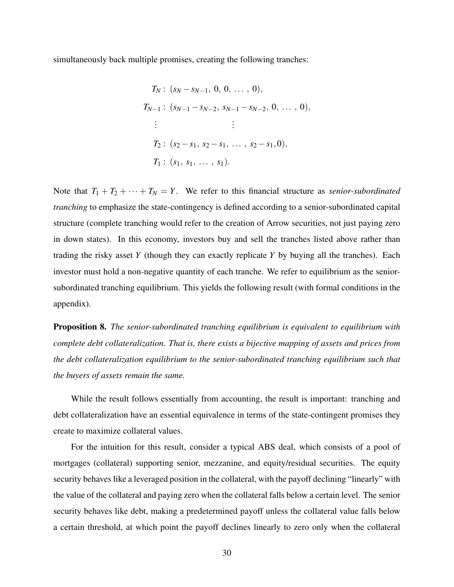simultaneously back multiple promises, creating the following tranches:

$$
T_N: (s_N - s_{N-1}, 0, 0, \dots, 0),
$$
  
\n
$$
T_{N-1}: (s_{N-1} - s_{N-2}, s_{N-1} - s_{N-2}, 0, \dots, 0),
$$
  
\n
$$
\vdots \qquad \vdots
$$
  
\n
$$
T_2: (s_2 - s_1, s_2 - s_1, \dots, s_2 - s_1, 0),
$$
  
\n
$$
T_1: (s_1, s_1, \dots, s_1).
$$

Note that  $T_1 + T_2 + \cdots + T_N = Y$ . We refer to this financial structure as *senior-subordinated tranching* to emphasize the state-contingency is defined according to a senior-subordinated capital structure (complete tranching would refer to the creation of Arrow securities, not just paying zero in down states). In this economy, investors buy and sell the tranches listed above rather than trading the risky asset *Y* (though they can exactly replicate *Y* by buying all the tranches). Each investor must hold a non-negative quantity of each tranche. We refer to equilibrium as the seniorsubordinated tranching equilibrium. This yields the following result (with formal conditions in the appendix).

<span id="page-29-0"></span>Proposition 8. *The senior-subordinated tranching equilibrium is equivalent to equilibrium with complete debt collateralization. That is, there exists a bijective mapping of assets and prices from the debt collateralization equilibrium to the senior-subordinated tranching equilibrium such that the buyers of assets remain the same.*

While the result follows essentially from accounting, the result is important: tranching and debt collateralization have an essential equivalence in terms of the state-contingent promises they create to maximize collateral values.

For the intuition for this result, consider a typical ABS deal, which consists of a pool of mortgages (collateral) supporting senior, mezzanine, and equity/residual securities. The equity security behaves like a leveraged position in the collateral, with the payoff declining "linearly" with the value of the collateral and paying zero when the collateral falls below a certain level. The senior security behaves like debt, making a predetermined payoff unless the collateral value falls below a certain threshold, at which point the payoff declines linearly to zero only when the collateral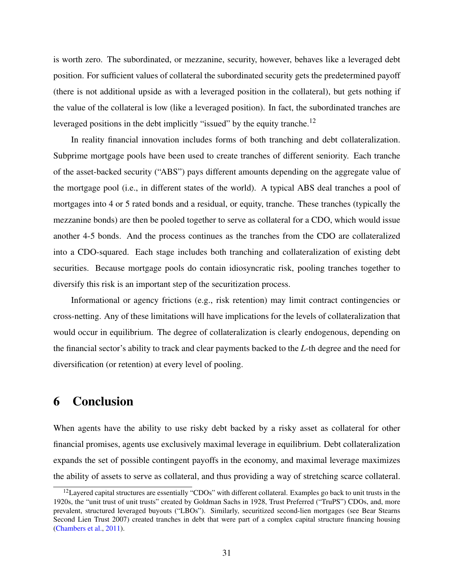is worth zero. The subordinated, or mezzanine, security, however, behaves like a leveraged debt position. For sufficient values of collateral the subordinated security gets the predetermined payoff (there is not additional upside as with a leveraged position in the collateral), but gets nothing if the value of the collateral is low (like a leveraged position). In fact, the subordinated tranches are leveraged positions in the debt implicitly "issued" by the equity tranche.<sup>[12](#page-30-0)</sup>

In reality financial innovation includes forms of both tranching and debt collateralization. Subprime mortgage pools have been used to create tranches of different seniority. Each tranche of the asset-backed security ("ABS") pays different amounts depending on the aggregate value of the mortgage pool (i.e., in different states of the world). A typical ABS deal tranches a pool of mortgages into 4 or 5 rated bonds and a residual, or equity, tranche. These tranches (typically the mezzanine bonds) are then be pooled together to serve as collateral for a CDO, which would issue another 4-5 bonds. And the process continues as the tranches from the CDO are collateralized into a CDO-squared. Each stage includes both tranching and collateralization of existing debt securities. Because mortgage pools do contain idiosyncratic risk, pooling tranches together to diversify this risk is an important step of the securitization process.

Informational or agency frictions (e.g., risk retention) may limit contract contingencies or cross-netting. Any of these limitations will have implications for the levels of collateralization that would occur in equilibrium. The degree of collateralization is clearly endogenous, depending on the financial sector's ability to track and clear payments backed to the *L*-th degree and the need for diversification (or retention) at every level of pooling.

### 6 Conclusion

When agents have the ability to use risky debt backed by a risky asset as collateral for other financial promises, agents use exclusively maximal leverage in equilibrium. Debt collateralization expands the set of possible contingent payoffs in the economy, and maximal leverage maximizes the ability of assets to serve as collateral, and thus providing a way of stretching scarce collateral.

<span id="page-30-0"></span> $12$ Layered capital structures are essentially "CDOs" with different collateral. Examples go back to unit trusts in the 1920s, the "unit trust of unit trusts" created by Goldman Sachs in 1928, Trust Preferred ("TruPS") CDOs, and, more prevalent, structured leveraged buyouts ("LBOs"). Similarly, securitized second-lien mortgages (see Bear Stearns Second Lien Trust 2007) created tranches in debt that were part of a complex capital structure financing housing [\(Chambers et al.,](#page-31-5) [2011\)](#page-31-5).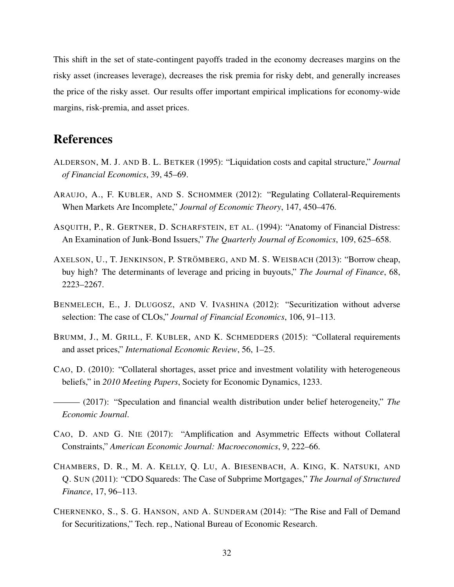This shift in the set of state-contingent payoffs traded in the economy decreases margins on the risky asset (increases leverage), decreases the risk premia for risky debt, and generally increases the price of the risky asset. Our results offer important empirical implications for economy-wide margins, risk-premia, and asset prices.

### References

- <span id="page-31-7"></span>ALDERSON, M. J. AND B. L. BETKER (1995): "Liquidation costs and capital structure," *Journal of Financial Economics*, 39, 45–69.
- <span id="page-31-0"></span>ARAUJO, A., F. KUBLER, AND S. SCHOMMER (2012): "Regulating Collateral-Requirements When Markets Are Incomplete," *Journal of Economic Theory*, 147, 450–476.
- <span id="page-31-6"></span>ASQUITH, P., R. GERTNER, D. SCHARFSTEIN, ET AL. (1994): "Anatomy of Financial Distress: An Examination of Junk-Bond Issuers," *The Quarterly Journal of Economics*, 109, 625–658.
- <span id="page-31-8"></span>AXELSON, U., T. JENKINSON, P. STRÖMBERG, AND M. S. WEISBACH (2013): "Borrow cheap, buy high? The determinants of leverage and pricing in buyouts," *The Journal of Finance*, 68, 2223–2267.
- <span id="page-31-9"></span>BENMELECH, E., J. DLUGOSZ, AND V. IVASHINA (2012): "Securitization without adverse selection: The case of CLOs," *Journal of Financial Economics*, 106, 91–113.
- <span id="page-31-4"></span>BRUMM, J., M. GRILL, F. KUBLER, AND K. SCHMEDDERS (2015): "Collateral requirements and asset prices," *International Economic Review*, 56, 1–25.
- <span id="page-31-1"></span>CAO, D. (2010): "Collateral shortages, asset price and investment volatility with heterogeneous beliefs," in *2010 Meeting Papers*, Society for Economic Dynamics, 1233.
- <span id="page-31-2"></span>——— (2017): "Speculation and financial wealth distribution under belief heterogeneity," *The Economic Journal*.
- <span id="page-31-3"></span>CAO, D. AND G. NIE (2017): "Amplification and Asymmetric Effects without Collateral Constraints," *American Economic Journal: Macroeconomics*, 9, 222–66.
- <span id="page-31-5"></span>CHAMBERS, D. R., M. A. KELLY, Q. LU, A. BIESENBACH, A. KING, K. NATSUKI, AND Q. SUN (2011): "CDO Squareds: The Case of Subprime Mortgages," *The Journal of Structured Finance*, 17, 96–113.
- <span id="page-31-10"></span>CHERNENKO, S., S. G. HANSON, AND A. SUNDERAM (2014): "The Rise and Fall of Demand for Securitizations," Tech. rep., National Bureau of Economic Research.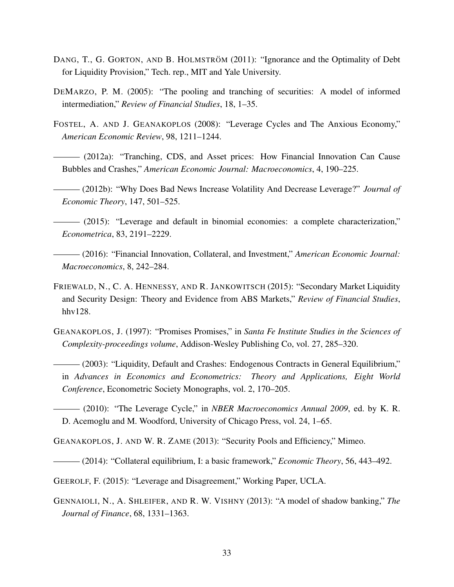- <span id="page-32-10"></span>DANG, T., G. GORTON, AND B. HOLMSTRÖM (2011): "Ignorance and the Optimality of Debt for Liquidity Provision," Tech. rep., MIT and Yale University.
- <span id="page-32-12"></span>DEMARZO, P. M. (2005): "The pooling and tranching of securities: A model of informed intermediation," *Review of Financial Studies*, 18, 1–35.
- <span id="page-32-5"></span><span id="page-32-3"></span>FOSTEL, A. AND J. GEANAKOPLOS (2008): "Leverage Cycles and The Anxious Economy," *American Economic Review*, 98, 1211–1244.
	- ——— (2012a): "Tranching, CDS, and Asset prices: How Financial Innovation Can Cause Bubbles and Crashes," *American Economic Journal: Macroeconomics*, 4, 190–225.
- <span id="page-32-2"></span>——— (2012b): "Why Does Bad News Increase Volatility And Decrease Leverage?" *Journal of Economic Theory*, 147, 501–525.
- <span id="page-32-6"></span>——— (2015): "Leverage and default in binomial economies: a complete characterization," *Econometrica*, 83, 2191–2229.
- <span id="page-32-7"></span>——— (2016): "Financial Innovation, Collateral, and Investment," *American Economic Journal: Macroeconomics*, 8, 242–284.
- <span id="page-32-13"></span>FRIEWALD, N., C. A. HENNESSY, AND R. JANKOWITSCH (2015): "Secondary Market Liquidity and Security Design: Theory and Evidence from ABS Markets," *Review of Financial Studies*, hhv128.
- <span id="page-32-0"></span>GEANAKOPLOS, J. (1997): "Promises Promises," in *Santa Fe Institute Studies in the Sciences of Complexity-proceedings volume*, Addison-Wesley Publishing Co, vol. 27, 285–320.
- <span id="page-32-1"></span>——— (2003): "Liquidity, Default and Crashes: Endogenous Contracts in General Equilibrium," in *Advances in Economics and Econometrics: Theory and Applications, Eight World Conference*, Econometric Society Monographs, vol. 2, 170–205.
- <span id="page-32-14"></span>——— (2010): "The Leverage Cycle," in *NBER Macroeconomics Annual 2009*, ed. by K. R. D. Acemoglu and M. Woodford, University of Chicago Press, vol. 24, 1–65.
- <span id="page-32-8"></span>GEANAKOPLOS, J. AND W. R. ZAME (2013): "Security Pools and Efficiency," Mimeo.
- <span id="page-32-4"></span>——— (2014): "Collateral equilibrium, I: a basic framework," *Economic Theory*, 56, 443–492.
- <span id="page-32-9"></span>GEEROLF, F. (2015): "Leverage and Disagreement," Working Paper, UCLA.
- <span id="page-32-11"></span>GENNAIOLI, N., A. SHLEIFER, AND R. W. VISHNY (2013): "A model of shadow banking," *The Journal of Finance*, 68, 1331–1363.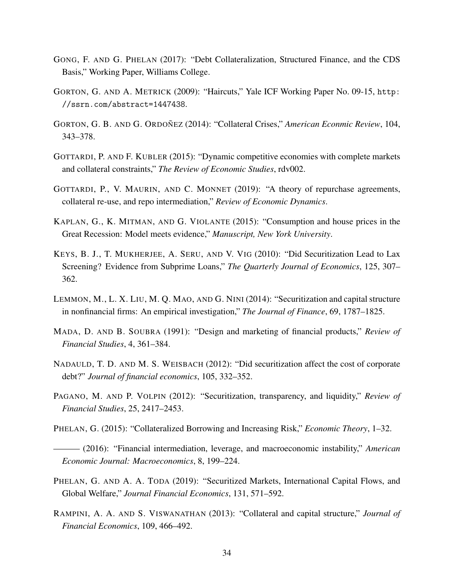- <span id="page-33-2"></span>GONG, F. AND G. PHELAN (2017): "Debt Collateralization, Structured Finance, and the CDS Basis," Working Paper, Williams College.
- <span id="page-33-3"></span>GORTON, G. AND A. METRICK (2009): "Haircuts," Yale ICF Working Paper No. 09-15, [http:](http://ssrn.com/abstract=1447438) [//ssrn.com/abstract=1447438](http://ssrn.com/abstract=1447438).
- <span id="page-33-7"></span>GORTON, G. B. AND G. ORDOÑEZ (2014): "Collateral Crises," American Econmic Review, 104, 343–378.
- <span id="page-33-0"></span>GOTTARDI, P. AND F. KUBLER (2015): "Dynamic competitive economies with complete markets and collateral constraints," *The Review of Economic Studies*, rdv002.
- <span id="page-33-4"></span>GOTTARDI, P., V. MAURIN, AND C. MONNET (2019): "A theory of repurchase agreements, collateral re-use, and repo intermediation," *Review of Economic Dynamics*.
- <span id="page-33-11"></span>KAPLAN, G., K. MITMAN, AND G. VIOLANTE (2015): "Consumption and house prices in the Great Recession: Model meets evidence," *Manuscript, New York University*.
- <span id="page-33-14"></span>KEYS, B. J., T. MUKHERJEE, A. SERU, AND V. VIG (2010): "Did Securitization Lead to Lax Screening? Evidence from Subprime Loans," *The Quarterly Journal of Economics*, 125, 307– 362.
- <span id="page-33-10"></span>LEMMON, M., L. X. LIU, M. Q. MAO, AND G. NINI (2014): "Securitization and capital structure in nonfinancial firms: An empirical investigation," *The Journal of Finance*, 69, 1787–1825.
- <span id="page-33-9"></span>MADA, D. AND B. SOUBRA (1991): "Design and marketing of financial products," *Review of Financial Studies*, 4, 361–384.
- <span id="page-33-13"></span>NADAULD, T. D. AND M. S. WEISBACH (2012): "Did securitization affect the cost of corporate debt?" *Journal of financial economics*, 105, 332–352.
- <span id="page-33-8"></span>PAGANO, M. AND P. VOLPIN (2012): "Securitization, transparency, and liquidity," *Review of Financial Studies*, 25, 2417–2453.
- <span id="page-33-6"></span>PHELAN, G. (2015): "Collateralized Borrowing and Increasing Risk," *Economic Theory*, 1–32.
- <span id="page-33-12"></span>——— (2016): "Financial intermediation, leverage, and macroeconomic instability," *American Economic Journal: Macroeconomics*, 8, 199–224.
- <span id="page-33-1"></span>PHELAN, G. AND A. A. TODA (2019): "Securitized Markets, International Capital Flows, and Global Welfare," *Journal Financial Economics*, 131, 571–592.
- <span id="page-33-5"></span>RAMPINI, A. A. AND S. VISWANATHAN (2013): "Collateral and capital structure," *Journal of Financial Economics*, 109, 466–492.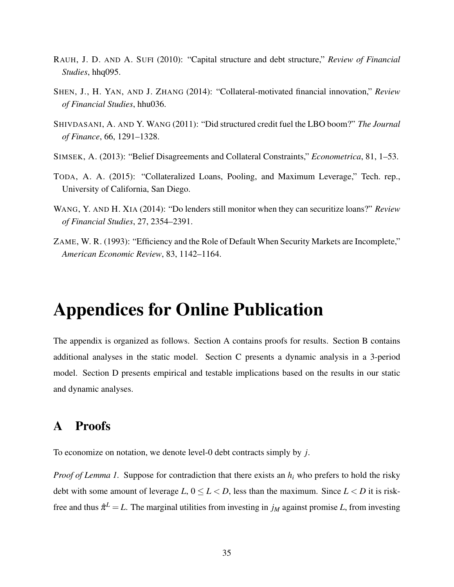- <span id="page-34-6"></span>RAUH, J. D. AND A. SUFI (2010): "Capital structure and debt structure," *Review of Financial Studies*, hhq095.
- <span id="page-34-4"></span>SHEN, J., H. YAN, AND J. ZHANG (2014): "Collateral-motivated financial innovation," *Review of Financial Studies*, hhu036.
- <span id="page-34-0"></span>SHIVDASANI, A. AND Y. WANG (2011): "Did structured credit fuel the LBO boom?" *The Journal of Finance*, 66, 1291–1328.
- <span id="page-34-2"></span>SIMSEK, A. (2013): "Belief Disagreements and Collateral Constraints," *Econometrica*, 81, 1–53.
- <span id="page-34-3"></span>TODA, A. A. (2015): "Collateralized Loans, Pooling, and Maximum Leverage," Tech. rep., University of California, San Diego.
- <span id="page-34-7"></span>WANG, Y. AND H. XIA (2014): "Do lenders still monitor when they can securitize loans?" *Review of Financial Studies*, 27, 2354–2391.
- <span id="page-34-1"></span>ZAME, W. R. (1993): "Efficiency and the Role of Default When Security Markets are Incomplete," *American Economic Review*, 83, 1142–1164.

## Appendices for Online Publication

The appendix is organized as follows. Section [A](#page-34-5) contains proofs for results. Section [B](#page-50-1) contains additional analyses in the static model. Section [C](#page-54-1) presents a dynamic analysis in a 3-period model. Section [D](#page-67-0) presents empirical and testable implications based on the results in our static and dynamic analyses.

### <span id="page-34-5"></span>A Proofs

To economize on notation, we denote level-0 debt contracts simply by *j*.

*Proof of Lemma [1.](#page-15-1)* Suppose for contradiction that there exists an *h<sup>i</sup>* who prefers to hold the risky debt with some amount of leverage  $L$ ,  $0 \le L < D$ , less than the maximum. Since  $L < D$  it is riskfree and thus  $\hat{\pi}^L = L$ . The marginal utilities from investing in  $j_M$  against promise L, from investing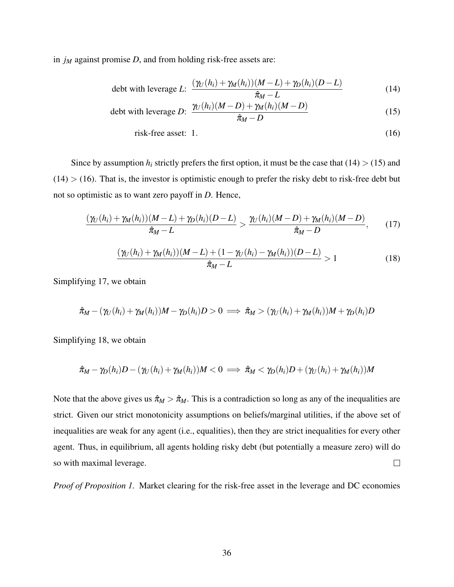in *j<sup>M</sup>* against promise *D*, and from holding risk-free assets are:

$$
\text{debt with leverage } L: \ \frac{(\gamma_U(h_i) + \gamma_M(h_i))(M - L) + \gamma_D(h_i)(D - L)}{\hat{\pi}_M - L} \tag{14}
$$

$$
\text{ debt with leverage } D: \ \frac{\gamma_U(h_i)(M - D) + \gamma_M(h_i)(M - D)}{\hat{\pi}_M - D} \tag{15}
$$

<span id="page-35-2"></span><span id="page-35-1"></span><span id="page-35-0"></span>
$$
risk-free asset: 1. \t(16)
$$

Since by assumption  $h_i$  strictly prefers the first option, it must be the case that [\(14\)](#page-35-0)  $>$  [\(15\)](#page-35-1) and  $(14)$  >  $(16)$ . That is, the investor is optimistic enough to prefer the risky debt to risk-free debt but not so optimistic as to want zero payoff in *D*. Hence,

<span id="page-35-3"></span>
$$
\frac{(\gamma_U(h_i)+\gamma_M(h_i))(M-L)+\gamma_D(h_i)(D-L)}{\hat{\pi}_M-L}>\frac{\gamma_U(h_i)(M-D)+\gamma_M(h_i)(M-D)}{\hat{\pi}_M-D},\qquad(17)
$$

<span id="page-35-4"></span>
$$
\frac{(\gamma_U(h_i) + \gamma_M(h_i))(M - L) + (1 - \gamma_U(h_i) - \gamma_M(h_i))(D - L)}{\hat{\pi}_M - L} > 1
$$
\n(18)

Simplifying [17,](#page-35-3) we obtain

$$
\hat{\pi}_M - (\gamma_U(h_i) + \gamma_M(h_i))M - \gamma_D(h_i)D > 0 \implies \hat{\pi}_M > (\gamma_U(h_i) + \gamma_M(h_i))M + \gamma_D(h_i)D
$$

Simplifying [18,](#page-35-4) we obtain

$$
\hat{\pi}_M - \gamma_D(h_i)D - (\gamma_U(h_i) + \gamma_M(h_i))M < 0 \implies \hat{\pi}_M < \gamma_D(h_i)D + (\gamma_U(h_i) + \gamma_M(h_i))M
$$

Note that the above gives us  $\hat{\pi}_M > \hat{\pi}_M$ . This is a contradiction so long as any of the inequalities are strict. Given our strict monotonicity assumptions on beliefs/marginal utilities, if the above set of inequalities are weak for any agent (i.e., equalities), then they are strict inequalities for every other agent. Thus, in equilibrium, all agents holding risky debt (but potentially a measure zero) will do so with maximal leverage.  $\Box$ 

*Proof of Proposition [1.](#page-15-2)* Market clearing for the risk-free asset in the leverage and DC economies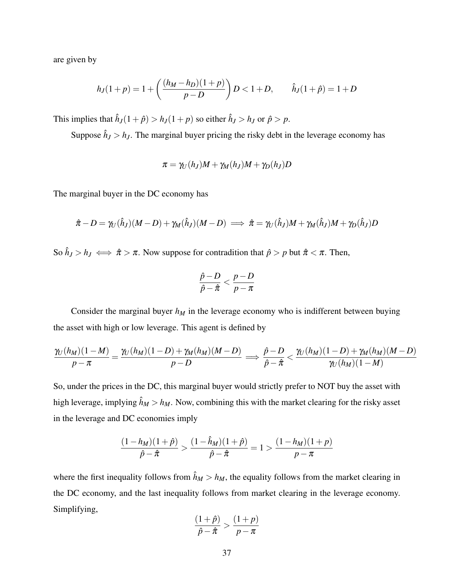are given by

$$
h_J(1+p) = 1 + \left(\frac{(h_M - h_D)(1+p)}{p-D}\right)D < 1 + D, \qquad \hat{h}_J(1+\hat{p}) = 1 + D
$$

This implies that  $\hat{h}_J(1+\hat{p}) > h_J(1+p)$  so either  $\hat{h}_J > h_J$  or  $\hat{p} > p$ .

Suppose  $\hat{h}_J > h_J$ . The marginal buyer pricing the risky debt in the leverage economy has

$$
\pi = \gamma_U(h_J)M + \gamma_M(h_J)M + \gamma_D(h_J)D
$$

The marginal buyer in the DC economy has

$$
\hat{\pi} - D = \gamma_U(\hat{h}_J)(M - D) + \gamma_M(\hat{h}_J)(M - D) \implies \hat{\pi} = \gamma_U(\hat{h}_J)M + \gamma_M(\hat{h}_J)M + \gamma_D(\hat{h}_J)D
$$

So  $\hat{h}_J > h_J \iff \hat{\pi} > \pi$ . Now suppose for contradition that  $\hat{p} > p$  but  $\hat{\pi} < \pi$ . Then,

$$
\frac{\hat{p}-D}{\hat{p}-\hat{\pi}} < \frac{p-D}{p-\pi}
$$

Consider the marginal buyer  $h_M$  in the leverage economy who is indifferent between buying the asset with high or low leverage. This agent is defined by

$$
\frac{\gamma_U(h_M)(1-M)}{p-\pi} = \frac{\gamma_U(h_M)(1-D) + \gamma_M(h_M)(M-D)}{p-D} \implies \frac{\hat{p}-D}{\hat{p}-\hat{\pi}} < \frac{\gamma_U(h_M)(1-D) + \gamma_M(h_M)(M-D)}{\gamma_U(h_M)(1-M)}
$$

So, under the prices in the DC, this marginal buyer would strictly prefer to NOT buy the asset with high leverage, implying  $\hat{h}_M > h_M$ . Now, combining this with the market clearing for the risky asset in the leverage and DC economies imply

$$
\frac{(1-h_M)(1+\hat{p})}{\hat{p}-\hat{\pi}} > \frac{(1-\hat{h}_M)(1+\hat{p})}{\hat{p}-\hat{\pi}} = 1 > \frac{(1-h_M)(1+p)}{p-\pi}
$$

where the first inequality follows from  $\hat{h}_M > h_M$ , the equality follows from the market clearing in the DC economy, and the last inequality follows from market clearing in the leverage economy. Simplifying,

$$
\frac{(1+\hat{p})}{\hat{p}-\hat{\pi}} > \frac{(1+p)}{p-\pi}
$$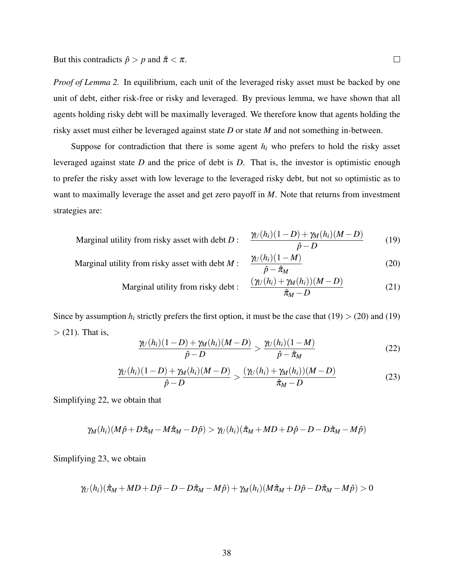But this contradicts  $\hat{p} > p$  and  $\hat{\pi} < \pi$ .

*Proof of Lemma [2.](#page-15-0)* In equilibrium, each unit of the leveraged risky asset must be backed by one unit of debt, either risk-free or risky and leveraged. By previous lemma, we have shown that all agents holding risky debt will be maximally leveraged. We therefore know that agents holding the risky asset must either be leveraged against state *D* or state *M* and not something in-between.

Suppose for contradiction that there is some agent  $h_i$  who prefers to hold the risky asset leveraged against state *D* and the price of debt is *D*. That is, the investor is optimistic enough to prefer the risky asset with low leverage to the leveraged risky debt, but not so optimistic as to want to maximally leverage the asset and get zero payoff in *M*. Note that returns from investment strategies are:

Marginal utility from risky asset with debt *D* :

Marginal utility from risky asset with debt *M* :

$$
\frac{\gamma_U(h_i)(1-D) + \gamma_M(h_i)(M-D)}{\hat{p}-D} \tag{19}
$$

<span id="page-37-2"></span><span id="page-37-1"></span><span id="page-37-0"></span>
$$
\frac{\gamma_U(h_i)(1-M)}{\hat{p}-\hat{\pi}_M} \tag{20}
$$

Marginal utility from risky debt : 
$$
\frac{(\gamma_U(h_i) + \gamma_M(h_i))(M - D)}{\hat{\pi}_M - D}
$$
 (21)

Since by assumption  $h_i$  strictly prefers the first option, it must be the case that [\(19\)](#page-37-0) > [\(20\)](#page-37-1) and (19)  $>$  [\(21\)](#page-37-2). That is,

<span id="page-37-3"></span>
$$
\frac{\gamma_U(h_i)(1-D)+\gamma_M(h_i)(M-D)}{\hat{p}-D} > \frac{\gamma_U(h_i)(1-M)}{\hat{p}-\hat{\pi}_M}
$$
\n(22)

<span id="page-37-4"></span>
$$
\frac{\gamma_U(h_i)(1-D)+\gamma_M(h_i)(M-D)}{\hat{p}-D} > \frac{(\gamma_U(h_i)+\gamma_M(h_i))(M-D)}{\hat{\pi}_M-D}
$$
\n(23)

Simplifying [22,](#page-37-3) we obtain that

$$
\gamma_M(h_i)(M\hat{p}+D\hat{\pi}_M-M\hat{\pi}_M-D\hat{p})>\gamma_U(h_i)(\hat{\pi}_M+MD+D\hat{p}-D-D\hat{\pi}_M-M\hat{p})
$$

Simplifying [23,](#page-37-4) we obtain

$$
\gamma_U(h_i)(\hat{\pi}_M + MD + D\hat{\rho} - D - D\hat{\pi}_M - M\hat{\rho}) + \gamma_M(h_i)(M\hat{\pi}_M + D\hat{\rho} - D\hat{\pi}_M - M\hat{\rho}) > 0
$$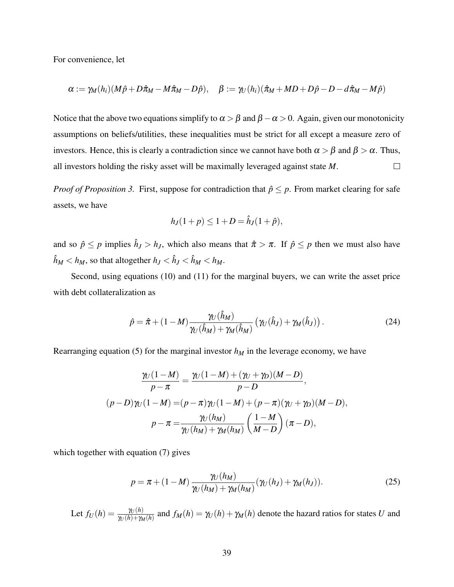For convenience, let

$$
\alpha := \gamma_M(h_i)(M\hat{p} + D\hat{\pi}_M - M\hat{\pi}_M - D\hat{p}), \quad \beta := \gamma_U(h_i)(\hat{\pi}_M + MD + D\hat{p} - D - d\hat{\pi}_M - M\hat{p})
$$

Notice that the above two equations simplify to  $\alpha > \beta$  and  $\beta - \alpha > 0$ . Again, given our monotonicity assumptions on beliefs/utilities, these inequalities must be strict for all except a measure zero of investors. Hence, this is clearly a contradiction since we cannot have both  $\alpha > \beta$  and  $\beta > \alpha$ . Thus, all investors holding the risky asset will be maximally leveraged against state *M*.  $\Box$ 

*Proof of Proposition* [3.](#page-19-0) First, suppose for contradiction that  $\hat{p} \leq p$ . From market clearing for safe assets, we have

$$
h_J(1+p) \le 1 + D = \hat{h}_J(1+\hat{p}),
$$

and so  $\hat{p} \le p$  implies  $\hat{h}_J > h_J$ , which also means that  $\hat{\pi} > \pi$ . If  $\hat{p} \le p$  then we must also have  $\hat{h}_M < h_M$ , so that altogether  $h_J < \hat{h}_J < \hat{h}_M < h_M$ .

Second, using equations [\(10\)](#page-17-2) and [\(11\)](#page-17-3) for the marginal buyers, we can write the asset price with debt collateralization as

<span id="page-38-0"></span>
$$
\hat{p} = \hat{\pi} + (1 - M) \frac{\gamma_U(\hat{h}_M)}{\gamma_U(\hat{h}_M) + \gamma_M(\hat{h}_M)} \left( \gamma_U(\hat{h}_J) + \gamma_M(\hat{h}_J) \right). \tag{24}
$$

Rearranging equation [\(5\)](#page-13-2) for the marginal investor  $h_M$  in the leverage economy, we have

$$
\frac{\gamma_U(1-M)}{p-\pi} = \frac{\gamma_U(1-M) + (\gamma_U + \gamma_D)(M-D)}{p-D},
$$

$$
(p-D)\gamma_U(1-M) = (p-\pi)\gamma_U(1-M) + (p-\pi)(\gamma_U + \gamma_D)(M-D),
$$

$$
p-\pi = \frac{\gamma_U(h_M)}{\gamma_U(h_M) + \gamma_M(h_M)} \left(\frac{1-M}{M-D}\right)(\pi - D),
$$

which together with equation [\(7\)](#page-13-3) gives

<span id="page-38-1"></span>
$$
p = \pi + (1 - M) \frac{\gamma_U(h_M)}{\gamma_U(h_M) + \gamma_M(h_M)} (\gamma_U(h_J) + \gamma_M(h_J)).
$$
\n(25)

Let  $f_U(h) = \frac{\gamma_U(h)}{\gamma_U(h) + \gamma_M(h)}$  and  $f_M(h) = \gamma_U(h) + \gamma_M(h)$  denote the hazard ratios for states *U* and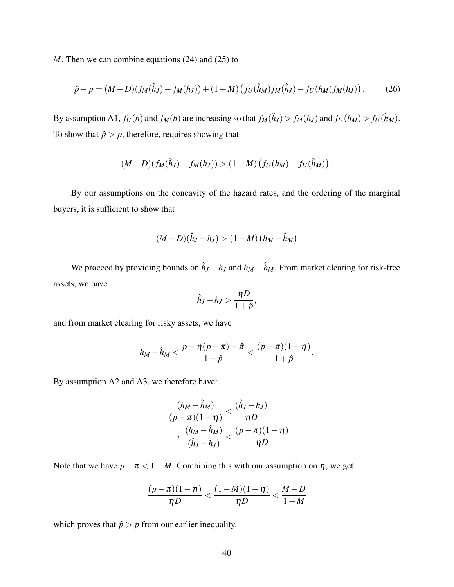*M*. Then we can combine equations [\(24\)](#page-38-0) and [\(25\)](#page-38-1) to

$$
\hat{p} - p = (M - D)(f_M(\hat{h}_J) - f_M(h_J)) + (1 - M)(f_U(\hat{h}_M)f_M(\hat{h}_J) - f_U(h_M)f_M(h_J)).
$$
\n(26)

By assumption A1,  $f_U(h)$  and  $f_M(h)$  are increasing so that  $f_M(\hat{h}_J) > f_M(h_J)$  and  $f_U(h_M) > f_U(\hat{h}_M)$ . To show that  $\hat{p} > p$ , therefore, requires showing that

$$
(M-D)(f_M(\hat{h}_J) - f_M(h_J)) > (1-M) (f_U(h_M) - f_U(\hat{h}_M)).
$$

By our assumptions on the concavity of the hazard rates, and the ordering of the marginal buyers, it is sufficient to show that

$$
(M-D)(\hat{h}_J-h_J)>(1-M)(h_M-\hat{h}_M)
$$

We proceed by providing bounds on  $\hat{h}_J - h_J$  and  $h_M - \hat{h}_M$ . From market clearing for risk-free assets, we have

$$
\hat{h}_J - h_J > \frac{\eta D}{1 + \hat{p}},
$$

and from market clearing for risky assets, we have

$$
h_M-\hat{h}_M<\frac{p-\eta\hspace{0.1em} (p-\pi)-\hat{\pi}}{1+\hat{p}}<\frac{(p-\pi)(1-\eta)}{1+\hat{p}}.
$$

By assumption A2 and A3, we therefore have:

$$
\frac{(h_M - \hat{h}_M)}{(p - \pi)(1 - \eta)} < \frac{(\hat{h}_J - h_J)}{\eta D} \\
\implies \frac{(h_M - \hat{h}_M)}{(\hat{h}_J - h_J)} < \frac{(p - \pi)(1 - \eta)}{\eta D}
$$

Note that we have  $p - \pi < 1 - M$ . Combining this with our assumption on  $\eta$ , we get

$$
\frac{(p-\pi)(1-\eta)}{\eta D} < \frac{(1-M)(1-\eta)}{\eta D} < \frac{M-D}{1-M}
$$

which proves that  $\hat{p} > p$  from our earlier inequality.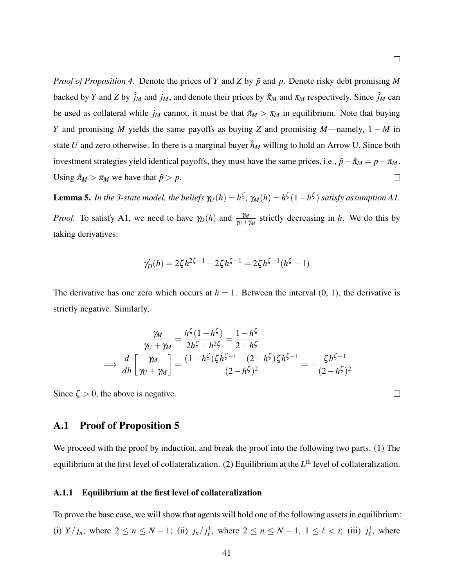$\Box$ 

*Proof of Proposition* [4.](#page-20-0) Denote the prices of *Y* and *Z* by  $\hat{p}$  and *p*. Denote risky debt promising *M* backed by *Y* and *Z* by  $\hat{j}_M$  and  $j_M$ , and denote their prices by  $\hat{\pi}_M$  and  $\pi_M$  respectively. Since  $\hat{j}_M$  can be used as collateral while  $j_M$  cannot, it must be that  $\hat{\pi}_M > \pi_M$  in equilibrium. Note that buying *Y* and promising *M* yields the same payoffs as buying *Z* and promising *M*—namely, 1 − *M* in state *U* and zero otherwise. In there is a marginal buyer  $\hat{h}_M$  willing to hold an Arrow U. Since both investment strategies yield identical payoffs, they must have the same prices, i.e.,  $\hat{p}-\hat{\pi}_M = p-\pi_M$ . Using  $\hat{\pi}_M > \pi_M$  we have that  $\hat{p} > p$ .  $\Box$ 

<span id="page-40-0"></span>**Lemma 5.** In the 3-state model, the beliefs  $\gamma_U(h) = h^{\zeta}$ ,  $\gamma_M(h) = h^{\zeta}(1-h^{\zeta})$  satisfy assumption A1. *Proof.* To satisfy A1, we need to have  $\gamma_D(h)$  and  $\frac{\gamma_M}{\gamma_U + \gamma_M}$  strictly decreasing in *h*. We do this by taking derivatives:

$$
\gamma'_D(h) = 2\zeta h^{2\zeta - 1} - 2\zeta h^{\zeta - 1} = 2\zeta h^{\zeta - 1}(h^{\zeta} - 1)
$$

The derivative has one zero which occurs at  $h = 1$ . Between the interval  $(0, 1)$ , the derivative is strictly negative. Similarly,

$$
\frac{\gamma_M}{\gamma_U + \gamma_M} = \frac{h^{\zeta}(1 - h^{\zeta})}{2h^{\zeta} - h^{2\zeta}} = \frac{1 - h^{\zeta}}{2 - h^{\zeta}}
$$

$$
\implies \frac{d}{dh} \left[ \frac{\gamma_M}{\gamma_U + \gamma_M} \right] = \frac{(1 - h^{\zeta})\zeta h^{\zeta - 1} - (2 - h^{\zeta})\zeta h^{\zeta - 1}}{(2 - h^{\zeta})^2} = -\frac{\zeta h^{\zeta - 1}}{(2 - h^{\zeta})^2}
$$

Since  $\zeta > 0$ , the above is negative.

#### A.1 Proof of Proposition [5](#page-23-0)

We proceed with the proof by induction, and break the proof into the following two parts. (1) The equilibrium at the first level of collateralization. (2) Equilibrium at the L<sup>th</sup> level of collateralization.

#### A.1.1 Equilibrium at the first level of collateralization

To prove the base case, we will show that agents will hold one of the following assets in equilibrium: (i)  $Y/j_n$ , where  $2 \le n \le N - 1$ ; (ii)  $j_n/j_\ell^1$ , where  $2 \le n \le N - 1$ ,  $1 \le \ell < i$ ; (iii)  $j_\ell^1$ , where

 $\Box$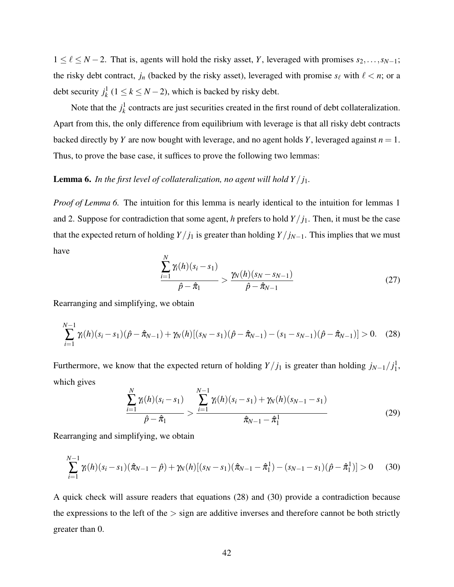1 ≤  $\ell$  ≤ *N* − 2. That is, agents will hold the risky asset, *Y*, leveraged with promises *s*<sub>2</sub>,...,*s*<sub>*N*−1</sub>; the risky debt contract,  $j_n$  (backed by the risky asset), leveraged with promise  $s_\ell$  with  $\ell < n$ ; or a debt security  $j_k^1$  ( $1 \le k \le N-2$ ), which is backed by risky debt.

Note that the  $j_k^1$  contracts are just securities created in the first round of debt collateralization. Apart from this, the only difference from equilibrium with leverage is that all risky debt contracts backed directly by *Y* are now bought with leverage, and no agent holds *Y*, leveraged against  $n = 1$ . Thus, to prove the base case, it suffices to prove the following two lemmas:

#### <span id="page-41-0"></span>**Lemma 6.** In the first level of collateralization, no agent will hold  $Y/j_1$ .

*Proof of Lemma [6.](#page-41-0)* The intuition for this lemma is nearly identical to the intuition for lemmas [1](#page-15-1) and [2.](#page-15-0) Suppose for contradiction that some agent, *h* prefers to hold *Y*/ *j*1. Then, it must be the case that the expected return of holding  $Y/j_1$  is greater than holding  $Y/j_{N-1}$ . This implies that we must have *N*

$$
\frac{\sum_{i=1}^{N} \gamma_i(h)(s_i - s_1)}{\hat{p} - \hat{\pi}_1} > \frac{\gamma_N(h)(s_N - s_{N-1})}{\hat{p} - \hat{\pi}_{N-1}}
$$
(27)

Rearranging and simplifying, we obtain

<span id="page-41-1"></span>
$$
\sum_{i=1}^{N-1} \gamma_i(h)(s_i - s_1)(\hat{p} - \hat{\pi}_{N-1}) + \gamma_N(h)[(s_N - s_1)(\hat{p} - \hat{\pi}_{N-1}) - (s_1 - s_{N-1})(\hat{p} - \hat{\pi}_{N-1})] > 0. \quad (28)
$$

Furthermore, we know that the expected return of holding  $Y/j_1$  is greater than holding  $j_{N-1}/j_1^1$ , which gives

$$
\frac{\sum_{i=1}^{N} \gamma_i(h)(s_i - s_1)}{\hat{p} - \hat{\pi}_1} > \frac{\sum_{i=1}^{N-1} \gamma_i(h)(s_i - s_1) + \gamma_N(h)(s_{N-1} - s_1)}{\hat{\pi}_{N-1} - \hat{\pi}_1^1}
$$
(29)

Rearranging and simplifying, we obtain

<span id="page-41-2"></span>
$$
\sum_{i=1}^{N-1} \gamma_i(h)(s_i - s_1)(\hat{\pi}_{N-1} - \hat{p}) + \gamma_N(h)[(s_N - s_1)(\hat{\pi}_{N-1} - \hat{\pi}_1^1) - (s_{N-1} - s_1)(\hat{p} - \hat{\pi}_1^1)] > 0 \quad (30)
$$

A quick check will assure readers that equations [\(28\)](#page-41-1) and [\(30\)](#page-41-2) provide a contradiction because the expressions to the left of the  $>$  sign are additive inverses and therefore cannot be both strictly greater than 0.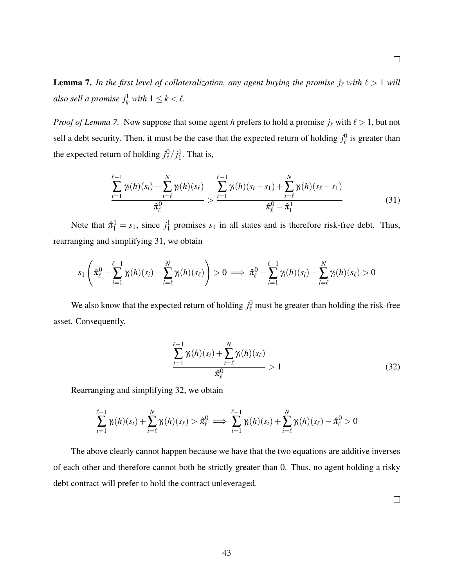$\Box$ 

<span id="page-42-0"></span>**Lemma 7.** In the first level of collateralization, any agent buying the promise  $j_\ell$  with  $\ell > 1$  will *also sell a promise*  $j_k^1$  *with*  $1 \leq k < \ell$ .

*Proof of Lemma* [7.](#page-42-0) Now suppose that some agent *h* prefers to hold a promise  $j_\ell$  with  $\ell > 1$ , but not sell a debt security. Then, it must be the case that the expected return of holding  $j_{\ell}^0$  $_{\ell}^{0}$  is greater than the expected return of holding  $j_{\ell}^0$  $_{\ell}^{0}/j_1^1$ . That is,

<span id="page-42-1"></span>
$$
\frac{\sum_{i=1}^{\ell-1} \gamma_i(h)(s_i) + \sum_{i=\ell}^N \gamma_i(h)(s_\ell)}{\hat{\pi}_\ell^0} > \frac{\sum_{i=1}^{\ell-1} \gamma_i(h)(s_i - s_1) + \sum_{i=\ell}^N \gamma_i(h)(s_\ell - s_1)}{\hat{\pi}_\ell^0 - \hat{\pi}_1^1}
$$
(31)

Note that  $\hat{\pi}_1^1 = s_1$ , since  $j_1^1$  promises  $s_1$  in all states and is therefore risk-free debt. Thus, rearranging and simplifying [31,](#page-42-1) we obtain

$$
s_1\left(\hat{\pi}_{\ell}^0 - \sum_{i=1}^{\ell-1} \gamma_i(h)(s_i) - \sum_{i=\ell}^N \gamma_i(h)(s_{\ell})\right) > 0 \implies \hat{\pi}_{\ell}^0 - \sum_{i=1}^{\ell-1} \gamma_i(h)(s_i) - \sum_{i=\ell}^N \gamma_i(h)(s_{\ell}) > 0
$$

We also know that the expected return of holding  $j_{\ell}^0$  must be greater than holding the risk-free asset. Consequently,

<span id="page-42-2"></span>
$$
\frac{\sum_{i=1}^{\ell-1} \gamma_i(h)(s_i) + \sum_{i=\ell}^N \gamma_i(h)(s_\ell)}{\hat{\pi}_\ell^0} > 1
$$
\n(32)

Rearranging and simplifying [32,](#page-42-2) we obtain

$$
\sum_{i=1}^{\ell-1} \gamma_i(h)(s_i) + \sum_{i=\ell}^N \gamma_i(h)(s_{\ell}) > \hat{\pi}_{\ell}^0 \implies \sum_{i=1}^{\ell-1} \gamma_i(h)(s_i) + \sum_{i=\ell}^N \gamma_i(h)(s_{\ell}) - \hat{\pi}_{\ell}^0 > 0
$$

The above clearly cannot happen because we have that the two equations are additive inverses of each other and therefore cannot both be strictly greater than 0. Thus, no agent holding a risky debt contract will prefer to hold the contract unleveraged.

 $\Box$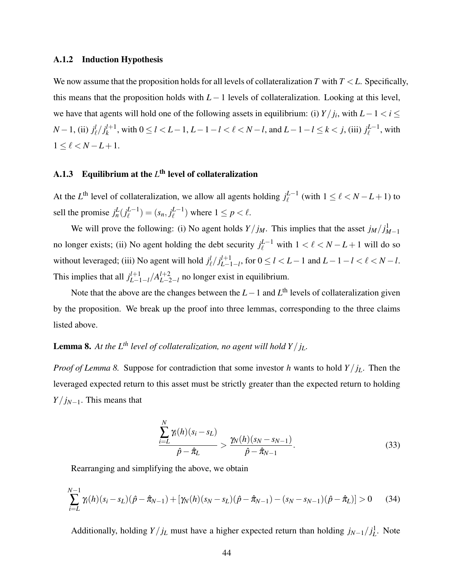#### A.1.2 Induction Hypothesis

We now assume that the proposition holds for all levels of collateralization  $T$  with  $T \leq L$ . Specifically, this means that the proposition holds with  $L-1$  levels of collateralization. Looking at this level, we have that agents will hold one of the following assets in equilibrium: (i) *Y*/ $j_i$ , with  $L-1 < i \leq$ *N* − 1, (ii)  $j^l_{\ell}$  $\frac{d}{\ell}/j_k^{l+1}$ *k*<sup>+1</sup>, with 0 ≤ *l* < *L* − 1, *L* − 1 − *l* <  $\ell$  < *N* − *l*, and *L* − 1 − *l* ≤ *k* < *j*, (iii) *j*<sup>*L*−1</sup>  $_{\ell}^{L-1}$ , with  $1 \leq \ell < N - L + 1.$ 

#### A.1.3 Equilibrium at the  $L^{\text{th}}$  level of collateralization

At the *L*<sup>th</sup> level of collateralization, we allow all agents holding  $j_{\ell}^{L-1}$  $\int_{\ell}^{L-1}$  (with  $1 \leq \ell < N - L + 1$ ) to sell the promise  $j_n^L$  ( $j_\ell^{L-1}$  $\binom{L-1}{\ell} = (s_n, j_{\ell}^{L-1})$  $\binom{L-1}{\ell}$  where  $1 \leq p < \ell$ .

We will prove the following: (i) No agent holds  $Y/j<sub>M</sub>$ . This implies that the asset  $j<sub>M</sub>/j<sub>M-1</sub><sup>1</sup>$ no longer exists; (ii) No agent holding the debt security  $j_{\ell}^{L-1}$  with  $1 < \ell < N - L + 1$  will do so without leveraged; (iii) No agent will hold  $j^l_\ell$  $_{\ell}^{l}/j_{L-1}^{l+1}$  $L_{L-1-l}^{l+1}$ , for  $0 \le l < L-1$  and  $L-1-l < l < N-l$ . This implies that all  $j_{L-1}^{l+1}$ *L*−1−*l* /*A l*+2 *L*−2−*l* no longer exist in equilibrium.

Note that the above are the changes between the *L* − 1 and *L*<sup>th</sup> levels of collateralization given by the proposition. We break up the proof into three lemmas, corresponding to the three claims listed above.

### <span id="page-43-0"></span>**Lemma 8.** At the L<sup>th</sup> level of collateralization, no agent will hold  $Y/\dot{y}$ .

*Proof of Lemma [8.](#page-43-0)* Suppose for contradiction that some investor *h* wants to hold *Y*/ *jL*. Then the leveraged expected return to this asset must be strictly greater than the expected return to holding  $Y / j_{N-1}$ . This means that

$$
\frac{\sum_{i=L}^{N} \gamma_i(h)(s_i - s_L)}{\hat{p} - \hat{\pi}_L} > \frac{\gamma_N(h)(s_N - s_{N-1})}{\hat{p} - \hat{\pi}_{N-1}}.
$$
\n(33)

Rearranging and simplifying the above, we obtain

<span id="page-43-1"></span>
$$
\sum_{i=L}^{N-1} \gamma_i(h)(s_i - s_L)(\hat{p} - \hat{\pi}_{N-1}) + [\gamma_N(h)(s_N - s_L)(\hat{p} - \hat{\pi}_{N-1}) - (s_N - s_{N-1})(\hat{p} - \hat{\pi}_L)] > 0 \quad (34)
$$

Additionally, holding  $Y/j_L$  must have a higher expected return than holding  $j_{N-1}/j_L^1$ . Note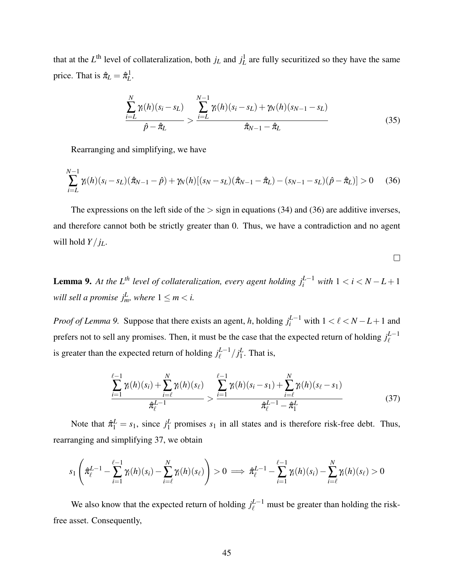that at the  $L<sup>th</sup>$  level of collateralization, both  $j<sub>L</sub>$  and  $j<sub>L</sub><sup>1</sup>$  are fully securitized so they have the same price. That is  $\hat{\pi}_L = \hat{\pi}_L^1$ .

$$
\frac{\sum_{i=L}^{N} \gamma_i(h)(s_i - s_L)}{\hat{p} - \hat{\pi}_L} > \frac{\sum_{i=L}^{N-1} \gamma_i(h)(s_i - s_L) + \gamma_N(h)(s_{N-1} - s_L)}{\hat{\pi}_{N-1} - \hat{\pi}_L}
$$
(35)

Rearranging and simplifying, we have

<span id="page-44-0"></span>
$$
\sum_{i=L}^{N-1} \gamma_i(h)(s_i - s_L)(\hat{\pi}_{N-1} - \hat{p}) + \gamma_N(h)[(s_N - s_L)(\hat{\pi}_{N-1} - \hat{\pi}_L) - (s_{N-1} - s_L)(\hat{p} - \hat{\pi}_L)] > 0 \quad (36)
$$

The expressions on the left side of the  $>$  sign in equations [\(34\)](#page-43-1) and [\(36\)](#page-44-0) are additive inverses, and therefore cannot both be strictly greater than 0. Thus, we have a contradiction and no agent will hold  $Y/j_L$ .

 $\Box$ 

<span id="page-44-1"></span>**Lemma 9.** At the L<sup>th</sup> level of collateralization, every agent holding  $j_i^{L-1}$  with  $1 < i < N - L + 1$ *will sell a promise*  $j_m^L$ , where  $1 \leq m < i$ .

*Proof of Lemma [9.](#page-44-1)* Suppose that there exists an agent, *h*, holding  $j_i^{L-1}$  with  $1 < \ell < N - L + 1$  and prefers not to sell any promises. Then, it must be the case that the expected return of holding  $j_{\ell}^{L-1}$  $\ell$ is greater than the expected return of holding  $j_{\ell}^{L-1}$  $\frac{L-1}{\ell}/j_1^L$  $\frac{L}{1}$ . That is,

<span id="page-44-2"></span>
$$
\frac{\sum_{i=1}^{\ell-1} \gamma_i(h)(s_i) + \sum_{i=\ell}^N \gamma_i(h)(s_\ell)}{\hat{\pi}_{\ell}^{L-1}} > \frac{\sum_{i=1}^{\ell-1} \gamma_i(h)(s_i - s_1) + \sum_{i=\ell}^N \gamma_i(h)(s_\ell - s_1)}{\hat{\pi}_{\ell}^{L-1} - \hat{\pi}_{1}^{L}}
$$
(37)

Note that  $\hat{\pi}_1^L = s_1$ , since  $j_1^L$  $\frac{L}{1}$  promises  $s_1$  in all states and is therefore risk-free debt. Thus, rearranging and simplifying [37,](#page-44-2) we obtain

$$
s_1\left(\hat{\pi}_{\ell}^{L-1} - \sum_{i=1}^{\ell-1} \gamma_i(h)(s_i) - \sum_{i=\ell}^{N} \gamma_i(h)(s_{\ell})\right) > 0 \implies \hat{\pi}_{\ell}^{L-1} - \sum_{i=1}^{\ell-1} \gamma_i(h)(s_i) - \sum_{i=\ell}^{N} \gamma_i(h)(s_{\ell}) > 0
$$

We also know that the expected return of holding  $j_{\ell}^{L-1}$  must be greater than holding the riskfree asset. Consequently,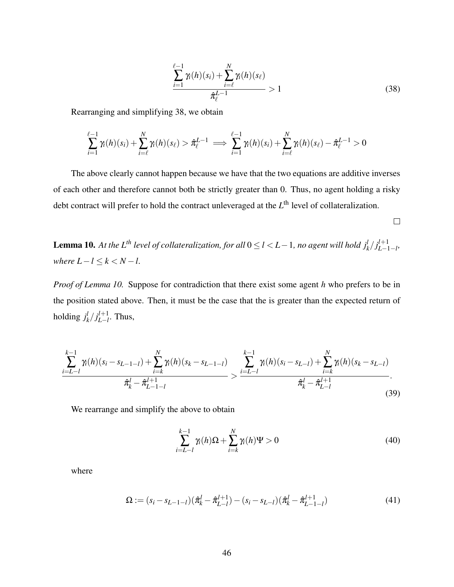<span id="page-45-0"></span>
$$
\frac{\sum_{i=1}^{\ell-1} \gamma_i(h)(s_i) + \sum_{i=\ell}^N \gamma_i(h)(s_\ell)}{\hat{\pi}_{\ell}^{L-1}} > 1
$$
\n(38)

Rearranging and simplifying [38,](#page-45-0) we obtain

$$
\sum_{i=1}^{\ell-1} \gamma_i(h)(s_i) + \sum_{i=\ell}^N \gamma_i(h)(s_{\ell}) > \hat{\pi}_{\ell}^{L-1} \implies \sum_{i=1}^{\ell-1} \gamma_i(h)(s_i) + \sum_{i=\ell}^N \gamma_i(h)(s_{\ell}) - \hat{\pi}_{\ell}^{L-1} > 0
$$

The above clearly cannot happen because we have that the two equations are additive inverses of each other and therefore cannot both be strictly greater than 0. Thus, no agent holding a risky debt contract will prefer to hold the contract unleveraged at the L<sup>th</sup> level of collateralization.

 $\Box$ 

<span id="page-45-1"></span>**Lemma 10.** At the L<sup>th</sup> level of collateralization, for all  $0 \leq l < L-1$ , no agent will hold  $j_{k}^{l}/j_{L-1}^{l+1}$ *L*−1−*l , where*  $L - l \leq k < N - l$ .

*Proof of Lemma [10.](#page-45-1)* Suppose for contradiction that there exist some agent *h* who prefers to be in the position stated above. Then, it must be the case that the is greater than the expected return of holding *j l*  $_{k}^{l}/j_{L-l}^{l+1}$  $\sum_{L-l}^{l+1}$ . Thus,

$$
\frac{\sum_{i=L-l}^{k-1} \gamma_i(h)(s_i - s_{L-1-l}) + \sum_{i=k}^{N} \gamma_i(h)(s_k - s_{L-1-l})}{\hat{\pi}_k^l - \hat{\pi}_{L-1-l}^{l+1}} > \frac{\sum_{i=L-l}^{k-1} \gamma_i(h)(s_i - s_{L-l}) + \sum_{i=k}^{N} \gamma_i(h)(s_k - s_{L-l})}{\hat{\pi}_k^l - \hat{\pi}_{L-l}^{l+1}}.
$$
\n(39)

We rearrange and simplify the above to obtain

<span id="page-45-2"></span>
$$
\sum_{i=L-l}^{k-1} \gamma_i(h)\Omega + \sum_{i=k}^N \gamma_i(h)\Psi > 0
$$
\n(40)

where

$$
\Omega := (s_i - s_{L-1-l})(\hat{\pi}_k^l - \hat{\pi}_{L-l}^{l+1}) - (s_i - s_{L-l})(\hat{\pi}_k^l - \hat{\pi}_{L-1-l}^{l+1})
$$
\n(41)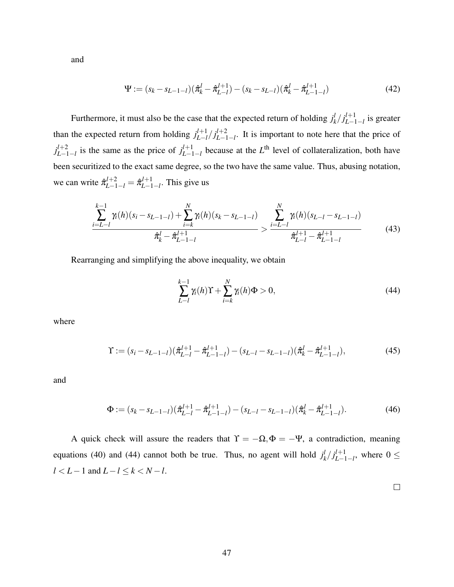and

$$
\Psi := (s_k - s_{L-1-l})(\hat{\pi}_k^l - \hat{\pi}_{L-l}^{l+1}) - (s_k - s_{L-l})(\hat{\pi}_k^l - \hat{\pi}_{L-1-l}^{l+1})
$$
(42)

Furthermore, it must also be the case that the expected return of holding  $j_k^l$  $\frac{l}{k}$  /  $j_{L-1}^{l+1}$ *L*−1−*l* is greater than the expected return from holding  $j_{L-1}^{l+1}$ *L*−*l* / *j l*+2  $\sum_{L-1-l}^{l+2}$ . It is important to note here that the price of  $j_{I=1}^{l+2}$  $_{L-1-l}^{l+2}$  is the same as the price of  $j_{L-1}^{l+1}$  $L_{L-1-l}^{l+1}$  because at the  $L^{\text{th}}$  level of collateralization, both have been securitized to the exact same degree, so the two have the same value. Thus, abusing notation, we can write  $\hat{\pi}_{L-1-l}^{l+2} = \hat{\pi}_{L-1}^{l+1}$  $L_{L-1-l}^{l+1}$ . This give us

$$
\frac{\sum_{i=L-l}^{k-1} \gamma_i(h)(s_i - s_{L-1-l}) + \sum_{i=k}^{N} \gamma_i(h)(s_k - s_{L-1-l})}{\hat{\pi}_k^l - \hat{\pi}_{L-1-l}^{l+1}} > \frac{\sum_{i=L-l}^{N} \gamma_i(h)(s_{L-l} - s_{L-1-l})}{\hat{\pi}_{L-l}^{l+1} - \hat{\pi}_{L-1-l}^{l+1}}
$$
(43)

Rearranging and simplifying the above inequality, we obtain

<span id="page-46-0"></span>
$$
\sum_{L-l}^{k-1} \gamma_i(h) \Upsilon + \sum_{i=k}^{N} \gamma_i(h) \Phi > 0, \qquad (44)
$$

where

$$
\Upsilon := (s_i - s_{L-1-l})(\hat{\pi}_{L-l}^{l+1} - \hat{\pi}_{L-1-l}^{l+1}) - (s_{L-l} - s_{L-1-l})(\hat{\pi}_k^l - \hat{\pi}_{L-1-l}^{l+1}),
$$
\n(45)

and

$$
\Phi := (s_k - s_{L-1-l})(\hat{\pi}_{L-l}^{l+1} - \hat{\pi}_{L-1-l}^{l+1}) - (s_{L-l} - s_{L-1-l})(\hat{\pi}_k^l - \hat{\pi}_{L-1-l}^{l+1}).
$$
\n(46)

A quick check will assure the readers that  $\Upsilon = -\Omega, \Phi = -\Psi$ , a contradiction, meaning equations [\(40\)](#page-45-2) and [\(44\)](#page-46-0) cannot both be true. Thus, no agent will hold  $j_k^l$  $\frac{l}{k}$  /  $j_{L-1}^{l+1}$  $L$ <sup>*L*+1</sup><sub>*L*−1−*l*</sub>, where  $0 \le$ *l* < *L*−1 and *L*−*l* ≤ *k* < *N* −*l*.

 $\Box$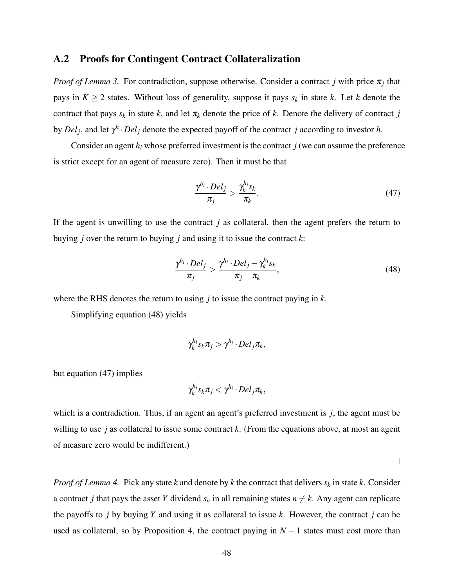#### A.2 Proofs for Contingent Contract Collateralization

*Proof of Lemma [3.](#page-26-0)* For contradiction, suppose otherwise. Consider a contract *j* with price  $\pi_j$  that pays in  $K \geq 2$  states. Without loss of generality, suppose it pays  $s_k$  in state *k*. Let *k* denote the contract that pays  $s_k$  in state  $k$ , and let  $\pi_k$  denote the price of  $k$ . Denote the delivery of contract  $j$ by  $Del_j$ , and let  $\gamma^h \cdot Del_j$  denote the expected payoff of the contract *j* according to investor *h*.

Consider an agent  $h_i$  whose preferred investment is the contract  $j$  (we can assume the preference is strict except for an agent of measure zero). Then it must be that

<span id="page-47-1"></span>
$$
\frac{\gamma^{h_i} \cdot Del_j}{\pi_j} > \frac{\gamma_k^{h_i} s_k}{\pi_k}.\tag{47}
$$

If the agent is unwilling to use the contract *j* as collateral, then the agent prefers the return to buying *j* over the return to buying *j* and using it to issue the contract *k*:

<span id="page-47-0"></span>
$$
\frac{\gamma^{h_i} \cdot Del_j}{\pi_j} > \frac{\gamma^{h_i} \cdot Del_j - \gamma_k^{h_i} s_k}{\pi_j - \pi_k},\tag{48}
$$

where the RHS denotes the return to using *j* to issue the contract paying in *k*.

Simplifying equation [\(48\)](#page-47-0) yields

$$
\gamma_k^{h_i} s_k \pi_j > \gamma^{h_i} \cdot Del_j \pi_k,
$$

but equation [\(47\)](#page-47-1) implies

$$
\gamma_k^{h_i} s_k \pi_j < \gamma^{h_i} \cdot Del_j \pi_k,
$$

which is a contradiction. Thus, if an agent an agent's preferred investment is *j*, the agent must be willing to use *j* as collateral to issue some contract *k*. (From the equations above, at most an agent of measure zero would be indifferent.)

 $\Box$ 

*Proof of Lemma [4.](#page-26-1)* Pick any state *k* and denote by *k* the contract that delivers *s<sup>k</sup>* in state *k*. Consider a contract *j* that pays the asset *Y* dividend  $s_n$  in all remaining states  $n \neq k$ . Any agent can replicate the payoffs to *j* by buying *Y* and using it as collateral to issue *k*. However, the contract *j* can be used as collateral, so by Proposition [4,](#page-20-0) the contract paying in  $N-1$  states must cost more than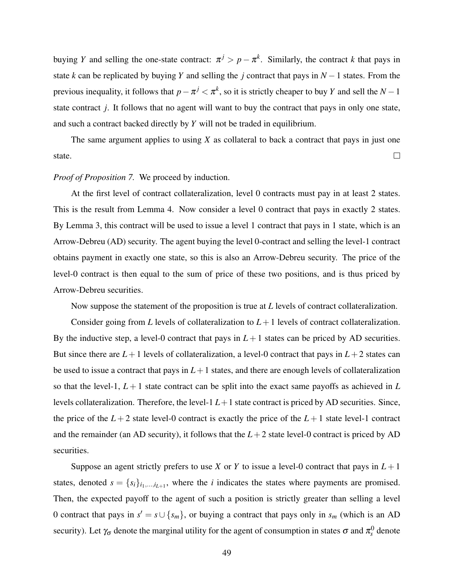buying *Y* and selling the one-state contract:  $\pi^{j} > p - \pi^{k}$ . Similarly, the contract *k* that pays in state *k* can be replicated by buying *Y* and selling the *j* contract that pays in *N* −1 states. From the previous inequality, it follows that  $p - \pi^j < \pi^k$ , so it is strictly cheaper to buy *Y* and sell the *N* − 1 state contract *j*. It follows that no agent will want to buy the contract that pays in only one state, and such a contract backed directly by *Y* will not be traded in equilibrium.

The same argument applies to using *X* as collateral to back a contract that pays in just one  $\Box$ state.

#### *Proof of Proposition [7.](#page-27-1)* We proceed by induction.

At the first level of contract collateralization, level 0 contracts must pay in at least 2 states. This is the result from Lemma [4.](#page-26-1) Now consider a level 0 contract that pays in exactly 2 states. By Lemma [3,](#page-26-0) this contract will be used to issue a level 1 contract that pays in 1 state, which is an Arrow-Debreu (AD) security. The agent buying the level 0-contract and selling the level-1 contract obtains payment in exactly one state, so this is also an Arrow-Debreu security. The price of the level-0 contract is then equal to the sum of price of these two positions, and is thus priced by Arrow-Debreu securities.

Now suppose the statement of the proposition is true at *L* levels of contract collateralization.

Consider going from *L* levels of collateralization to  $L+1$  levels of contract collateralization. By the inductive step, a level-0 contract that pays in  $L+1$  states can be priced by AD securities. But since there are  $L+1$  levels of collateralization, a level-0 contract that pays in  $L+2$  states can be used to issue a contract that pays in  $L+1$  states, and there are enough levels of collateralization so that the level-1, *L* + 1 state contract can be split into the exact same payoffs as achieved in *L* levels collateralization. Therefore, the level- $1 L+1$  state contract is priced by AD securities. Since, the price of the  $L+2$  state level-0 contract is exactly the price of the  $L+1$  state level-1 contract and the remainder (an AD security), it follows that the  $L+2$  state level-0 contract is priced by AD securities.

Suppose an agent strictly prefers to use *X* or *Y* to issue a level-0 contract that pays in  $L+1$ states, denoted  $s = \{s_i\}_{i_1,\dots,i_{L+1}}$ , where the *i* indicates the states where payments are promised. Then, the expected payoff to the agent of such a position is strictly greater than selling a level 0 contract that pays in  $s' = s \cup \{s_m\}$ , or buying a contract that pays only in  $s_m$  (which is an AD security). Let  $\gamma_{\sigma}$  denote the marginal utility for the agent of consumption in states  $\sigma$  and  $\pi_s^0$  denote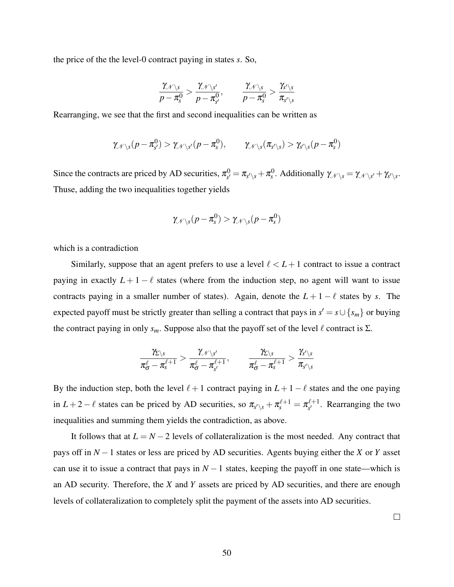the price of the the level-0 contract paying in states *s*. So,

$$
\frac{\gamma_{\mathscr{N}\setminus s}}{p-\pi_s^0} > \frac{\gamma_{\mathscr{N}\setminus s'}}{p-\pi_{s'}^0}, \qquad \frac{\gamma_{\mathscr{N}\setminus s}}{p-\pi_s^0} > \frac{\gamma_{s'\setminus s}}{\pi_{s'\setminus s}}
$$

Rearranging, we see that the first and second inequalities can be written as

$$
\gamma_{\mathscr{N} \setminus s}(p-\pi^0_{s'}) > \gamma_{\mathscr{N} \setminus s'}(p-\pi^0_s), \qquad \gamma_{\mathscr{N} \setminus s}(\pi_{s' \setminus s}) > \gamma_{s' \setminus s}(p-\pi^0_s)
$$

Since the contracts are priced by AD securities,  $\pi_{s'}^0$  $\pi_{S'}^0 = \pi_{S'\setminus S} + \pi_{S}^0$ . Additionally  $\gamma_{\mathscr{N}\setminus S} = \gamma_{\mathscr{N}\setminus S'} + \gamma_{S'\setminus S}.$ Thuse, adding the two inequalities together yields

$$
\gamma_{\mathscr{N} \setminus s}(p-\pi^0_s) > \gamma_{\mathscr{N} \setminus s}(p-\pi^0_s)
$$

which is a contradiction

Similarly, suppose that an agent prefers to use a level  $\ell < L+1$  contract to issue a contract paying in exactly  $L + 1 - \ell$  states (where from the induction step, no agent will want to issue contracts paying in a smaller number of states). Again, denote the  $L + 1 - \ell$  states by *s*. The expected payoff must be strictly greater than selling a contract that pays in  $s' = s \cup \{s_m\}$  or buying the contract paying in only  $s_m$ . Suppose also that the payoff set of the level  $\ell$  contract is  $\Sigma$ .

$$
\frac{\gamma_{\Sigma \setminus s}}{\pi_\sigma^\ell - \pi_s^{\ell+1}} > \frac{\gamma_{\mathscr{N} \setminus s'}}{\pi_\sigma^\ell - \pi_{s'}^{\ell+1}}, \qquad \frac{\gamma_{\Sigma \setminus s}}{\pi_\sigma^\ell - \pi_s^{\ell+1}} > \frac{\gamma_{s' \setminus s}}{\pi_{s' \setminus s}}
$$

By the induction step, both the level  $\ell + 1$  contract paying in  $L + 1 - \ell$  states and the one paying in  $L + 2 - \ell$  states can be priced by AD securities, so  $\pi_{s' \setminus s} + \pi_s^{\ell+1} = \pi_{s'}^{\ell+1}$  $s^{l+1}$ . Rearranging the two inequalities and summing them yields the contradiction, as above.

It follows that at  $L = N - 2$  levels of collateralization is the most needed. Any contract that pays off in *N* −1 states or less are priced by AD securities. Agents buying either the *X* or *Y* asset can use it to issue a contract that pays in  $N-1$  states, keeping the payoff in one state—which is an AD security. Therefore, the *X* and *Y* assets are priced by AD securities, and there are enough levels of collateralization to completely split the payment of the assets into AD securities.

 $\Box$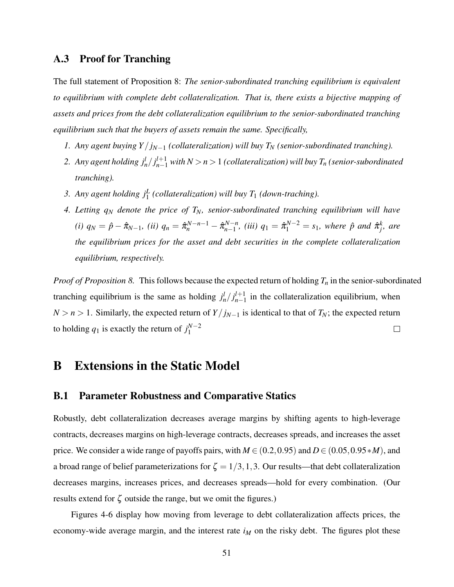### A.3 Proof for Tranching

The full statement of Proposition [8:](#page-29-0) *The senior-subordinated tranching equilibrium is equivalent to equilibrium with complete debt collateralization. That is, there exists a bijective mapping of assets and prices from the debt collateralization equilibrium to the senior-subordinated tranching equilibrium such that the buyers of assets remain the same. Specifically,*

- *1. Any agent buying Y*/ $j_{N-1}$  *(collateralization) will buy T<sub>N</sub> (senior-subordinated tranching).*
- 2. Any agent holding  $j_n^l / j_{n-1}^{l+1}$  with  $N > n > 1$  (collateralization) will buy  $T_n$  (senior-subordinated *tranching).*
- 3. Any agent holding  $j_1^L$  (collateralization) will buy  $T_1$  (down-traching).
- *4. Letting q<sup>N</sup> denote the price of TN, senior-subordinated tranching equilibrium will have*  $(i) q_N = \hat{p} - \hat{\pi}_{N-1}$ ,  $(ii) q_n = \hat{\pi}_n^{N-n-1} - \hat{\pi}_{n-1}^{N-n}$  $a_{n-1}^{N-n}$ , *(iii)*  $q_1 = \hat{\pi}_1^{N-2} = s_1$ , where  $\hat{p}$  and  $\hat{\pi}_j^k$ , are *the equilibrium prices for the asset and debt securities in the complete collateralization equilibrium, respectively.*

*Proof of Proposition [8.](#page-29-0)* This follows because the expected return of holding *T<sup>n</sup>* in the senior-subordinated tranching equilibrium is the same as holding  $j_n^l / j_{n-1}^{l+1}$  $\binom{l+1}{n-1}$  in the collateralization equilibrium, when *N* > *n* > 1. Similarly, the expected return of *Y*/ $j_{N-1}$  is identical to that of  $T_N$ ; the expected return to holding  $q_1$  is exactly the return of  $j_1^{N-2}$  $\Box$ 1

### <span id="page-50-1"></span>B Extensions in the Static Model

#### <span id="page-50-0"></span>B.1 Parameter Robustness and Comparative Statics

Robustly, debt collateralization decreases average margins by shifting agents to high-leverage contracts, decreases margins on high-leverage contracts, decreases spreads, and increases the asset price. We consider a wide range of payoffs pairs, with  $M \in (0.2, 0.95)$  and  $D \in (0.05, 0.95*M)$ , and a broad range of belief parameterizations for  $\zeta = 1/3, 1, 3$ . Our results—that debt collateralization decreases margins, increases prices, and decreases spreads—hold for every combination. (Our results extend for  $\zeta$  outside the range, but we omit the figures.)

Figures [4](#page-52-0)[-6](#page-52-1) display how moving from leverage to debt collateralization affects prices, the economy-wide average margin, and the interest rate  $i_M$  on the risky debt. The figures plot these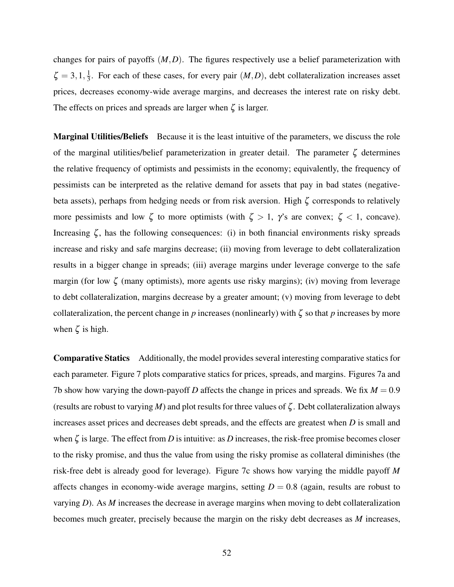changes for pairs of payoffs (*M*,*D*). The figures respectively use a belief parameterization with  $\zeta = 3, 1, \frac{1}{3}$  $\frac{1}{3}$ . For each of these cases, for every pair  $(M,D)$ , debt collateralization increases asset prices, decreases economy-wide average margins, and decreases the interest rate on risky debt. The effects on prices and spreads are larger when  $\zeta$  is larger.

Marginal Utilities/Beliefs Because it is the least intuitive of the parameters, we discuss the role of the marginal utilities/belief parameterization in greater detail. The parameter  $\zeta$  determines the relative frequency of optimists and pessimists in the economy; equivalently, the frequency of pessimists can be interpreted as the relative demand for assets that pay in bad states (negativebeta assets), perhaps from hedging needs or from risk aversion. High  $\zeta$  corresponds to relatively more pessimists and low  $\zeta$  to more optimists (with  $\zeta > 1$ ,  $\gamma$ 's are convex;  $\zeta < 1$ , concave). Increasing  $\zeta$ , has the following consequences: (i) in both financial environments risky spreads increase and risky and safe margins decrease; (ii) moving from leverage to debt collateralization results in a bigger change in spreads; (iii) average margins under leverage converge to the safe margin (for low  $\zeta$  (many optimists), more agents use risky margins); (iv) moving from leverage to debt collateralization, margins decrease by a greater amount; (v) moving from leverage to debt collateralization, the percent change in  $p$  increases (nonlinearly) with  $\zeta$  so that  $p$  increases by more when  $\zeta$  is high.

Comparative Statics Additionally, the model provides several interesting comparative statics for each parameter. Figure [7](#page-53-1) plots comparative statics for prices, spreads, and margins. Figures [7a](#page-53-1) and [7b](#page-53-1) show how varying the down-payoff *D* affects the change in prices and spreads. We fix  $M = 0.9$ (results are robust to varying *M*) and plot results for three values of  $\zeta$ . Debt collateralization always increases asset prices and decreases debt spreads, and the effects are greatest when *D* is small and when  $\zeta$  is large. The effect from *D* is intuitive: as *D* increases, the risk-free promise becomes closer to the risky promise, and thus the value from using the risky promise as collateral diminishes (the risk-free debt is already good for leverage). Figure [7c](#page-53-1) shows how varying the middle payoff *M* affects changes in economy-wide average margins, setting  $D = 0.8$  (again, results are robust to varying *D*). As *M* increases the decrease in average margins when moving to debt collateralization becomes much greater, precisely because the margin on the risky debt decreases as *M* increases,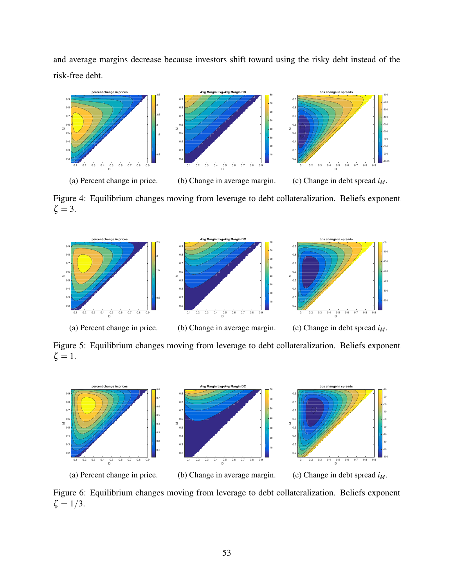and average margins decrease because investors shift toward using the risky debt instead of the risk-free debt.

<span id="page-52-0"></span>

(a) Percent change in price. (b) Change in average margin. (c) Change in debt spread *iM*.

Figure 4: Equilibrium changes moving from leverage to debt collateralization. Beliefs exponent  $\zeta = 3$ .



Figure 5: Equilibrium changes moving from leverage to debt collateralization. Beliefs exponent  $\zeta = 1$ .

<span id="page-52-1"></span>

Figure 6: Equilibrium changes moving from leverage to debt collateralization. Beliefs exponent  $\zeta = 1/3$ .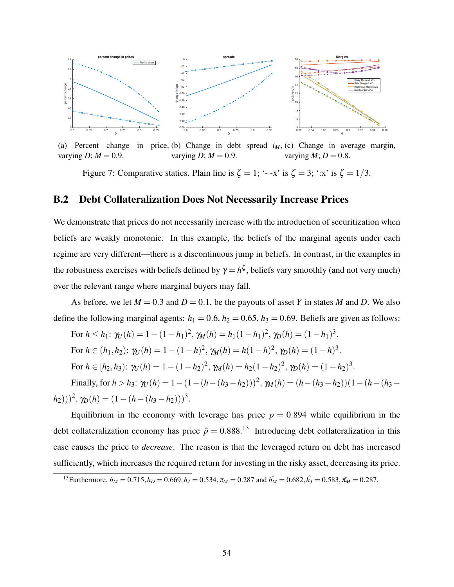<span id="page-53-1"></span>

(a) Percent change in price, (b) Change in debt spread  $i_M$ , (c) Change in average margin, varying  $D$ ;  $M = 0.9$ . varying  $D$ ;  $M = 0.9$ . varying  $M$ ;  $D = 0.8$ .

Figure 7: Comparative statics. Plain line is  $\zeta = 1$ ; '- -x' is  $\zeta = 3$ ; ':x' is  $\zeta = 1/3$ .

### <span id="page-53-0"></span>B.2 Debt Collateralization Does Not Necessarily Increase Prices

We demonstrate that prices do not necessarily increase with the introduction of securitization when beliefs are weakly monotonic. In this example, the beliefs of the marginal agents under each regime are very different—there is a discontinuous jump in beliefs. In contrast, in the examples in the robustness exercises with beliefs defined by  $\gamma = h^{\zeta}$ , beliefs vary smoothly (and not very much) over the relevant range where marginal buyers may fall.

As before, we let  $M = 0.3$  and  $D = 0.1$ , be the payouts of asset Y in states M and D. We also define the following marginal agents:  $h_1 = 0.6$ ,  $h_2 = 0.65$ ,  $h_3 = 0.69$ . Beliefs are given as follows:

For 
$$
h \le h_1
$$
:  $\gamma_U(h) = 1 - (1 - h_1)^2$ ,  $\gamma_M(h) = h_1(1 - h_1)^2$ ,  $\gamma_D(h) = (1 - h_1)^3$ .  
\nFor  $h \in (h_1, h_2)$ :  $\gamma_U(h) = 1 - (1 - h)^2$ ,  $\gamma_M(h) = h(1 - h)^2$ ,  $\gamma_D(h) = (1 - h)^3$ .  
\nFor  $h \in [h_2, h_3)$ :  $\gamma_U(h) = 1 - (1 - h_2)^2$ ,  $\gamma_M(h) = h_2(1 - h_2)^2$ ,  $\gamma_D(h) = (1 - h_2)^3$ .  
\nFinally, for  $h > h_3$ :  $\gamma_U(h) = 1 - (1 - (h - (h_3 - h_2)))^2$ ,  $\gamma_M(h) = (h - (h_3 - h_2))(1 - (h - (h_3 - h_2)))^2$ ,  $\gamma_D(h) = (1 - (h - (h_3 - h_2)))^3$ .

Equilibrium in the economy with leverage has price  $p = 0.894$  while equilibrium in the debt collateralization economy has price  $\hat{p} = 0.888$ .<sup>[13](#page-53-2)</sup> Introducing debt collateralization in this case causes the price to *decrease*. The reason is that the leveraged return on debt has increased sufficiently, which increases the required return for investing in the risky asset, decreasing its price.

<span id="page-53-2"></span> $^{13}$ Furthermore,  $h_M = 0.715$ ,  $h_D = 0.669$ ,  $h_J = 0.534$ ,  $\pi_M = 0.287$  and  $\hat{h_M} = 0.682$ ,  $\hat{h_J} = 0.583$ ,  $\hat{\pi_M} = 0.287$ .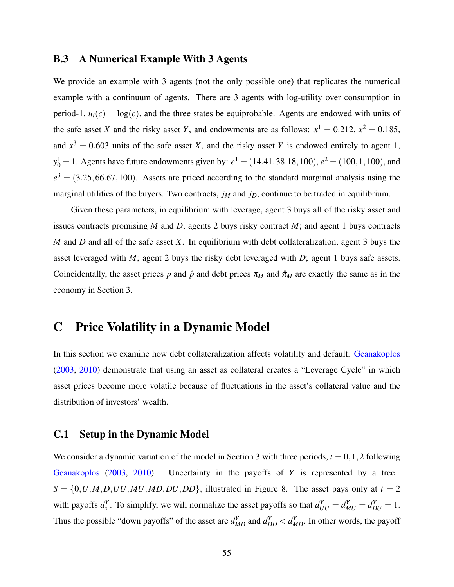### <span id="page-54-0"></span>B.3 A Numerical Example With 3 Agents

We provide an example with 3 agents (not the only possible one) that replicates the numerical example with a continuum of agents. There are 3 agents with log-utility over consumption in period-1,  $u_i(c) = \log(c)$ , and the three states be equiprobable. Agents are endowed with units of the safe asset *X* and the risky asset *Y*, and endowments are as follows:  $x^1 = 0.212$ ,  $x^2 = 0.185$ , and  $x^3 = 0.603$  units of the safe asset *X*, and the risky asset *Y* is endowed entirely to agent 1,  $y_0^1 = 1$ . Agents have future endowments given by:  $e^1 = (14.41, 38.18, 100)$ ,  $e^2 = (100, 1, 100)$ , and  $e^3 = (3.25, 66.67, 100)$ . Assets are priced according to the standard marginal analysis using the marginal utilities of the buyers. Two contracts, *j<sup>M</sup>* and *jD*, continue to be traded in equilibrium.

Given these parameters, in equilibrium with leverage, agent 3 buys all of the risky asset and issues contracts promising *M* and *D*; agents 2 buys risky contract *M*; and agent 1 buys contracts *M* and *D* and all of the safe asset *X*. In equilibrium with debt collateralization, agent 3 buys the asset leveraged with *M*; agent 2 buys the risky debt leveraged with *D*; agent 1 buys safe assets. Coincidentally, the asset prices p and  $\hat{p}$  and debt prices  $\pi_M$  and  $\hat{\pi}_M$  are exactly the same as in the economy in Section [3.](#page-11-2)

### <span id="page-54-1"></span>C Price Volatility in a Dynamic Model

In this section we examine how debt collateralization affects volatility and default. [Geanakoplos](#page-32-1) [\(2003,](#page-32-1) [2010\)](#page-32-14) demonstrate that using an asset as collateral creates a "Leverage Cycle" in which asset prices become more volatile because of fluctuations in the asset's collateral value and the distribution of investors' wealth.

### C.1 Setup in the Dynamic Model

We consider a dynamic variation of the model in Section [3](#page-11-2) with three periods,  $t = 0, 1, 2$  following [Geanakoplos](#page-32-1) [\(2003,](#page-32-1) [2010\)](#page-32-14). Uncertainty in the payoffs of *Y* is represented by a tree  $S = \{0, U, M, D, UU, MU, MD, DU, DD\}$ , illustrated in Figure [8.](#page-55-0) The asset pays only at  $t = 2$ with payoffs  $d_s^Y$ . To simplify, we will normalize the asset payoffs so that  $d_{UU}^Y = d_{MU}^Y = d_{DU}^Y = 1$ . Thus the possible "down payoffs" of the asset are  $d_{MD}^Y$  and  $d_{DD}^Y < d_{MD}^Y$ . In other words, the payoff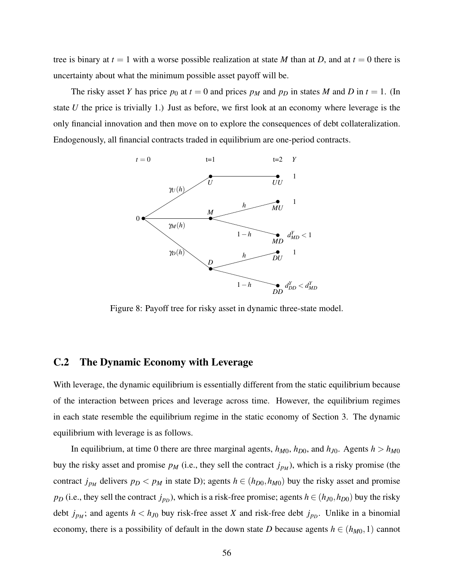tree is binary at  $t = 1$  with a worse possible realization at state *M* than at *D*, and at  $t = 0$  there is uncertainty about what the minimum possible asset payoff will be.

<span id="page-55-0"></span>The risky asset *Y* has price  $p_0$  at  $t = 0$  and prices  $p_M$  and  $p_D$  in states *M* and *D* in  $t = 1$ . (In state *U* the price is trivially 1.) Just as before, we first look at an economy where leverage is the only financial innovation and then move on to explore the consequences of debt collateralization. Endogenously, all financial contracts traded in equilibrium are one-period contracts.



Figure 8: Payoff tree for risky asset in dynamic three-state model.

#### <span id="page-55-1"></span>C.2 The Dynamic Economy with Leverage

With leverage, the dynamic equilibrium is essentially different from the static equilibrium because of the interaction between prices and leverage across time. However, the equilibrium regimes in each state resemble the equilibrium regime in the static economy of Section [3.](#page-11-2) The dynamic equilibrium with leverage is as follows.

In equilibrium, at time 0 there are three marginal agents,  $h_{M0}$ ,  $h_{D0}$ , and  $h_{J0}$ . Agents  $h > h_{M0}$ buy the risky asset and promise  $p_M$  (i.e., they sell the contract  $j_{p_M}$ ), which is a risky promise (the contract  $j_{p_M}$  delivers  $p_D < p_M$  in state D); agents  $h \in (h_{D0}, h_{M0})$  buy the risky asset and promise  $p_D$  (i.e., they sell the contract  $j_{p_D}$ ), which is a risk-free promise; agents  $h \in (h_{J0}, h_{D0})$  buy the risky debt  $j_{p_M}$ ; and agents  $h < h_{J0}$  buy risk-free asset *X* and risk-free debt  $j_{p_D}$ . Unlike in a binomial economy, there is a possibility of default in the down state *D* because agents  $h \in (h_{M0}, 1)$  cannot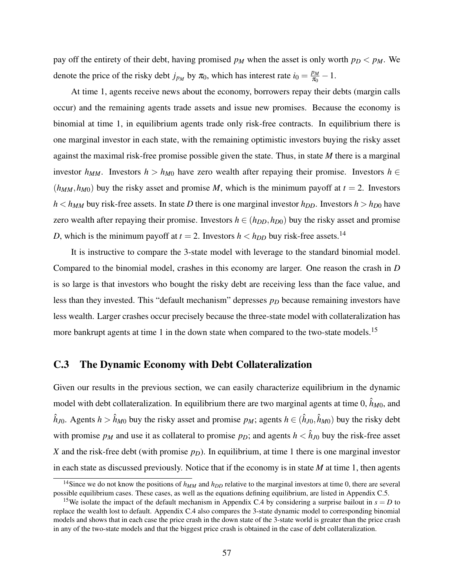pay off the entirety of their debt, having promised  $p_M$  when the asset is only worth  $p_D < p_M$ . We denote the price of the risky debt  $j_{pM}$  by  $\pi_0$ , which has interest rate  $i_0 = \frac{p_M}{\pi_0}$  $\frac{p_M}{\pi_0}-1.$ 

At time 1, agents receive news about the economy, borrowers repay their debts (margin calls occur) and the remaining agents trade assets and issue new promises. Because the economy is binomial at time 1, in equilibrium agents trade only risk-free contracts. In equilibrium there is one marginal investor in each state, with the remaining optimistic investors buying the risky asset against the maximal risk-free promise possible given the state. Thus, in state *M* there is a marginal investor  $h_{MM}$ . Investors  $h > h_{M0}$  have zero wealth after repaying their promise. Investors  $h \in$  $(h_{MM}, h_{M0})$  buy the risky asset and promise *M*, which is the minimum payoff at  $t = 2$ . Investors  $h < h_{MM}$  buy risk-free assets. In state *D* there is one marginal investor  $h_{DD}$ . Investors  $h > h_{D0}$  have zero wealth after repaying their promise. Investors  $h \in (h_{DD}, h_{D0})$  buy the risky asset and promise *D*, which is the minimum payoff at  $t = 2$ . Investors  $h < h_{DD}$  buy risk-free assets.<sup>[14](#page-56-0)</sup>

It is instructive to compare the 3-state model with leverage to the standard binomial model. Compared to the binomial model, crashes in this economy are larger. One reason the crash in *D* is so large is that investors who bought the risky debt are receiving less than the face value, and less than they invested. This "default mechanism" depresses *p<sup>D</sup>* because remaining investors have less wealth. Larger crashes occur precisely because the three-state model with collateralization has more bankrupt agents at time 1 in the down state when compared to the two-state models.<sup>[15](#page-56-1)</sup>

### <span id="page-56-2"></span>C.3 The Dynamic Economy with Debt Collateralization

Given our results in the previous section, we can easily characterize equilibrium in the dynamic model with debt collateralization. In equilibrium there are two marginal agents at time 0,  $\hat{h}_{M0}$ , and  $\hat{h}_{J0}$ . Agents  $h > \hat{h}_{M0}$  buy the risky asset and promise  $p_M$ ; agents  $h \in (\hat{h}_{J0}, \hat{h}_{M0})$  buy the risky debt with promise  $p_M$  and use it as collateral to promise  $p_D$ ; and agents  $h < \hat{h}_{J0}$  buy the risk-free asset *X* and the risk-free debt (with promise  $p<sub>D</sub>$ ). In equilibrium, at time 1 there is one marginal investor in each state as discussed previously. Notice that if the economy is in state *M* at time 1, then agents

<span id="page-56-0"></span><sup>&</sup>lt;sup>14</sup>Since we do not know the positions of  $h_{MM}$  and  $h_{DD}$  relative to the marginal investors at time 0, there are several possible equilibrium cases. These cases, as well as the equations defining equilibrium, are listed in Appendix [C.5.](#page-62-0)

<span id="page-56-1"></span><sup>&</sup>lt;sup>15</sup>We isolate the impact of the default mechanism in Appendix [C.4](#page-58-0) by considering a surprise bailout in  $s = D$  to replace the wealth lost to default. Appendix [C.4](#page-58-0) also compares the 3-state dynamic model to corresponding binomial models and shows that in each case the price crash in the down state of the 3-state world is greater than the price crash in any of the two-state models and that the biggest price crash is obtained in the case of debt collateralization.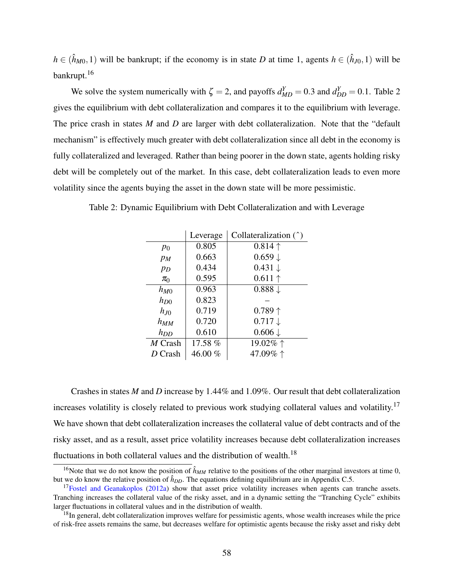$h \in (\hat{h}_{M0}, 1)$  will be bankrupt; if the economy is in state *D* at time 1, agents  $h \in (\hat{h}_{J0}, 1)$  will be bankrupt.[16](#page-57-0)

We solve the system numerically with  $\zeta = 2$  $\zeta = 2$ , and payoffs  $d_{MD}^Y = 0.3$  and  $d_{DD}^Y = 0.1$ . Table 2 gives the equilibrium with debt collateralization and compares it to the equilibrium with leverage. The price crash in states *M* and *D* are larger with debt collateralization. Note that the "default" mechanism" is effectively much greater with debt collateralization since all debt in the economy is fully collateralized and leveraged. Rather than being poorer in the down state, agents holding risky debt will be completely out of the market. In this case, debt collateralization leads to even more volatility since the agents buying the asset in the down state will be more pessimistic.

|           | Leverage | Collateralization (^) |  |
|-----------|----------|-----------------------|--|
| $p_0$     | 0.805    | $0.814 \uparrow$      |  |
| $p_M$     | 0.663    | $0.659 \downarrow$    |  |
| $p_D$     | 0.434    | $0.431 \downarrow$    |  |
| $\pi_0$   | 0.595    | $0.611 \uparrow$      |  |
| $h_{M0}$  | 0.963    | $0.888 \downarrow$    |  |
| $h_{D0}$  | 0.823    |                       |  |
| $h_{J0}$  | 0.719    | $0.789 \uparrow$      |  |
| $h_{MM}$  | 0.720    | $0.717 \downarrow$    |  |
| $h_{DD}$  | 0.610    | $0.606 \downarrow$    |  |
| $M$ Crash | 17.58 %  | 19.02% 1              |  |
| $D$ Crash | 46.00 %  | 47.09% 1              |  |

<span id="page-57-1"></span>Table 2: Dynamic Equilibrium with Debt Collateralization and with Leverage

Crashes in states *M* and *D* increase by 1.44% and 1.09%. Our result that debt collateralization increases volatility is closely related to previous work studying collateral values and volatility.<sup>[17](#page-57-2)</sup> We have shown that debt collateralization increases the collateral value of debt contracts and of the risky asset, and as a result, asset price volatility increases because debt collateralization increases fluctuations in both collateral values and the distribution of wealth.<sup>[18](#page-57-3)</sup>

<span id="page-57-0"></span><sup>&</sup>lt;sup>16</sup>Note that we do not know the position of  $\hat{h}_{MM}$  relative to the positions of the other marginal investors at time 0, but we do know the relative position of  $\hat{h}_{DD}$ . The equations defining equilibrium are in Appendix [C.5.](#page-62-0)

<span id="page-57-2"></span><sup>&</sup>lt;sup>17</sup>[Fostel and Geanakoplos](#page-32-3) [\(2012a\)](#page-32-3) show that asset price volatility increases when agents can tranche assets. Tranching increases the collateral value of the risky asset, and in a dynamic setting the "Tranching Cycle" exhibits larger fluctuations in collateral values and in the distribution of wealth.

<span id="page-57-3"></span><sup>&</sup>lt;sup>18</sup>In general, debt collateralization improves welfare for pessimistic agents, whose wealth increases while the price of risk-free assets remains the same, but decreases welfare for optimistic agents because the risky asset and risky debt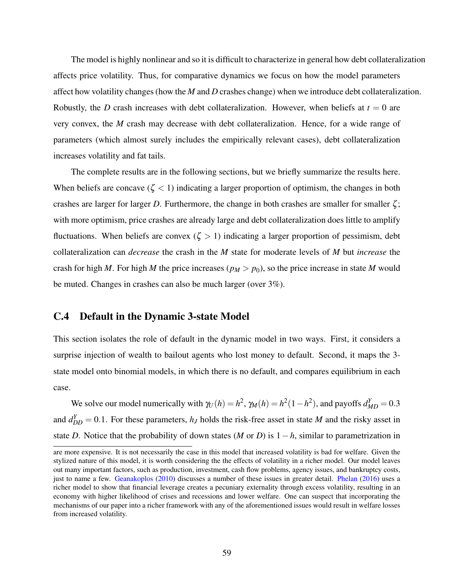The model is highly nonlinear and so it is difficult to characterize in general how debt collateralization affects price volatility. Thus, for comparative dynamics we focus on how the model parameters affect how volatility changes (how the *M* and *D* crashes change) when we introduce debt collateralization. Robustly, the *D* crash increases with debt collateralization. However, when beliefs at  $t = 0$  are very convex, the *M* crash may decrease with debt collateralization. Hence, for a wide range of parameters (which almost surely includes the empirically relevant cases), debt collateralization increases volatility and fat tails.

The complete results are in the following sections, but we briefly summarize the results here. When beliefs are concave ( $\zeta$  < 1) indicating a larger proportion of optimism, the changes in both crashes are larger for larger *D*. Furthermore, the change in both crashes are smaller for smaller  $\zeta$ ; with more optimism, price crashes are already large and debt collateralization does little to amplify fluctuations. When beliefs are convex  $(\zeta > 1)$  indicating a larger proportion of pessimism, debt collateralization can *decrease* the crash in the *M* state for moderate levels of *M* but *increase* the crash for high *M*. For high *M* the price increases ( $p_M > p_0$ ), so the price increase in state *M* would be muted. Changes in crashes can also be much larger (over 3%).

#### <span id="page-58-0"></span>C.4 Default in the Dynamic 3-state Model

This section isolates the role of default in the dynamic model in two ways. First, it considers a surprise injection of wealth to bailout agents who lost money to default. Second, it maps the 3 state model onto binomial models, in which there is no default, and compares equilibrium in each case.

We solve our model numerically with  $\gamma_U(h) = h^2$ ,  $\gamma_M(h) = h^2(1-h^2)$ , and payoffs  $d_{MD}^Y = 0.3$ and  $d_{DD}^Y = 0.1$ . For these parameters,  $h_J$  holds the risk-free asset in state *M* and the risky asset in state *D*. Notice that the probability of down states (*M* or *D*) is 1−*h*, similar to parametrization in

are more expensive. It is not necessarily the case in this model that increased volatility is bad for welfare. Given the stylized nature of this model, it is worth considering the the effects of volatility in a richer model. Our model leaves out many important factors, such as production, investment, cash flow problems, agency issues, and bankruptcy costs, just to name a few. [Geanakoplos](#page-32-14) [\(2010\)](#page-32-14) discusses a number of these issues in greater detail. [Phelan](#page-33-12) [\(2016\)](#page-33-12) uses a richer model to show that financial leverage creates a pecuniary externality through excess volatility, resulting in an economy with higher likelihood of crises and recessions and lower welfare. One can suspect that incorporating the mechanisms of our paper into a richer framework with any of the aforementioned issues would result in welfare losses from increased volatility.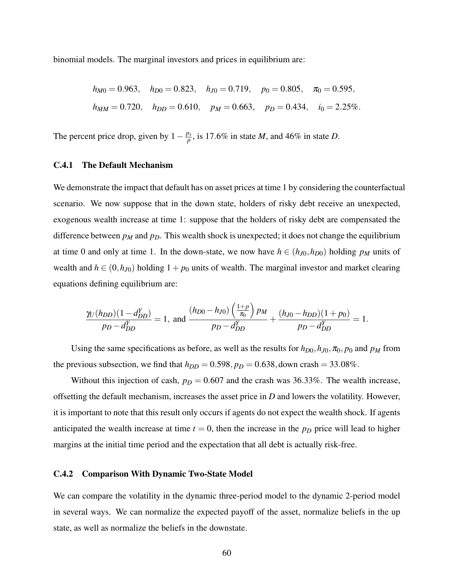binomial models. The marginal investors and prices in equilibrium are:

$$
h_{M0} = 0.963
$$
,  $h_{D0} = 0.823$ ,  $h_{J0} = 0.719$ ,  $p_0 = 0.805$ ,  $\pi_0 = 0.595$ ,  
 $h_{MM} = 0.720$ ,  $h_{DD} = 0.610$ ,  $p_M = 0.663$ ,  $p_D = 0.434$ ,  $i_0 = 2.25\%$ .

The percent price drop, given by  $1 - \frac{p_s}{p}$ *p* , is 17.6% in state *M*, and 46% in state *D*.

#### C.4.1 The Default Mechanism

We demonstrate the impact that default has on asset prices at time 1 by considering the counterfactual scenario. We now suppose that in the down state, holders of risky debt receive an unexpected, exogenous wealth increase at time 1: suppose that the holders of risky debt are compensated the difference between  $p_M$  and  $p_D$ . This wealth shock is unexpected; it does not change the equilibrium at time 0 and only at time 1. In the down-state, we now have  $h \in (h_{J0}, h_{D0})$  holding  $p_M$  units of wealth and  $h \in (0, h_{J0})$  holding  $1 + p_0$  units of wealth. The marginal investor and market clearing equations defining equilibrium are:

$$
\frac{\gamma_U(h_{DD})(1-d_{DD}^Y)}{p_D-d_{DD}^Y}=1, \text{ and } \frac{(h_{D0}-h_{J0})\left(\frac{1+p}{\pi_0}\right)p_M}{p_D-d_{DD}^Y}+\frac{(h_{J0}-h_{DD})(1+p_0)}{p_D-d_{DD}^Y}=1.
$$

Using the same specifications as before, as well as the results for  $h_{D0}$ ,  $h_{J0}$ ,  $\pi_0$ ,  $p_0$  and  $p_M$  from the previous subsection, we find that  $h_{DD} = 0.598$ ,  $p_D = 0.638$ , down crash = 33.08%.

Without this injection of cash,  $p_D = 0.607$  and the crash was 36.33%. The wealth increase, offsetting the default mechanism, increases the asset price in *D* and lowers the volatility. However, it is important to note that this result only occurs if agents do not expect the wealth shock. If agents anticipated the wealth increase at time  $t = 0$ , then the increase in the  $p<sub>D</sub>$  price will lead to higher margins at the initial time period and the expectation that all debt is actually risk-free.

#### C.4.2 Comparison With Dynamic Two-State Model

We can compare the volatility in the dynamic three-period model to the dynamic 2-period model in several ways. We can normalize the expected payoff of the asset, normalize beliefs in the up state, as well as normalize the beliefs in the downstate.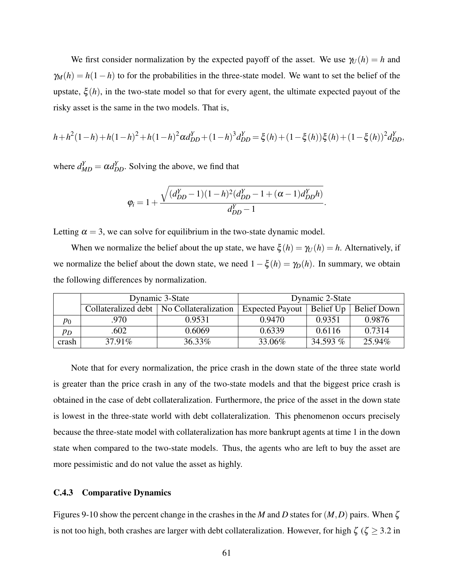We first consider normalization by the expected payoff of the asset. We use  $\gamma_U(h) = h$  and  $\gamma_M(h) = h(1-h)$  to for the probabilities in the three-state model. We want to set the belief of the upstate,  $\xi(h)$ , in the two-state model so that for every agent, the ultimate expected payout of the risky asset is the same in the two models. That is,

$$
h + h^{2}(1-h) + h(1-h)^{2} + h(1-h)^{2}\alpha d_{DD}^{Y} + (1-h)^{3}d_{DD}^{Y} = \xi(h) + (1-\xi(h))\xi(h) + (1-\xi(h))^{2}d_{DD}^{Y},
$$

where  $d_{MD}^Y = \alpha d_{DD}^Y$ . Solving the above, we find that

$$
\varphi_i = 1 + \frac{\sqrt{(d_{DD}^Y - 1)(1 - h)^2 (d_{DD}^Y - 1 + (\alpha - 1)d_{DD}^Y h)}}{d_{DD}^Y - 1}.
$$

Letting  $\alpha = 3$ , we can solve for equilibrium in the two-state dynamic model.

When we normalize the belief about the up state, we have  $\xi(h) = \gamma_U(h) = h$ . Alternatively, if we normalize the belief about the down state, we need  $1-\xi(h) = \gamma_D(h)$ . In summary, we obtain the following differences by normalization.

|         |         | Dynamic 3-State                            | Dynamic 2-State |            |                    |
|---------|---------|--------------------------------------------|-----------------|------------|--------------------|
|         |         | Collateralized debt   No Collateralization | Expected Payout | Belief Up  | <b>Belief Down</b> |
| $p_{0}$ | .970    | 0.9531                                     | 0.9470          | 0.9351     | 0.9876             |
| pd      | .602    | 0.6069                                     | 0.6339          | 0.6116     | 0.7314             |
| crash   | 37.91\% | 36.33%                                     | 33.06%          | 34.593 $%$ | 25.94%             |

Note that for every normalization, the price crash in the down state of the three state world is greater than the price crash in any of the two-state models and that the biggest price crash is obtained in the case of debt collateralization. Furthermore, the price of the asset in the down state is lowest in the three-state world with debt collateralization. This phenomenon occurs precisely because the three-state model with collateralization has more bankrupt agents at time 1 in the down state when compared to the two-state models. Thus, the agents who are left to buy the asset are more pessimistic and do not value the asset as highly.

#### C.4.3 Comparative Dynamics

Figures [9](#page-61-0)[-10](#page-61-1) show the percent change in the crashes in the *M* and *D* states for (*M*,*D*) pairs. When ζ is not too high, both crashes are larger with debt collateralization. However, for high  $\zeta$  ( $\zeta \geq 3.2$  in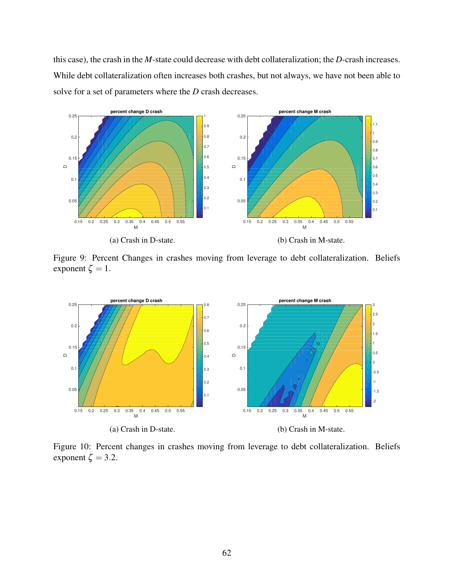this case), the crash in the *M*-state could decrease with debt collateralization; the *D*-crash increases. While debt collateralization often increases both crashes, but not always, we have not been able to solve for a set of parameters where the *D* crash decreases.

<span id="page-61-0"></span>

Figure 9: Percent Changes in crashes moving from leverage to debt collateralization. Beliefs exponent  $\zeta = 1$ .

<span id="page-61-1"></span>

Figure 10: Percent changes in crashes moving from leverage to debt collateralization. Beliefs exponent  $\zeta = 3.2$ .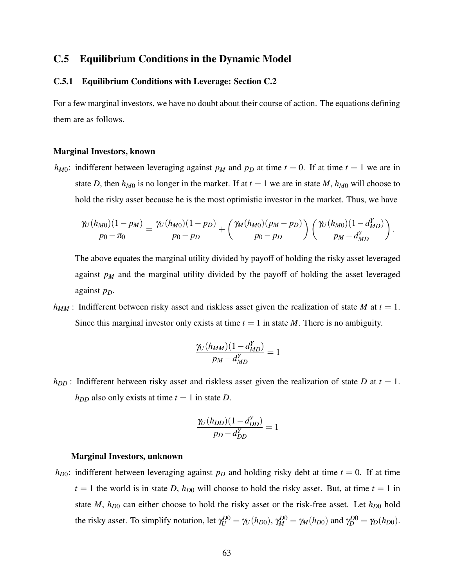### <span id="page-62-0"></span>C.5 Equilibrium Conditions in the Dynamic Model

#### C.5.1 Equilibrium Conditions with Leverage: Section [C.2](#page-55-1)

For a few marginal investors, we have no doubt about their course of action. The equations defining them are as follows.

#### Marginal Investors, known

*h*<sub>*M*0</sub>: indifferent between leveraging against *p<sub>M</sub>* and *p<sub>D</sub>* at time  $t = 0$ . If at time  $t = 1$  we are in state *D*, then  $h_{M0}$  is no longer in the market. If at  $t = 1$  we are in state *M*,  $h_{M0}$  will choose to hold the risky asset because he is the most optimistic investor in the market. Thus, we have

$$
\frac{\gamma_U(h_{M0})(1-p_M)}{p_0-\pi_0}=\frac{\gamma_U(h_{M0})(1-p_D)}{p_0-p_D}+\left(\frac{\gamma_M(h_{M0})(p_M-p_D)}{p_0-p_D}\right)\left(\frac{\gamma_U(h_{M0})(1-d_{MD}^Y)}{p_M-d_{MD}^Y}\right).
$$

The above equates the marginal utility divided by payoff of holding the risky asset leveraged against *p<sup>M</sup>* and the marginal utility divided by the payoff of holding the asset leveraged against *pD*.

 $h_{MM}$ : Indifferent between risky asset and riskless asset given the realization of state *M* at  $t = 1$ . Since this marginal investor only exists at time  $t = 1$  in state *M*. There is no ambiguity.

$$
\frac{\gamma_U(h_{MM})(1-d_{MD}^Y)}{p_M-d_{MD}^Y}=1
$$

 $h_{DD}$ : Indifferent between risky asset and riskless asset given the realization of state *D* at  $t = 1$ .  $h_{DD}$  also only exists at time  $t = 1$  in state *D*.

$$
\frac{\gamma_U(h_{DD})(1-d_{DD}^Y)}{p_D-d_{DD}^Y}=1
$$

#### Marginal Investors, unknown

*h*<sub>D0</sub>: indifferent between leveraging against  $p<sub>D</sub>$  and holding risky debt at time  $t = 0$ . If at time  $t = 1$  the world is in state *D*,  $h_{D0}$  will choose to hold the risky asset. But, at time  $t = 1$  in state *M*,  $h_{D0}$  can either choose to hold the risky asset or the risk-free asset. Let  $h_{D0}$  hold the risky asset. To simplify notation, let  $\gamma_U^{D0} = \gamma_U(h_{D0})$ ,  $\gamma_M^{D0} = \gamma_M(h_{D0})$  and  $\gamma_D^{D0} = \gamma_D(h_{D0})$ .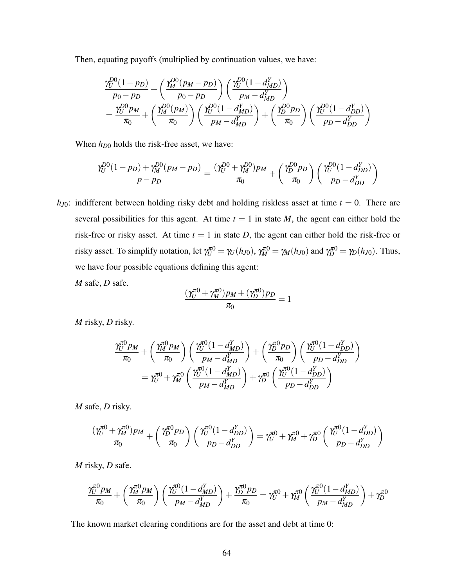Then, equating payoffs (multiplied by continuation values, we have:

$$
\frac{\gamma_U^{D0}(1-p_D)}{p_0 - p_D} + \left(\frac{\gamma_M^{D0}(p_M - p_D)}{p_0 - p_D}\right) \left(\frac{\gamma_U^{D0}(1 - d_{MD}^Y)}{p_M - d_{MD}^Y}\right) \n= \frac{\gamma_U^{D0} p_M}{\pi_0} + \left(\frac{\gamma_M^{D0}(p_M)}{\pi_0}\right) \left(\frac{\gamma_U^{D0}(1 - d_{MD}^Y)}{p_M - d_{MD}^Y}\right) + \left(\frac{\gamma_D^{D0} p_D}{\pi_0}\right) \left(\frac{\gamma_U^{D0}(1 - d_{DD}^Y)}{p_D - d_{DD}^Y}\right)
$$

When  $h_{D0}$  holds the risk-free asset, we have:

$$
\frac{\gamma_U^{D0}(1-p_D)+\gamma_M^{D0}(p_M-p_D)}{p-p_D}=\frac{(\gamma_U^{D0}+\gamma_M^{D0})p_M}{\pi_0}+\left(\frac{\gamma_D^{D0}p_D}{\pi_0}\right)\left(\frac{\gamma_U^{D0}(1-d_{DD}^Y)}{p_D-d_{DD}^Y}\right)
$$

 $h_{J0}$ : indifferent between holding risky debt and holding riskless asset at time  $t = 0$ . There are several possibilities for this agent. At time  $t = 1$  in state  $M$ , the agent can either hold the risk-free or risky asset. At time  $t = 1$  in state *D*, the agent can either hold the risk-free or risky asset. To simplify notation, let  $\gamma_U^{\pi 0} = \gamma_U(h_{J0}), \gamma_M^{\pi 0} = \gamma_M(h_{J0})$  and  $\gamma_D^{\pi 0} = \gamma_D(h_{J0})$ . Thus, we have four possible equations defining this agent:

*M* safe, *D* safe.

$$
\frac{(\gamma_U^{\pi 0} + \gamma_M^{\pi 0})p_M + (\gamma_D^{\pi 0})p_D}{\pi_0} = 1
$$

*M* risky, *D* risky.

$$
\frac{\gamma_U^{\pi 0} P_M}{\pi_0} + \left(\frac{\gamma_M^{\pi 0} P_M}{\pi_0}\right) \left(\frac{\gamma_U^{\pi 0} (1 - d_{MD}^Y)}{p_M - d_{MD}^Y}\right) + \left(\frac{\gamma_D^{\pi 0} P_D}{\pi_0}\right) \left(\frac{\gamma_U^{\pi 0} (1 - d_{DD}^Y)}{p_D - d_{DD}^Y}\right) \n= \gamma_U^{\pi 0} + \gamma_M^{\pi 0} \left(\frac{\gamma_U^{\pi 0} (1 - d_{MD}^Y)}{p_M - d_{MD}^Y}\right) + \gamma_D^{\pi 0} \left(\frac{\gamma_U^{\pi 0} (1 - d_{DD}^Y)}{p_D - d_{DD}^Y}\right)
$$

*M* safe, *D* risky.

$$
\frac{(\gamma_U^{\pi 0} + \gamma_M^{\pi 0}) p_M}{\pi_0} + \left(\frac{\gamma_D^{\pi 0} p_D}{\pi_0}\right) \left(\frac{\gamma_U^{\pi 0} (1 - d_{DD}^Y)}{p_D - d_{DD}^Y}\right) = \gamma_U^{\pi 0} + \gamma_M^{\pi 0} + \gamma_D^{\pi 0} \left(\frac{\gamma_U^{\pi 0} (1 - d_{DD}^Y)}{p_D - d_{DD}^Y}\right)
$$

*M* risky, *D* safe.

$$
\frac{\gamma_U^{\pi 0} p_M}{\pi_0} + \left(\frac{\gamma_M^{\pi 0} p_M}{\pi_0}\right) \left(\frac{\gamma_U^{\pi 0} (1 - d_{MD}^Y)}{p_M - d_{MD}^Y}\right) + \frac{\gamma_D^{\pi 0} p_D}{\pi_0} = \gamma_U^{\pi 0} + \gamma_M^{\pi 0} \left(\frac{\gamma_U^{\pi 0} (1 - d_{MD}^Y)}{p_M - d_{MD}^Y}\right) + \gamma_D^{\pi 0}
$$

The known market clearing conditions are for the asset and debt at time 0: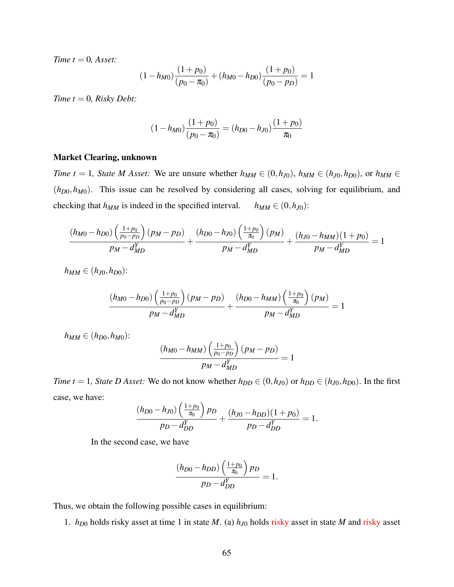*Time*  $t = 0$ *, Asset:* 

$$
(1 - h_{M0})\frac{(1 + p_0)}{(p_0 - \pi_0)} + (h_{M0} - h_{D0})\frac{(1 + p_0)}{(p_0 - p_D)} = 1
$$

*Time*  $t = 0$ *, Risky Debt:* 

$$
(1 - h_{M0}) \frac{(1 + p_0)}{(p_0 - \pi_0)} = (h_{D0} - h_{J0}) \frac{(1 + p_0)}{\pi_0}
$$

#### Market Clearing, unknown

*Time t* = 1, *State M Asset:* We are unsure whether  $h_{MM} \in (0, h_{J0})$ ,  $h_{MM} \in (h_{J0}, h_{D0})$ , or  $h_{MM} \in$  $(h_{D0}, h_{M0})$ . This issue can be resolved by considering all cases, solving for equilibrium, and checking that  $h_{MM}$  is indeed in the specified interval.  $h_{MM} \in (0, h_{J0})$ :

$$
\frac{(h_{M0}-h_{D0})\left(\frac{1+p_0}{p_0-p_D}\right)(p_M-p_D)}{p_M-d_{MD}^Y}+\frac{(h_{D0}-h_{J0})\left(\frac{1+p_0}{\pi_0}\right)(p_M)}{p_M-d_{MD}^Y}+\frac{(h_{J0}-h_{MM})(1+p_0)}{p_M-d_{MD}^Y}=1
$$

 $h_{MM} \in (h_{J0}, h_{D0})$ :

$$
\frac{(h_{M0}-h_{D0})\left(\frac{1+p_0}{p_0-p_D}\right)(p_M-p_D)}{p_M-d_{MD}^Y}+\frac{(h_{D0}-h_{MM})\left(\frac{1+p_0}{\pi_0}\right)(p_M)}{p_M-d_{MD}^Y}=1
$$

 $h_{MM} \in (h_{D0}, h_{M0})$ :

$$
\frac{(h_{M0} - h_{MM}) \left(\frac{1 + p_0}{p_0 - p_D}\right) (p_M - p_D)}{p_M - d_{MD}^Y} = 1
$$

*Time t* = 1, *State D Asset:* We do not know whether  $h_{DD} \in (0, h_{J0})$  or  $h_{DD} \in (h_{J0}, h_{D0})$ . In the first case, we have:  $\lambda$  $\lambda$ 

$$
\frac{(h_{D0} - h_{J0})\left(\frac{1+p_0}{\pi_0}\right)PD}{PD - d_{DD}^Y} + \frac{(h_{J0} - h_{DD})(1+p_0)}{PD - d_{DD}^Y} = 1.
$$

In the second case, we have

$$
\frac{(h_{D0}-h_{DD})\left(\frac{1+p_0}{\pi_0}\right)pp}{p_D-d_{DD}^Y}=1.
$$

Thus, we obtain the following possible cases in equilibrium:

1. *hD*<sup>0</sup> holds risky asset at time 1 in state *M*. (a) *hJ*<sup>0</sup> holds risky asset in state *M* and risky asset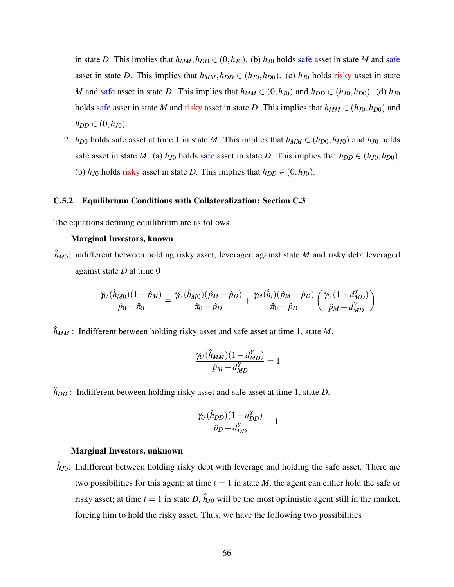in state *D*. This implies that  $h_{MM}$ ,  $h_{DD} \in (0, h_{J0})$ . (b)  $h_{J0}$  holds safe asset in state *M* and safe asset in state *D*. This implies that  $h_{MM}, h_{DD} \in (h_{J0}, h_{D0})$ . (c)  $h_{J0}$  holds risky asset in state *M* and safe asset in state *D*. This implies that  $h_{MM} \in (0, h_{J0})$  and  $h_{DD} \in (h_{J0}, h_{D0})$ . (d)  $h_{J0}$ holds safe asset in state *M* and risky asset in state *D*. This implies that  $h_{MM} \in (h_{J0}, h_{D0})$  and  $h_{DD} \in (0, h_{J0})$ .

2. *h*<sub>D0</sub> holds safe asset at time 1 in state *M*. This implies that  $h_{MM} \in (h_{D0}, h_{M0})$  and  $h_{J0}$  holds safe asset in state *M*. (a)  $h_{J0}$  holds safe asset in state *D*. This implies that  $h_{DD} \in (h_{J0}, h_{D0})$ . (b)  $h_{J0}$  holds risky asset in state *D*. This implies that  $h_{DD} \in (0, h_{J0})$ .

#### C.5.2 Equilibrium Conditions with Collateralization: Section [C.3](#page-56-2)

The equations defining equilibrium are as follows

#### Marginal Investors, known

 $\hat{h}_{M0}$ : indifferent between holding risky asset, leveraged against state *M* and risky debt leveraged against state *D* at time 0

$$
\frac{\gamma_U(\hat{h}_{M0})(1-\hat{p}_M)}{\hat{p}_0-\hat{\pi}_0}=\frac{\gamma_U(\hat{h}_{M0})(\hat{p}_M-\hat{p}_D)}{\hat{\pi}_0-\hat{p}_D}+\frac{\gamma_M(\hat{h}_i)(\hat{p}_M-\hat{p}_D)}{\hat{\pi}_0-\hat{p}_D}\left(\frac{\gamma_U(1-d_{MD}^Y)}{\hat{p}_M-d_{MD}^Y}\right)
$$

 $\hat{h}_{MM}$ : Indifferent between holding risky asset and safe asset at time 1, state *M*.

$$
\frac{\gamma_U(\hat{h}_{MM})(1-d_{MD}^Y)}{\hat{p}_M-d_{MD}^Y}=1
$$

 $\hat{h}_{DD}$ : Indifferent between holding risky asset and safe asset at time 1, state *D*.

$$
\frac{\gamma_U(\hat{h}_{DD})(1-d_{DD}^Y)}{\hat{p}_D-d_{DD}^Y}=1
$$

#### Marginal Investors, unknown

 $\hat{h}_{J0}$ : Indifferent between holding risky debt with leverage and holding the safe asset. There are two possibilities for this agent: at time  $t = 1$  in state  $M$ , the agent can either hold the safe or risky asset; at time  $t = 1$  in state *D*,  $\hat{h}_{J0}$  will be the most optimistic agent still in the market, forcing him to hold the risky asset. Thus, we have the following two possibilities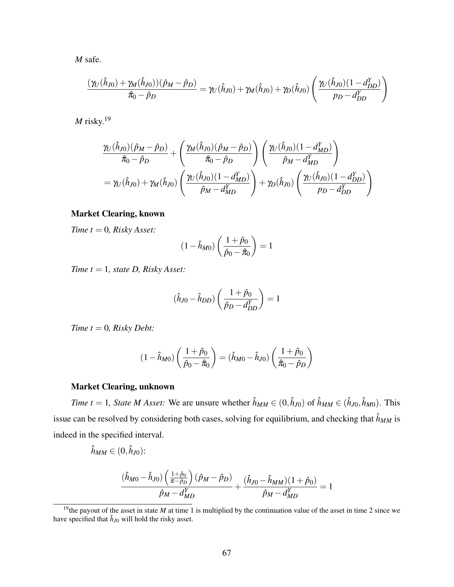*M* safe.

$$
\frac{(\gamma_U(\hat{h}_{J0}) + \gamma_M(\hat{h}_{J0}))(\hat{p}_M - \hat{p}_D)}{\hat{\pi}_0 - \hat{p}_D} = \gamma_U(\hat{h}_{J0}) + \gamma_M(\hat{h}_{J0}) + \gamma_D(\hat{h}_{J0}) \left(\frac{\gamma_U(\hat{h}_{J0})(1 - d_{DD}^Y)}{p_D - d_{DD}^Y}\right)
$$

 $M$  risky.<sup>[19](#page-66-0)</sup>

$$
\frac{\gamma_U(\hat{h}_{J0})(\hat{p}_M - \hat{p}_D)}{\hat{\pi}_0 - \hat{p}_D} + \left(\frac{\gamma_M(\hat{h}_{J0})(\hat{p}_M - \hat{p}_D)}{\hat{\pi}_0 - \hat{p}_D}\right) \left(\frac{\gamma_U(\hat{h}_{J0})(1 - d_{MD}^Y)}{\hat{p}_M - d_{MD}^Y}\right) \n= \gamma_U(\hat{h}_{J0}) + \gamma_M(\hat{h}_{J0}) \left(\frac{\gamma_U(\hat{h}_{J0})(1 - d_{MD}^Y)}{\hat{p}_M - d_{MD}^Y}\right) + \gamma_D(\hat{h}_{J0}) \left(\frac{\gamma_U(\hat{h}_{J0})(1 - d_{DD}^Y)}{p_D - d_{DD}^Y}\right)
$$

#### Market Clearing, known

*Time t* = 0*, Risky Asset:*

$$
(1 - \hat{h}_{M0}) \left( \frac{1 + \hat{p}_0}{\hat{p}_0 - \hat{\pi}_0} \right) = 1
$$

*Time t* = 1*, state D, Risky Asset:*

$$
(\hat{h}_{J0} - \hat{h}_{DD}) \left( \frac{1 + \hat{p}_0}{\hat{p}_D - d_{DD}^Y} \right) = 1
$$

*Time t* = 0*, Risky Debt:*

$$
(1 - \hat{h}_{M0}) \left( \frac{1 + \hat{p}_0}{\hat{p}_0 - \hat{\pi}_0} \right) = (\hat{h}_{M0} - \hat{h}_{J0}) \left( \frac{1 + \hat{p}_0}{\hat{\pi}_0 - \hat{p}_D} \right)
$$

### Market Clearing, unknown

*Time t* = 1, *State M Asset:* We are unsure whether  $\hat{h}_{MM} \in (0, \hat{h}_{J0})$  of  $\hat{h}_{MM} \in (\hat{h}_{J0}, \hat{h}_{M0})$ . This issue can be resolved by considering both cases, solving for equilibrium, and checking that  $\hat{h}_{MM}$  is indeed in the specified interval.

$$
\hat{h}_{MM}\in (0,\hat{h}_{J0})\mathpunct:
$$

$$
\frac{(\hat{h}_{M0} - \hat{h}_{J0}) \left(\frac{1+\hat{p}_0}{\pi - \hat{p}_D}\right) (\hat{p}_M - \hat{p}_D)}{\hat{p}_M - d_{MD}^Y} + \frac{(\hat{h}_{J0} - \hat{h}_{MM})(1+\hat{p}_0)}{\hat{p}_M - d_{MD}^Y} = 1
$$

<span id="page-66-0"></span><sup>&</sup>lt;sup>19</sup>the payout of the asset in state *M* at time 1 is multiplied by the continuation value of the asset in time 2 since we have specified that  $\hat{h}_{J0}$  will hold the risky asset.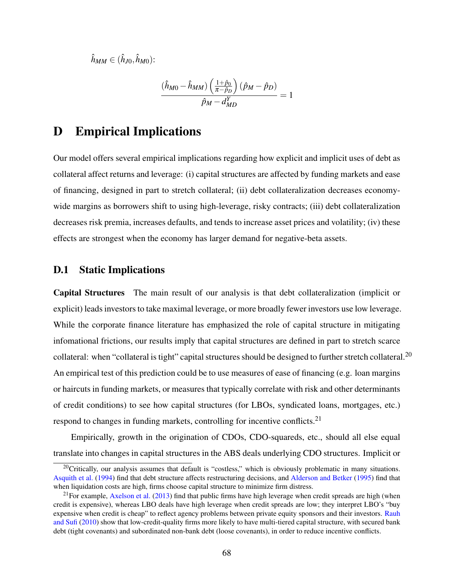$\hat{h}_{MM} \in (\hat{h}_{J0},\hat{h}_{M0})$ :

$$
\frac{(\hat{h}_{M0} - \hat{h}_{MM}) \left(\frac{1+\hat{p}_0}{\pi - \hat{p}_D}\right) (\hat{p}_M - \hat{p}_D)}{\hat{p}_M - d_{MD}^Y} = 1
$$

### <span id="page-67-0"></span>D Empirical Implications

Our model offers several empirical implications regarding how explicit and implicit uses of debt as collateral affect returns and leverage: (i) capital structures are affected by funding markets and ease of financing, designed in part to stretch collateral; (ii) debt collateralization decreases economywide margins as borrowers shift to using high-leverage, risky contracts; (iii) debt collateralization decreases risk premia, increases defaults, and tends to increase asset prices and volatility; (iv) these effects are strongest when the economy has larger demand for negative-beta assets.

#### D.1 Static Implications

Capital Structures The main result of our analysis is that debt collateralization (implicit or explicit) leads investors to take maximal leverage, or more broadly fewer investors use low leverage. While the corporate finance literature has emphasized the role of capital structure in mitigating infomational frictions, our results imply that capital structures are defined in part to stretch scarce collateral: when "collateral is tight" capital structures should be designed to further stretch collateral.<sup>[20](#page-67-1)</sup> An empirical test of this prediction could be to use measures of ease of financing (e.g. loan margins or haircuts in funding markets, or measures that typically correlate with risk and other determinants of credit conditions) to see how capital structures (for LBOs, syndicated loans, mortgages, etc.) respond to changes in funding markets, controlling for incentive conflicts.<sup>[21](#page-67-2)</sup>

Empirically, growth in the origination of CDOs, CDO-squareds, etc., should all else equal translate into changes in capital structures in the ABS deals underlying CDO structures. Implicit or

<span id="page-67-1"></span> $^{20}$ Critically, our analysis assumes that default is "costless," which is obviously problematic in many situations. [Asquith et al.](#page-31-6) [\(1994\)](#page-31-6) find that debt structure affects restructuring decisions, and [Alderson and Betker](#page-31-7) [\(1995\)](#page-31-7) find that when liquidation costs are high, firms choose capital structure to minimize firm distress.

<span id="page-67-2"></span> $21$ For example, [Axelson et al.](#page-31-8) [\(2013\)](#page-31-8) find that public firms have high leverage when credit spreads are high (when credit is expensive), whereas LBO deals have high leverage when credit spreads are low; they interpret LBO's "buy expensive when credit is cheap" to reflect agency problems between private equity sponsors and their investors. [Rauh](#page-34-6) [and Sufi](#page-34-6) [\(2010\)](#page-34-6) show that low-credit-quality firms more likely to have multi-tiered capital structure, with secured bank debt (tight covenants) and subordinated non-bank debt (loose covenants), in order to reduce incentive conflicts.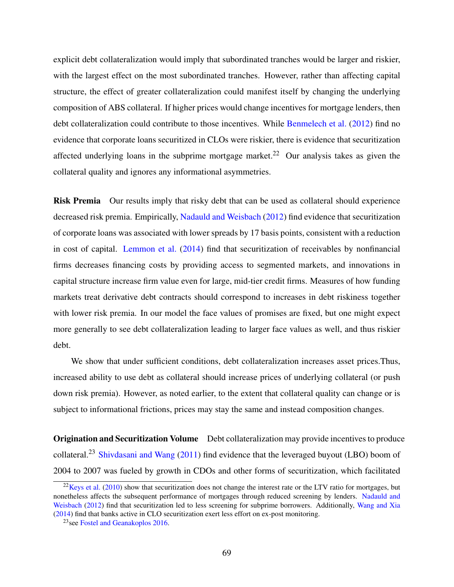explicit debt collateralization would imply that subordinated tranches would be larger and riskier, with the largest effect on the most subordinated tranches. However, rather than affecting capital structure, the effect of greater collateralization could manifest itself by changing the underlying composition of ABS collateral. If higher prices would change incentives for mortgage lenders, then debt collateralization could contribute to those incentives. While [Benmelech et al.](#page-31-9) [\(2012\)](#page-31-9) find no evidence that corporate loans securitized in CLOs were riskier, there is evidence that securitization affected underlying loans in the subprime mortgage market.<sup>[22](#page-68-0)</sup> Our analysis takes as given the collateral quality and ignores any informational asymmetries.

Risk Premia Our results imply that risky debt that can be used as collateral should experience decreased risk premia. Empirically, [Nadauld and Weisbach](#page-33-13) [\(2012\)](#page-33-13) find evidence that securitization of corporate loans was associated with lower spreads by 17 basis points, consistent with a reduction in cost of capital. [Lemmon et al.](#page-33-10) [\(2014\)](#page-33-10) find that securitization of receivables by nonfinancial firms decreases financing costs by providing access to segmented markets, and innovations in capital structure increase firm value even for large, mid-tier credit firms. Measures of how funding markets treat derivative debt contracts should correspond to increases in debt riskiness together with lower risk premia. In our model the face values of promises are fixed, but one might expect more generally to see debt collateralization leading to larger face values as well, and thus riskier debt.

We show that under sufficient conditions, debt collateralization increases asset prices.Thus, increased ability to use debt as collateral should increase prices of underlying collateral (or push down risk premia). However, as noted earlier, to the extent that collateral quality can change or is subject to informational frictions, prices may stay the same and instead composition changes.

**Origination and Securitization Volume** Debt collateralization may provide incentives to produce collateral.<sup>[23](#page-68-1)</sup> [Shivdasani and Wang](#page-34-0) [\(2011\)](#page-34-0) find evidence that the leveraged buyout (LBO) boom of 2004 to 2007 was fueled by growth in CDOs and other forms of securitization, which facilitated

<span id="page-68-0"></span> $22$ [Keys et al.](#page-33-14) [\(2010\)](#page-33-14) show that securitization does not change the interest rate or the LTV ratio for mortgages, but nonetheless affects the subsequent performance of mortgages through reduced screening by lenders. [Nadauld and](#page-33-13) [Weisbach](#page-33-13) [\(2012\)](#page-33-13) find that securitization led to less screening for subprime borrowers. Additionally, [Wang and Xia](#page-34-7) [\(2014\)](#page-34-7) find that banks active in CLO securitization exert less effort on ex-post monitoring.

<span id="page-68-1"></span><sup>&</sup>lt;sup>23</sup>see [Fostel and Geanakoplos](#page-32-7) [2016.](#page-32-7)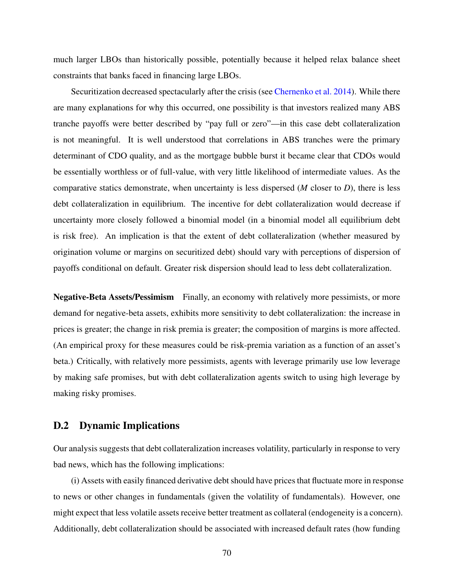much larger LBOs than historically possible, potentially because it helped relax balance sheet constraints that banks faced in financing large LBOs.

Securitization decreased spectacularly after the crisis (see [Chernenko et al.](#page-31-10) [2014\)](#page-31-10). While there are many explanations for why this occurred, one possibility is that investors realized many ABS tranche payoffs were better described by "pay full or zero"—in this case debt collateralization is not meaningful. It is well understood that correlations in ABS tranches were the primary determinant of CDO quality, and as the mortgage bubble burst it became clear that CDOs would be essentially worthless or of full-value, with very little likelihood of intermediate values. As the comparative statics demonstrate, when uncertainty is less dispersed (*M* closer to *D*), there is less debt collateralization in equilibrium. The incentive for debt collateralization would decrease if uncertainty more closely followed a binomial model (in a binomial model all equilibrium debt is risk free). An implication is that the extent of debt collateralization (whether measured by origination volume or margins on securitized debt) should vary with perceptions of dispersion of payoffs conditional on default. Greater risk dispersion should lead to less debt collateralization.

Negative-Beta Assets/Pessimism Finally, an economy with relatively more pessimists, or more demand for negative-beta assets, exhibits more sensitivity to debt collateralization: the increase in prices is greater; the change in risk premia is greater; the composition of margins is more affected. (An empirical proxy for these measures could be risk-premia variation as a function of an asset's beta.) Critically, with relatively more pessimists, agents with leverage primarily use low leverage by making safe promises, but with debt collateralization agents switch to using high leverage by making risky promises.

#### D.2 Dynamic Implications

Our analysis suggests that debt collateralization increases volatility, particularly in response to very bad news, which has the following implications:

(i) Assets with easily financed derivative debt should have prices that fluctuate more in response to news or other changes in fundamentals (given the volatility of fundamentals). However, one might expect that less volatile assets receive better treatment as collateral (endogeneity is a concern). Additionally, debt collateralization should be associated with increased default rates (how funding